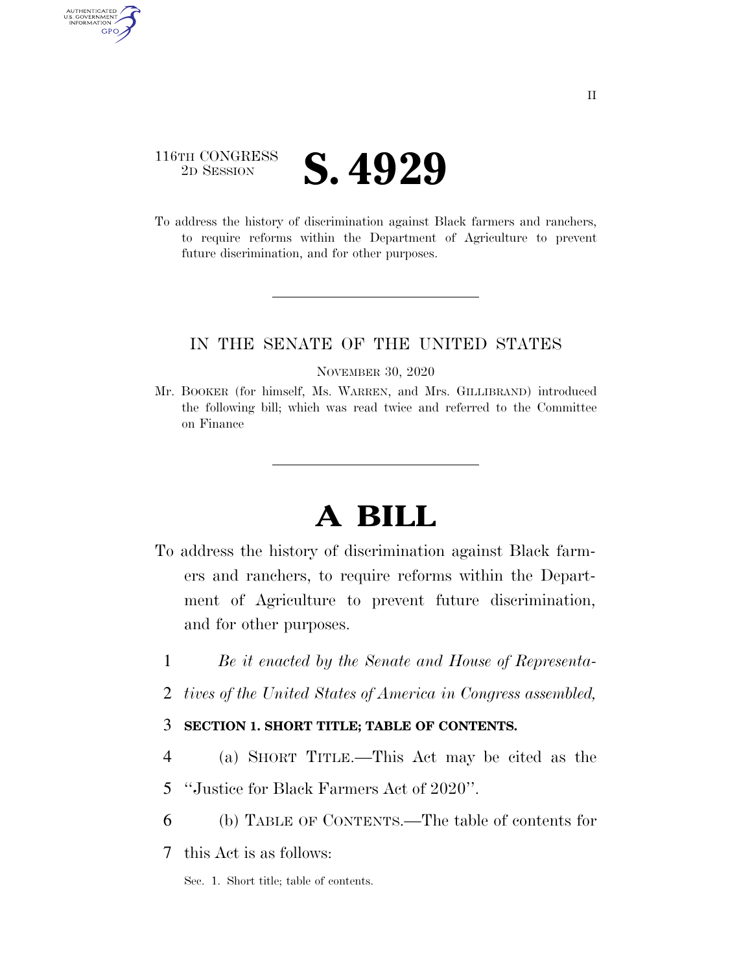## 116TH CONGRESS **2D SESSION S. 4929**

AUTHENTICATED<br>U.S. GOVERNMENT<br>INFORMATION GPO

> To address the history of discrimination against Black farmers and ranchers, to require reforms within the Department of Agriculture to prevent future discrimination, and for other purposes.

## IN THE SENATE OF THE UNITED STATES

#### NOVEMBER 30, 2020

Mr. BOOKER (for himself, Ms. WARREN, and Mrs. GILLIBRAND) introduced the following bill; which was read twice and referred to the Committee on Finance

# **A BILL**

- To address the history of discrimination against Black farmers and ranchers, to require reforms within the Department of Agriculture to prevent future discrimination, and for other purposes.
	- 1 *Be it enacted by the Senate and House of Representa-*
	- 2 *tives of the United States of America in Congress assembled,*

## 3 **SECTION 1. SHORT TITLE; TABLE OF CONTENTS.**

- 4 (a) SHORT TITLE.—This Act may be cited as the
- 5 ''Justice for Black Farmers Act of 2020''.
- 6 (b) TABLE OF CONTENTS.—The table of contents for
- 7 this Act is as follows:

Sec. 1. Short title; table of contents.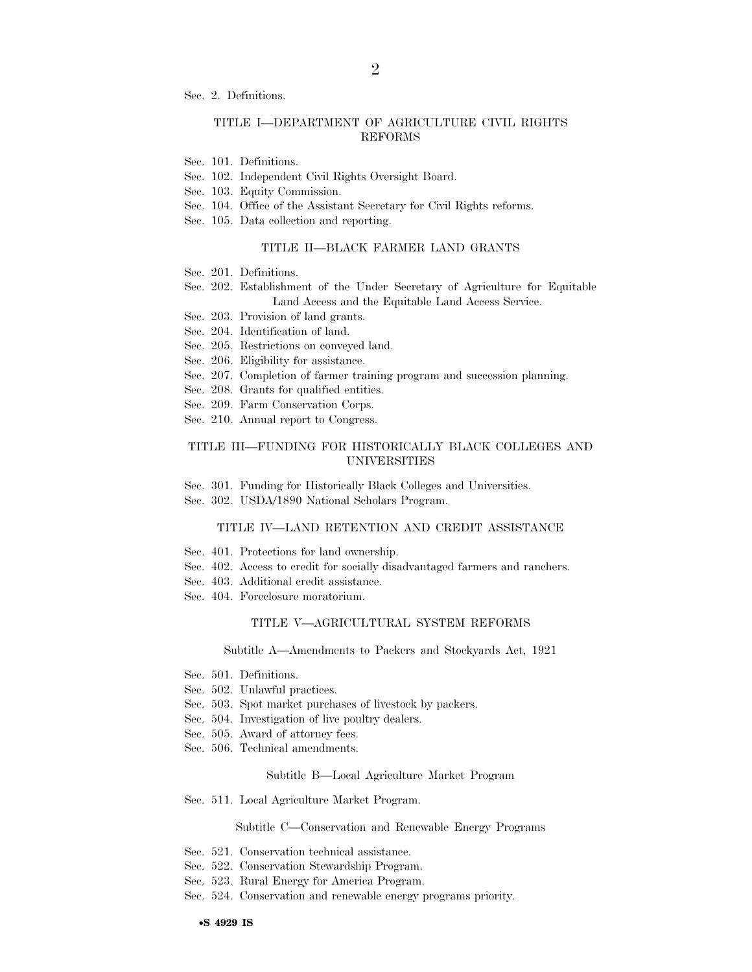Sec. 2. Definitions.

#### TITLE I—DEPARTMENT OF AGRICULTURE CIVIL RIGHTS REFORMS

- Sec. 101. Definitions.
- Sec. 102. Independent Civil Rights Oversight Board.
- Sec. 103. Equity Commission.
- Sec. 104. Office of the Assistant Secretary for Civil Rights reforms.
- Sec. 105. Data collection and reporting.

#### TITLE II—BLACK FARMER LAND GRANTS

- Sec. 201. Definitions.
- Sec. 202. Establishment of the Under Secretary of Agriculture for Equitable Land Access and the Equitable Land Access Service.
- Sec. 203. Provision of land grants.
- Sec. 204. Identification of land.
- Sec. 205. Restrictions on conveyed land.
- Sec. 206. Eligibility for assistance.
- Sec. 207. Completion of farmer training program and succession planning.
- Sec. 208. Grants for qualified entities.
- Sec. 209. Farm Conservation Corps.
- Sec. 210. Annual report to Congress.

#### TITLE III—FUNDING FOR HISTORICALLY BLACK COLLEGES AND UNIVERSITIES

Sec. 301. Funding for Historically Black Colleges and Universities.

Sec. 302. USDA/1890 National Scholars Program.

#### TITLE IV—LAND RETENTION AND CREDIT ASSISTANCE

- Sec. 401. Protections for land ownership.
- Sec. 402. Access to credit for socially disadvantaged farmers and ranchers.
- Sec. 403. Additional credit assistance.
- Sec. 404. Foreclosure moratorium.

#### TITLE V—AGRICULTURAL SYSTEM REFORMS

Subtitle A—Amendments to Packers and Stockyards Act, 1921

- Sec. 501. Definitions.
- Sec. 502. Unlawful practices.
- Sec. 503. Spot market purchases of livestock by packers.
- Sec. 504. Investigation of live poultry dealers.
- Sec. 505. Award of attorney fees.
- Sec. 506. Technical amendments.

#### Subtitle B—Local Agriculture Market Program

Sec. 511. Local Agriculture Market Program.

Subtitle C—Conservation and Renewable Energy Programs

- Sec. 521. Conservation technical assistance.
- Sec. 522. Conservation Stewardship Program.
- Sec. 523. Rural Energy for America Program.
- Sec. 524. Conservation and renewable energy programs priority.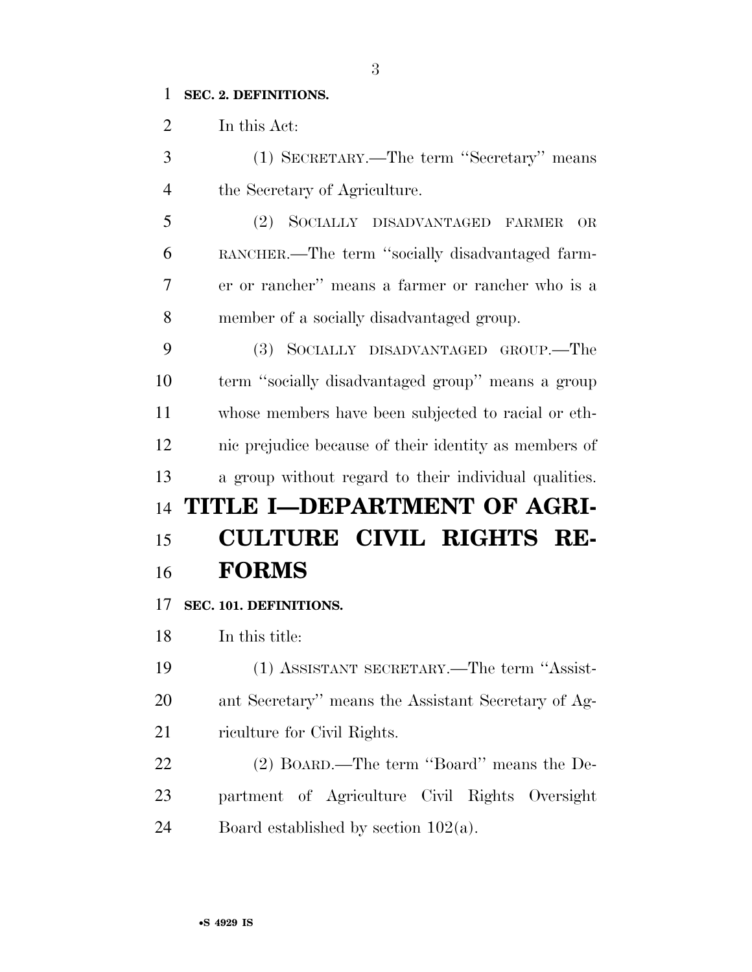### **SEC. 2. DEFINITIONS.**

In this Act:

 (1) SECRETARY.—The term ''Secretary'' means the Secretary of Agriculture.

 (2) SOCIALLY DISADVANTAGED FARMER OR RANCHER.—The term ''socially disadvantaged farm- er or rancher'' means a farmer or rancher who is a member of a socially disadvantaged group.

 (3) SOCIALLY DISADVANTAGED GROUP.—The term ''socially disadvantaged group'' means a group whose members have been subjected to racial or eth- nic prejudice because of their identity as members of a group without regard to their individual qualities. **TITLE I—DEPARTMENT OF AGRI- CULTURE CIVIL RIGHTS RE-FORMS** 

**SEC. 101. DEFINITIONS.** 

In this title:

 (1) ASSISTANT SECRETARY.—The term ''Assist- ant Secretary'' means the Assistant Secretary of Ag-riculture for Civil Rights.

 (2) BOARD.—The term ''Board'' means the De- partment of Agriculture Civil Rights Oversight 24 Board established by section  $102(a)$ .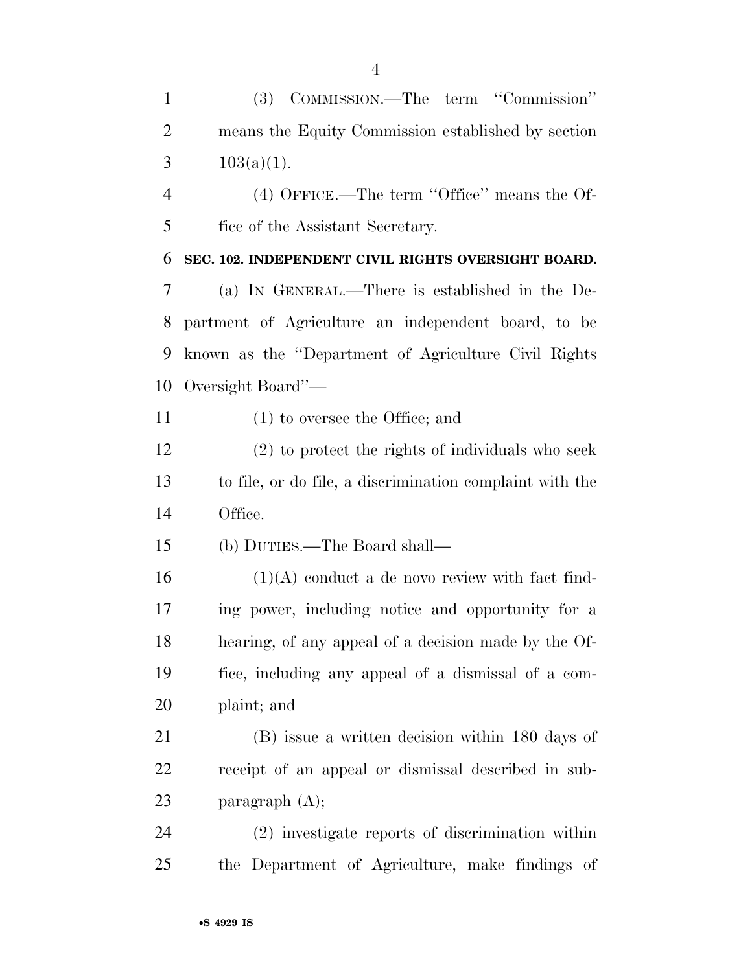(3) COMMISSION.—The term ''Commission'' means the Equity Commission established by section 3  $103(a)(1)$ .

 (4) OFFICE.—The term ''Office'' means the Of-fice of the Assistant Secretary.

**SEC. 102. INDEPENDENT CIVIL RIGHTS OVERSIGHT BOARD.** 

 (a) IN GENERAL.—There is established in the De- partment of Agriculture an independent board, to be known as the ''Department of Agriculture Civil Rights Oversight Board''—

(1) to oversee the Office; and

 (2) to protect the rights of individuals who seek to file, or do file, a discrimination complaint with the Office.

(b) DUTIES.—The Board shall—

 (1)(A) conduct a de novo review with fact find- ing power, including notice and opportunity for a hearing, of any appeal of a decision made by the Of- fice, including any appeal of a dismissal of a com-plaint; and

 (B) issue a written decision within 180 days of receipt of an appeal or dismissal described in sub-paragraph (A);

 (2) investigate reports of discrimination within the Department of Agriculture, make findings of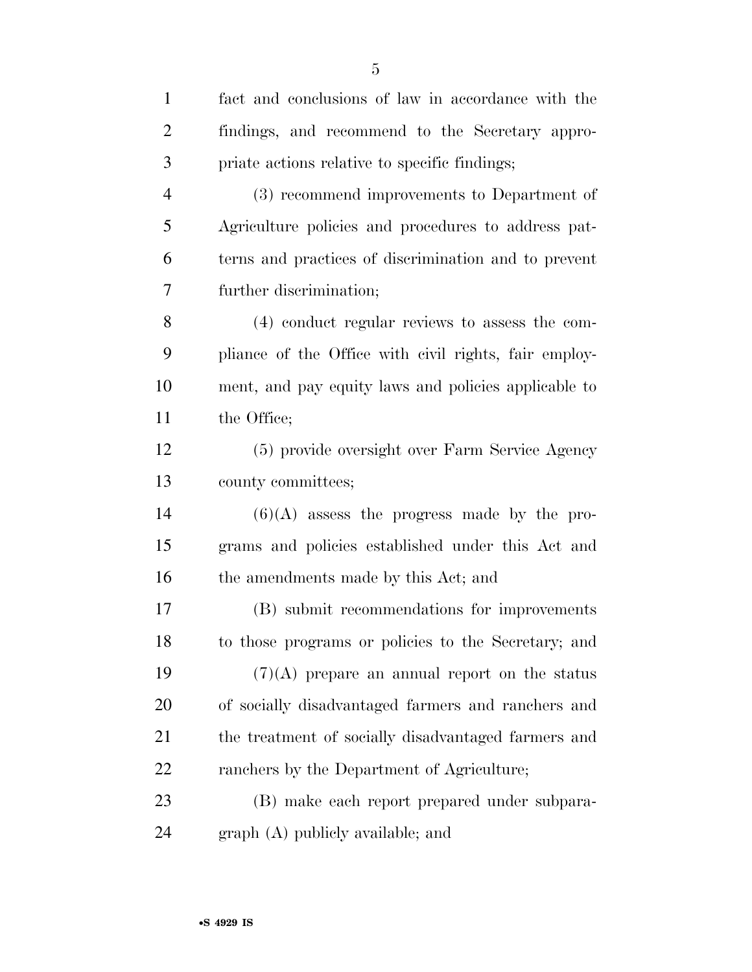| $\mathbf{1}$   | fact and conclusions of law in accordance with the    |
|----------------|-------------------------------------------------------|
| $\overline{2}$ | findings, and recommend to the Secretary appro-       |
| 3              | priate actions relative to specific findings;         |
| $\overline{4}$ | (3) recommend improvements to Department of           |
| 5              | Agriculture policies and procedures to address pat-   |
| 6              | terns and practices of discrimination and to prevent  |
| 7              | further discrimination;                               |
| 8              | (4) conduct regular reviews to assess the com-        |
| 9              | pliance of the Office with civil rights, fair employ- |
| 10             | ment, and pay equity laws and policies applicable to  |
| 11             | the Office;                                           |
| 12             | (5) provide oversight over Farm Service Agency        |
| 13             | county committees;                                    |
| 14             | $(6)(A)$ assess the progress made by the pro-         |
| 15             | grams and policies established under this Act and     |
| 16             | the amendments made by this Act; and                  |
| 17             | (B) submit recommendations for improvements           |
| 18             | to those programs or policies to the Secretary; and   |
| 19             | $(7)(A)$ prepare an annual report on the status       |
| 20             | of socially disadvantaged farmers and ranchers and    |
| 21             | the treatment of socially disadvantaged farmers and   |
| 22             | ranchers by the Department of Agriculture;            |
| 23             | (B) make each report prepared under subpara-          |
| 24             | $graph(A)$ publicly available; and                    |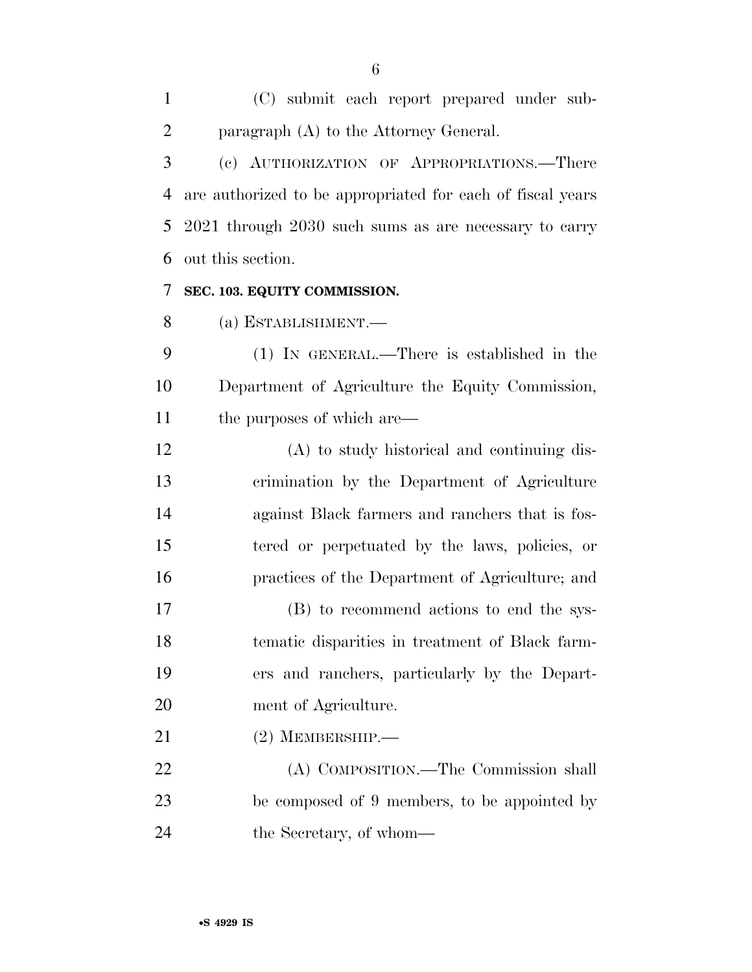(C) submit each report prepared under sub-paragraph (A) to the Attorney General.

 (c) AUTHORIZATION OF APPROPRIATIONS.—There are authorized to be appropriated for each of fiscal years 2021 through 2030 such sums as are necessary to carry out this section.

### **SEC. 103. EQUITY COMMISSION.**

(a) ESTABLISHMENT.—

 (1) IN GENERAL.—There is established in the Department of Agriculture the Equity Commission, 11 the purposes of which are—

 (A) to study historical and continuing dis- crimination by the Department of Agriculture against Black farmers and ranchers that is fos- tered or perpetuated by the laws, policies, or practices of the Department of Agriculture; and

 (B) to recommend actions to end the sys- tematic disparities in treatment of Black farm- ers and ranchers, particularly by the Depart-ment of Agriculture.

(2) MEMBERSHIP.—

 (A) COMPOSITION.—The Commission shall be composed of 9 members, to be appointed by the Secretary, of whom—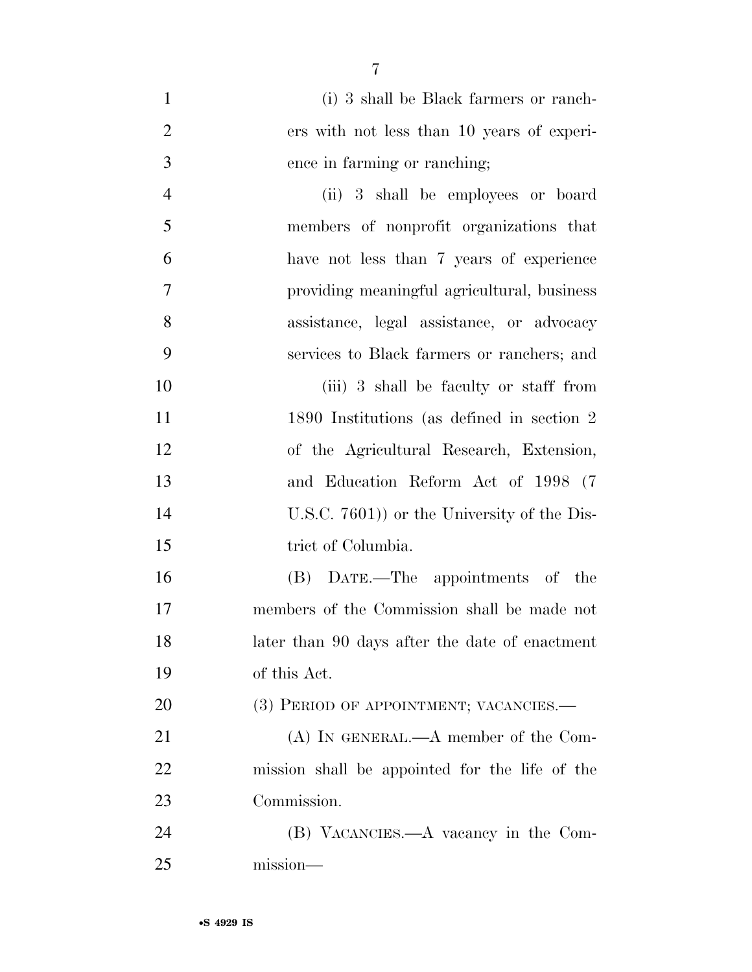| $\mathbf{1}$   | (i) 3 shall be Black farmers or ranch-         |
|----------------|------------------------------------------------|
| $\overline{2}$ | ers with not less than 10 years of experi-     |
| 3              | ence in farming or ranching;                   |
| $\overline{4}$ | (ii) 3 shall be employees or board             |
| 5              | members of nonprofit organizations that        |
| 6              | have not less than 7 years of experience       |
| $\tau$         | providing meaningful agricultural, business    |
| 8              | assistance, legal assistance, or advocacy      |
| 9              | services to Black farmers or ranchers; and     |
| 10             | (iii) 3 shall be faculty or staff from         |
| 11             | 1890 Institutions (as defined in section 2)    |
| 12             | of the Agricultural Research, Extension,       |
| 13             | and Education Reform Act of 1998 (7            |
| 14             | U.S.C. $7601$ ) or the University of the Dis-  |
| 15             | trict of Columbia.                             |
| 16             | (B) DATE.—The appointments of the              |
| 17             | members of the Commission shall be made not    |
| 18             | later than 90 days after the date of enactment |
| 19             | of this Act.                                   |
| 20             | (3) PERIOD OF APPOINTMENT; VACANCIES.—         |
| 21             | $(A)$ IN GENERAL.— $A$ member of the Com-      |
| 22             | mission shall be appointed for the life of the |
| 23             | Commission.                                    |
| 24             | (B) VACANCIES.—A vacancy in the Com-           |
| 25             | mission-                                       |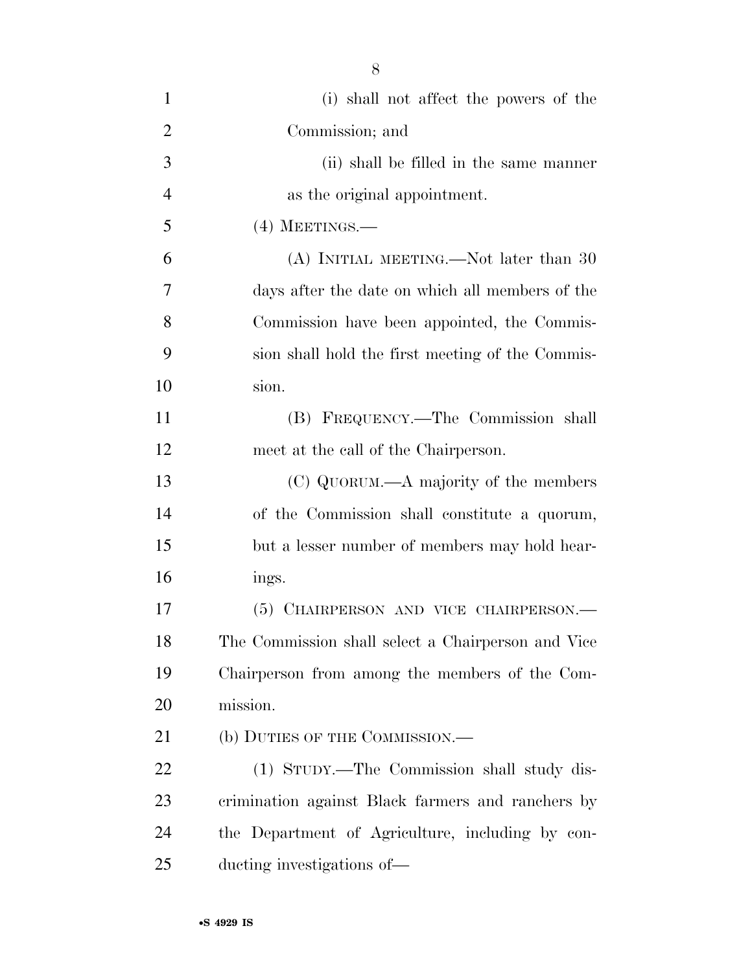| $\mathbf{1}$   | (i) shall not affect the powers of the             |
|----------------|----------------------------------------------------|
| $\overline{2}$ | Commission; and                                    |
| 3              | (ii) shall be filled in the same manner            |
| $\overline{4}$ | as the original appointment.                       |
| 5              | $(4)$ MEETINGS.—                                   |
| 6              | (A) INITIAL MEETING.—Not later than 30             |
| 7              | days after the date on which all members of the    |
| 8              | Commission have been appointed, the Commis-        |
| 9              | sion shall hold the first meeting of the Commis-   |
| 10             | sion.                                              |
| 11             | (B) FREQUENCY.—The Commission shall                |
| 12             | meet at the call of the Chairperson.               |
| 13             | (C) QUORUM.—A majority of the members              |
| 14             | of the Commission shall constitute a quorum,       |
| 15             | but a lesser number of members may hold hear-      |
| 16             | ings.                                              |
| 17             | (5) CHAIRPERSON AND VICE CHAIRPERSON.—             |
| 18             | The Commission shall select a Chairperson and Vice |
| 19             | Chairperson from among the members of the Com-     |
| 20             | mission.                                           |
| 21             | (b) DUTIES OF THE COMMISSION.-                     |
| 22             | (1) STUDY.—The Commission shall study dis-         |
| 23             | crimination against Black farmers and ranchers by  |
| 24             | the Department of Agriculture, including by con-   |
| 25             | ducting investigations of—                         |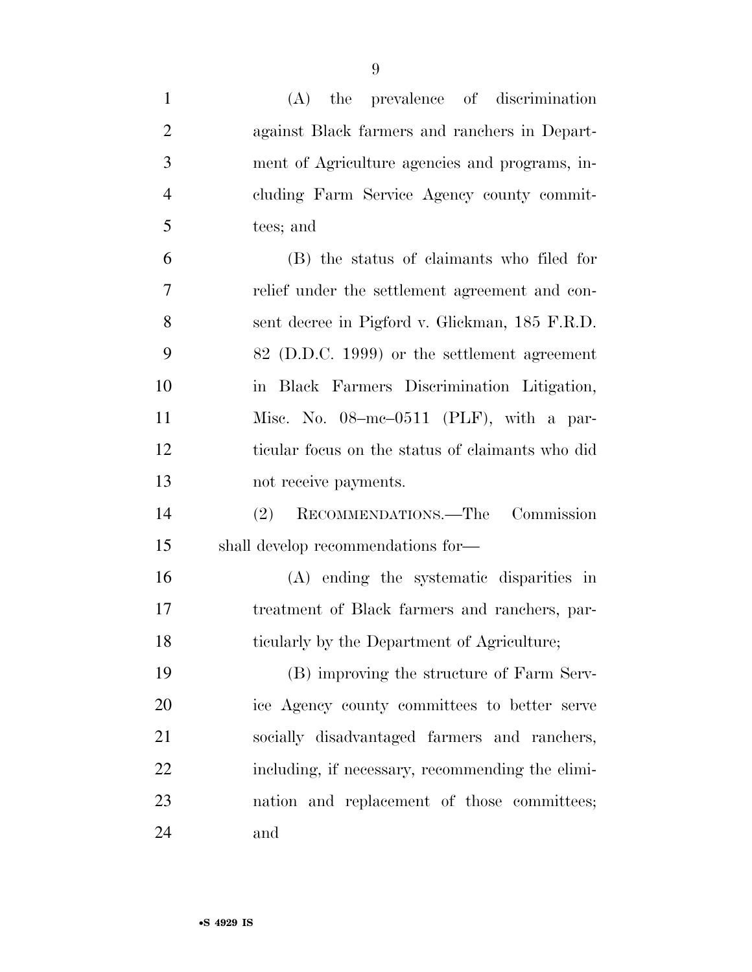| $\mathbf{1}$   | (A) the prevalence of discrimination             |
|----------------|--------------------------------------------------|
| $\overline{2}$ | against Black farmers and ranchers in Depart-    |
| 3              | ment of Agriculture agencies and programs, in-   |
| $\overline{4}$ | cluding Farm Service Agency county commit-       |
| 5              | tees; and                                        |
| 6              | (B) the status of claimants who filed for        |
| 7              | relief under the settlement agreement and con-   |
| 8              | sent decree in Pigford v. Glickman, 185 F.R.D.   |
| 9              | 82 (D.D.C. 1999) or the settlement agreement     |
| 10             | in Black Farmers Discrimination Litigation,      |
| 11             | Misc. No. $08$ -mc- $0511$ (PLF), with a par-    |
| 12             | ticular focus on the status of claimants who did |
| 13             | not receive payments.                            |
| 14             | (2) RECOMMENDATIONS.—The Commission              |
| 15             | shall develop recommendations for—               |
| 16             | (A) ending the systematic disparities in         |
| 17             | treatment of Black farmers and ranchers, par-    |
| 18             | ticularly by the Department of Agriculture;      |
| 19             | (B) improving the structure of Farm Serv-        |
| 20             | ice Agency county committees to better serve     |
| 21             | socially disadvantaged farmers and ranchers,     |
| 22             | including, if necessary, recommending the elimi- |
| 23             | nation and replacement of those committees;      |
| 24             | and                                              |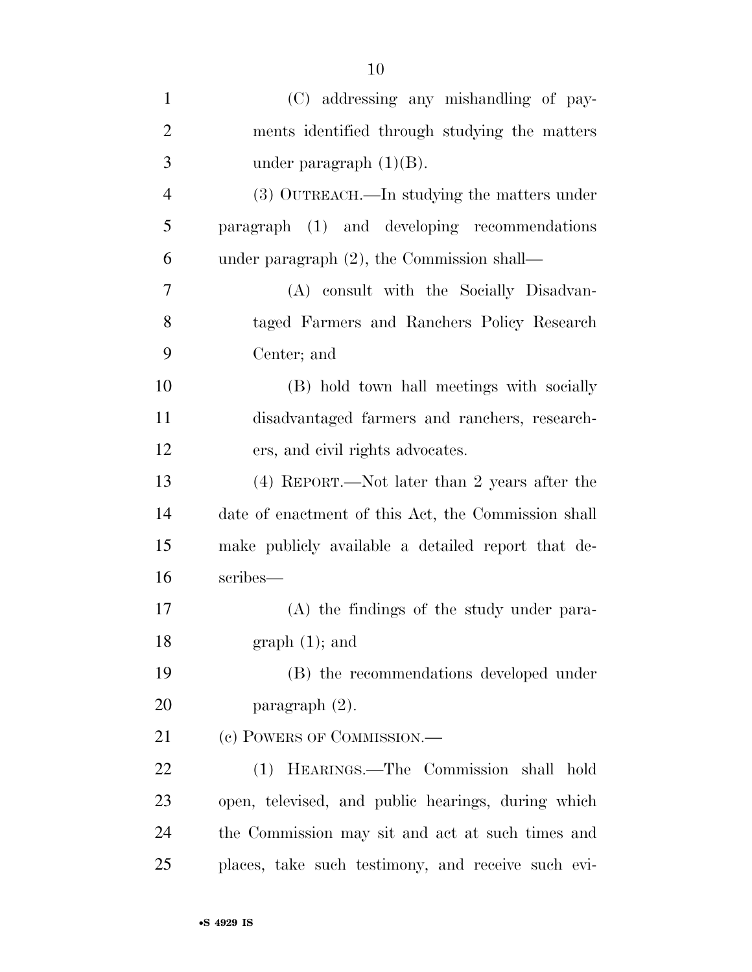| $\mathbf{1}$   | (C) addressing any mishandling of pay-              |
|----------------|-----------------------------------------------------|
| $\overline{2}$ | ments identified through studying the matters       |
| 3              | under paragraph $(1)(B)$ .                          |
| $\overline{4}$ | (3) OUTREACH.—In studying the matters under         |
| 5              | paragraph (1) and developing recommendations        |
| 6              | under paragraph $(2)$ , the Commission shall—       |
| $\overline{7}$ | (A) consult with the Socially Disadvan-             |
| 8              | taged Farmers and Ranchers Policy Research          |
| 9              | Center; and                                         |
| 10             | (B) hold town hall meetings with socially           |
| 11             | disadvantaged farmers and ranchers, research-       |
| 12             | ers, and civil rights advocates.                    |
| 13             | (4) REPORT.—Not later than 2 years after the        |
| 14             | date of enactment of this Act, the Commission shall |
| 15             | make publicly available a detailed report that de-  |
| 16             | scribes—                                            |
| 17             | (A) the findings of the study under para-           |
| 18             | $graph(1);$ and                                     |
| 19             | (B) the recommendations developed under             |
| 20             | paragraph $(2)$ .                                   |
| 21             | (c) POWERS OF COMMISSION.—                          |
| 22             | HEARINGS.—The Commission shall<br>(1)<br>hold       |
| 23             | open, televised, and public hearings, during which  |
| 24             | the Commission may sit and act at such times and    |
| 25             | places, take such testimony, and receive such evi-  |
|                |                                                     |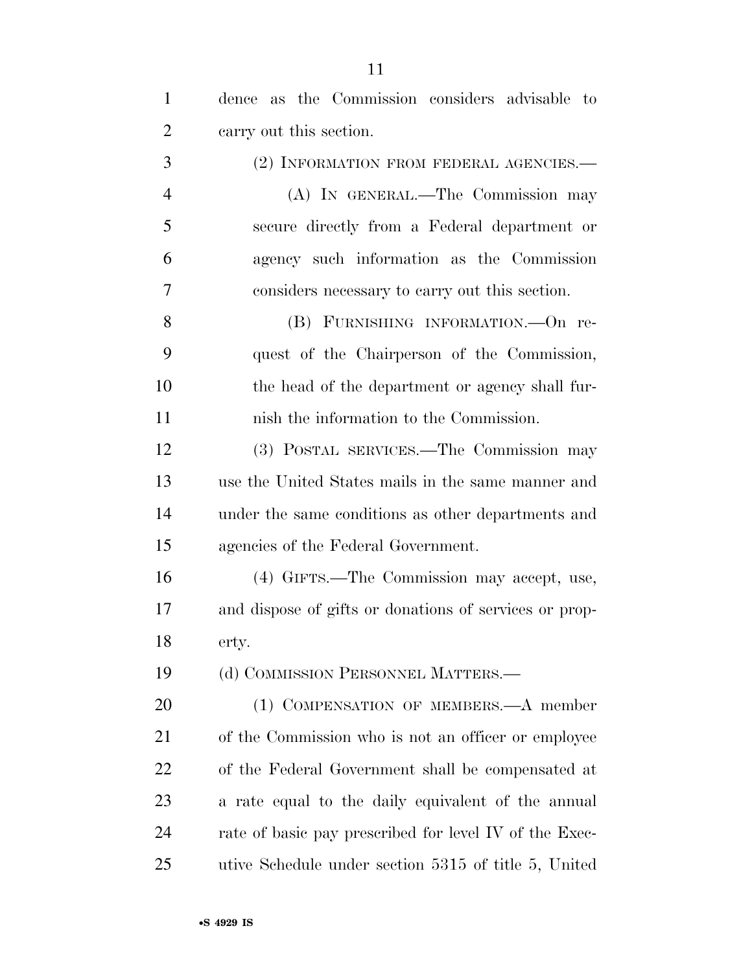| $\mathbf{1}$   | dence as the Commission considers advisable to         |
|----------------|--------------------------------------------------------|
| $\overline{2}$ | carry out this section.                                |
| 3              | (2) INFORMATION FROM FEDERAL AGENCIES.—                |
| $\overline{4}$ | (A) IN GENERAL.—The Commission may                     |
| 5              | secure directly from a Federal department or           |
| 6              | agency such information as the Commission              |
| 7              | considers necessary to carry out this section.         |
| 8              | (B) FURNISHING INFORMATION. - On re-                   |
| 9              | quest of the Chairperson of the Commission,            |
| 10             | the head of the department or agency shall fur-        |
| 11             | nish the information to the Commission.                |
| 12             | (3) POSTAL SERVICES.—The Commission may                |
| 13             | use the United States mails in the same manner and     |
| 14             | under the same conditions as other departments and     |
| 15             | agencies of the Federal Government.                    |
| 16             | (4) GIFTS.—The Commission may accept, use,             |
| 17             | and dispose of gifts or donations of services or prop- |
| 18             | erty.                                                  |
| 19             | (d) COMMISSION PERSONNEL MATTERS.—                     |
| 20             | (1) COMPENSATION OF MEMBERS.—A member                  |
| 21             | of the Commission who is not an officer or employee    |
| 22             | of the Federal Government shall be compensated at      |
| 23             | a rate equal to the daily equivalent of the annual     |
| 24             | rate of basic pay prescribed for level IV of the Exec- |
| 25             | utive Schedule under section 5315 of title 5, United   |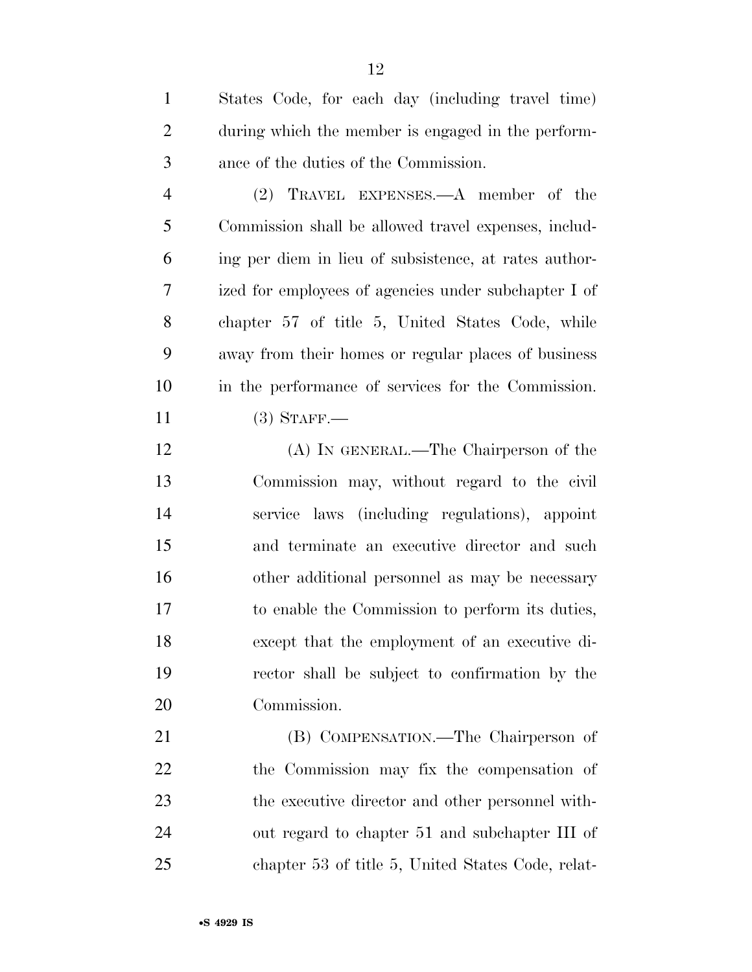| $\mathbf{1}$   | States Code, for each day (including travel time)     |
|----------------|-------------------------------------------------------|
| $\overline{2}$ | during which the member is engaged in the perform-    |
| 3              | ance of the duties of the Commission.                 |
| $\overline{4}$ | (2) TRAVEL EXPENSES.—A member of the                  |
| 5              | Commission shall be allowed travel expenses, includ-  |
| 6              | ing per diem in lieu of subsistence, at rates author- |
| 7              | ized for employees of agencies under subchapter I of  |
| 8              | chapter 57 of title 5, United States Code, while      |
| 9              | away from their homes or regular places of business   |
| 10             | in the performance of services for the Commission.    |
| 11             | $(3)$ STAFF.                                          |
| 12             | (A) IN GENERAL.—The Chairperson of the                |
| 13             | Commission may, without regard to the civil           |
| 14             | service laws (including regulations), appoint         |
| 15             | and terminate an executive director and such          |
| 16             | other additional personnel as may be necessary        |
| 17             | to enable the Commission to perform its duties,       |
| 18             | except that the employment of an executive di-        |
| 19             | rector shall be subject to confirmation by the        |
| 20             | Commission.                                           |
|                |                                                       |

 (B) COMPENSATION.—The Chairperson of the Commission may fix the compensation of the executive director and other personnel with- out regard to chapter 51 and subchapter III of chapter 53 of title 5, United States Code, relat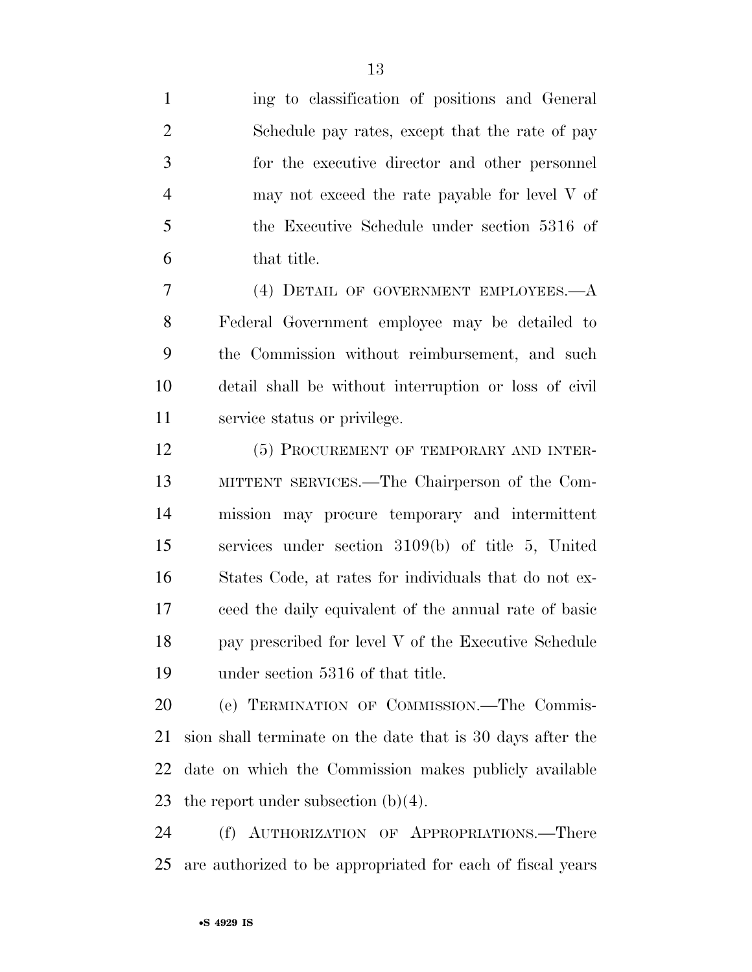ing to classification of positions and General Schedule pay rates, except that the rate of pay for the executive director and other personnel may not exceed the rate payable for level V of the Executive Schedule under section 5316 of that title.

 (4) DETAIL OF GOVERNMENT EMPLOYEES.—A Federal Government employee may be detailed to the Commission without reimbursement, and such detail shall be without interruption or loss of civil service status or privilege.

12 (5) PROCUREMENT OF TEMPORARY AND INTER- MITTENT SERVICES.—The Chairperson of the Com- mission may procure temporary and intermittent services under section 3109(b) of title 5, United States Code, at rates for individuals that do not ex- ceed the daily equivalent of the annual rate of basic pay prescribed for level V of the Executive Schedule under section 5316 of that title.

 (e) TERMINATION OF COMMISSION.—The Commis- sion shall terminate on the date that is 30 days after the date on which the Commission makes publicly available the report under subsection (b)(4).

 (f) AUTHORIZATION OF APPROPRIATIONS.—There are authorized to be appropriated for each of fiscal years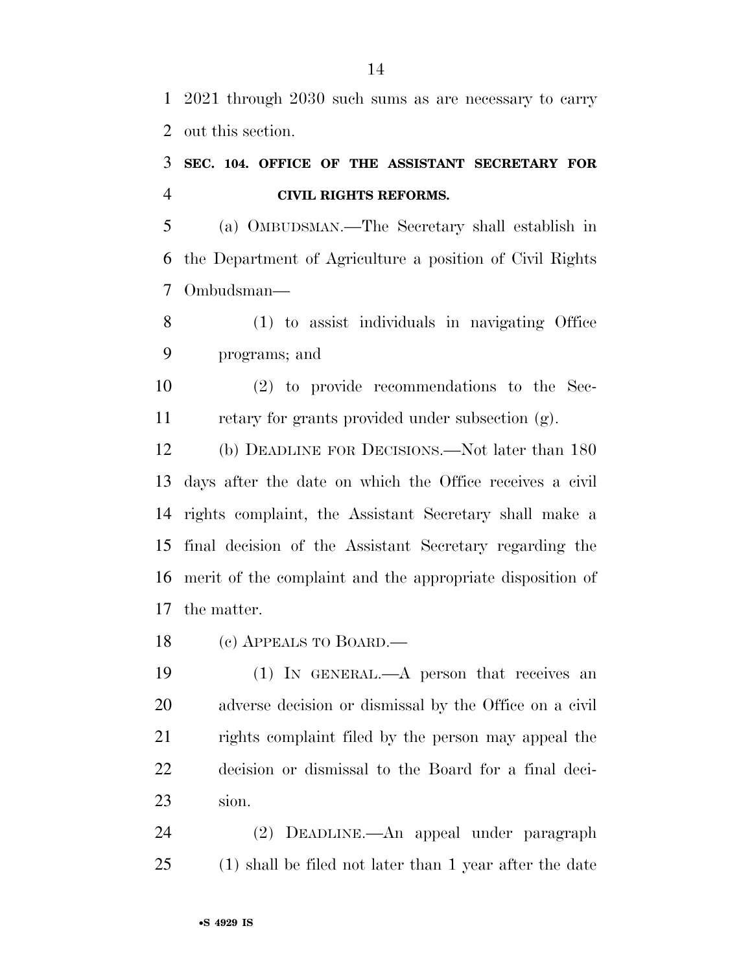2021 through 2030 such sums as are necessary to carry out this section.

## **SEC. 104. OFFICE OF THE ASSISTANT SECRETARY FOR CIVIL RIGHTS REFORMS.**

 (a) OMBUDSMAN.—The Secretary shall establish in the Department of Agriculture a position of Civil Rights Ombudsman—

 (1) to assist individuals in navigating Office programs; and

 (2) to provide recommendations to the Sec-retary for grants provided under subsection (g).

 (b) DEADLINE FOR DECISIONS.—Not later than 180 days after the date on which the Office receives a civil rights complaint, the Assistant Secretary shall make a final decision of the Assistant Secretary regarding the merit of the complaint and the appropriate disposition of the matter.

(c) APPEALS TO BOARD.—

 (1) IN GENERAL.—A person that receives an adverse decision or dismissal by the Office on a civil rights complaint filed by the person may appeal the decision or dismissal to the Board for a final deci-sion.

 (2) DEADLINE.—An appeal under paragraph (1) shall be filed not later than 1 year after the date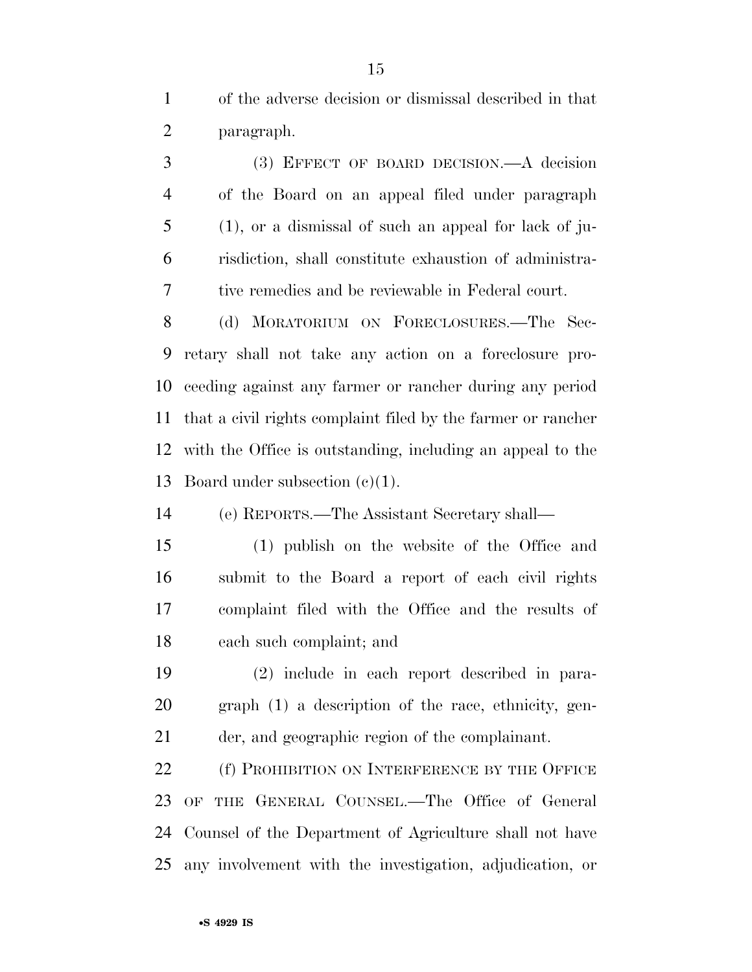of the adverse decision or dismissal described in that paragraph.

 (3) EFFECT OF BOARD DECISION.—A decision of the Board on an appeal filed under paragraph (1), or a dismissal of such an appeal for lack of ju- risdiction, shall constitute exhaustion of administra-tive remedies and be reviewable in Federal court.

 (d) MORATORIUM ON FORECLOSURES.—The Sec- retary shall not take any action on a foreclosure pro- ceeding against any farmer or rancher during any period that a civil rights complaint filed by the farmer or rancher with the Office is outstanding, including an appeal to the Board under subsection (c)(1).

(e) REPORTS.—The Assistant Secretary shall—

 (1) publish on the website of the Office and submit to the Board a report of each civil rights complaint filed with the Office and the results of each such complaint; and

 (2) include in each report described in para- graph (1) a description of the race, ethnicity, gen-der, and geographic region of the complainant.

22 (f) PROHIBITION ON INTERFERENCE BY THE OFFICE OF THE GENERAL COUNSEL.—The Office of General Counsel of the Department of Agriculture shall not have any involvement with the investigation, adjudication, or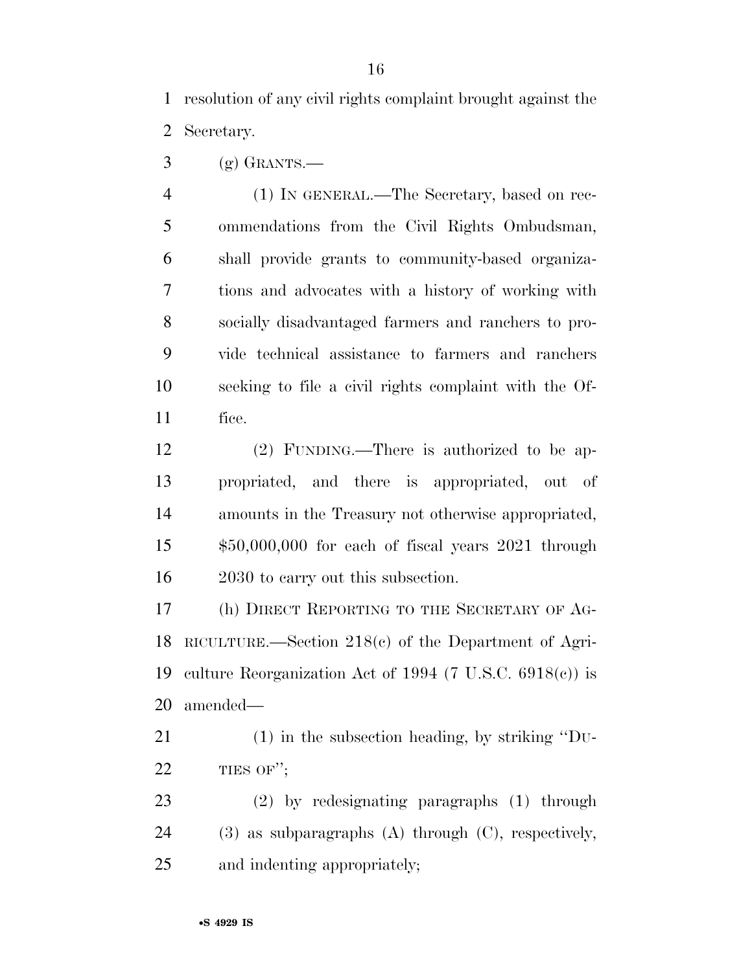resolution of any civil rights complaint brought against the Secretary.

 $3 \quad$  (g) GRANTS.—

 (1) IN GENERAL.—The Secretary, based on rec- ommendations from the Civil Rights Ombudsman, shall provide grants to community-based organiza- tions and advocates with a history of working with socially disadvantaged farmers and ranchers to pro- vide technical assistance to farmers and ranchers seeking to file a civil rights complaint with the Of-fice.

 (2) FUNDING.—There is authorized to be ap- propriated, and there is appropriated, out of amounts in the Treasury not otherwise appropriated, \$50,000,000 for each of fiscal years 2021 through 16 2030 to carry out this subsection.

 (h) DIRECT REPORTING TO THE SECRETARY OF AG- RICULTURE.—Section 218(c) of the Department of Agri- culture Reorganization Act of 1994 (7 U.S.C. 6918(c)) is amended—

 (1) in the subsection heading, by striking ''DU-22 TIES OF";

 (2) by redesignating paragraphs (1) through (3) as subparagraphs (A) through (C), respectively, and indenting appropriately;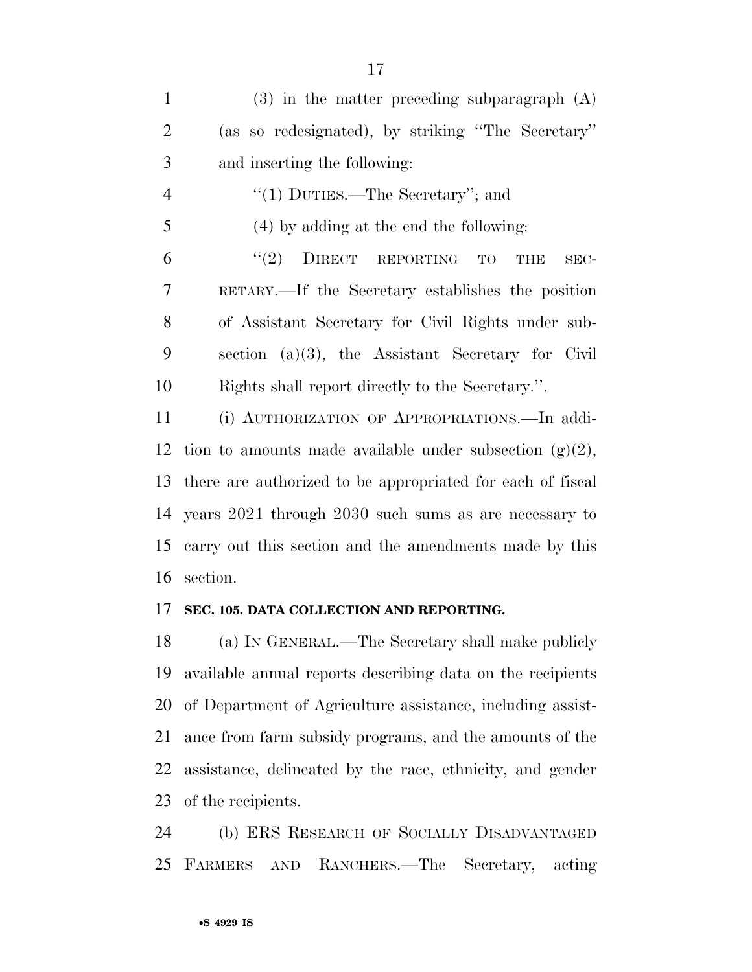| $\mathbf{1}$   | $(3)$ in the matter preceding subparagraph $(A)$              |
|----------------|---------------------------------------------------------------|
| $\overline{2}$ | (as so redesignated), by striking "The Secretary"             |
| 3              | and inserting the following:                                  |
| $\overline{4}$ | "(1) DUTIES.—The Secretary"; and                              |
| 5              | (4) by adding at the end the following:                       |
| 6              | $``(2)$ DIRECT REPORTING<br>TO<br><b>THE</b><br>SEC-          |
| 7              | RETARY.—If the Secretary establishes the position             |
| 8              | of Assistant Secretary for Civil Rights under sub-            |
| 9              | section $(a)(3)$ , the Assistant Secretary for Civil          |
| 10             | Rights shall report directly to the Secretary.".              |
| 11             | (i) AUTHORIZATION OF APPROPRIATIONS. In addi-                 |
|                | 12 tion to amounts made available under subsection $(g)(2)$ , |
| 13             | there are authorized to be appropriated for each of fiscal    |
|                | 14 years 2021 through 2030 such sums as are necessary to      |
|                |                                                               |

 carry out this section and the amendments made by this section.

## **SEC. 105. DATA COLLECTION AND REPORTING.**

 (a) IN GENERAL.—The Secretary shall make publicly available annual reports describing data on the recipients of Department of Agriculture assistance, including assist- ance from farm subsidy programs, and the amounts of the assistance, delineated by the race, ethnicity, and gender of the recipients.

 (b) ERS RESEARCH OF SOCIALLY DISADVANTAGED FARMERS AND RANCHERS.—The Secretary, acting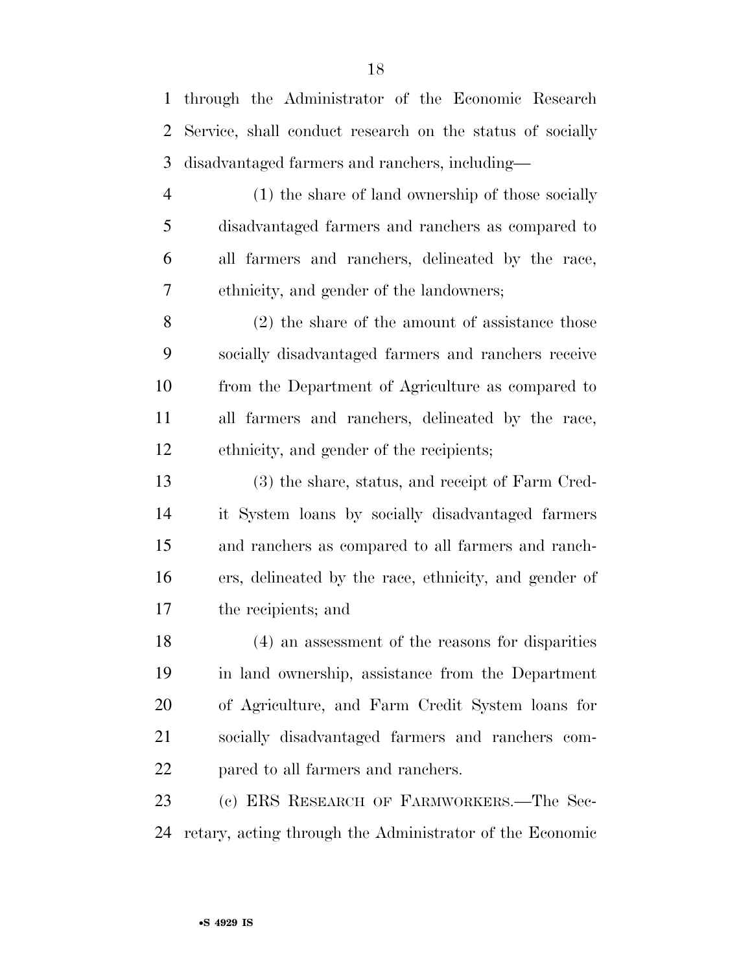through the Administrator of the Economic Research Service, shall conduct research on the status of socially disadvantaged farmers and ranchers, including— (1) the share of land ownership of those socially disadvantaged farmers and ranchers as compared to all farmers and ranchers, delineated by the race, ethnicity, and gender of the landowners; (2) the share of the amount of assistance those socially disadvantaged farmers and ranchers receive from the Department of Agriculture as compared to all farmers and ranchers, delineated by the race, ethnicity, and gender of the recipients; (3) the share, status, and receipt of Farm Cred- it System loans by socially disadvantaged farmers and ranchers as compared to all farmers and ranch- ers, delineated by the race, ethnicity, and gender of the recipients; and (4) an assessment of the reasons for disparities in land ownership, assistance from the Department of Agriculture, and Farm Credit System loans for socially disadvantaged farmers and ranchers com- pared to all farmers and ranchers. (c) ERS RESEARCH OF FARMWORKERS.—The Sec-retary, acting through the Administrator of the Economic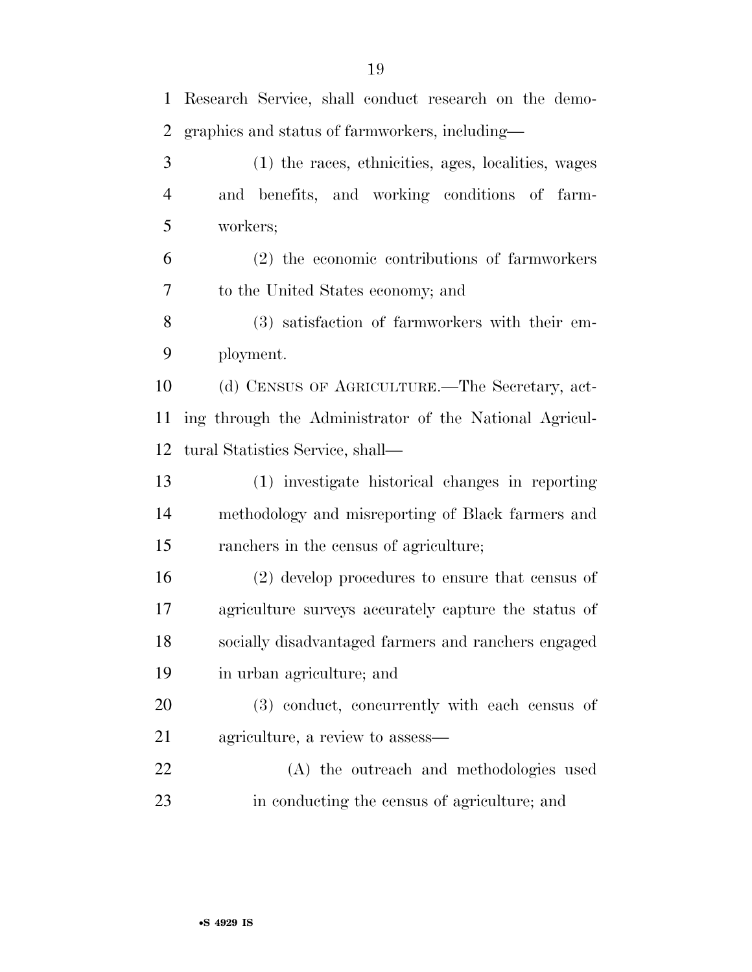| 1              | Research Service, shall conduct research on the demo-  |
|----------------|--------------------------------------------------------|
| 2              | graphics and status of farmworkers, including—         |
| 3              | (1) the races, ethnicities, ages, localities, wages    |
| $\overline{4}$ | and benefits, and working conditions of farm-          |
| 5              | workers;                                               |
| 6              | (2) the economic contributions of farmworkers          |
| 7              | to the United States economy; and                      |
| 8              | (3) satisfaction of farmworkers with their em-         |
| 9              | ployment.                                              |
| 10             | (d) CENSUS OF AGRICULTURE.—The Secretary, act-         |
| 11             | ing through the Administrator of the National Agricul- |
| 12             | tural Statistics Service, shall—                       |
| 13             | (1) investigate historical changes in reporting        |
| 14             | methodology and misreporting of Black farmers and      |
| 15             | ranchers in the census of agriculture;                 |
| 16             | $(2)$ develop procedures to ensure that census of      |
| 17             | agriculture surveys accurately capture the status of   |
| 18             | socially disadvantaged farmers and ranchers engaged    |
| 19             | in urban agriculture; and                              |
| 20             | (3) conduct, concurrently with each census of          |
| 21             | agriculture, a review to assess—                       |
| 22             | (A) the outreach and methodologies used                |
| 23             | in conducting the census of agriculture; and           |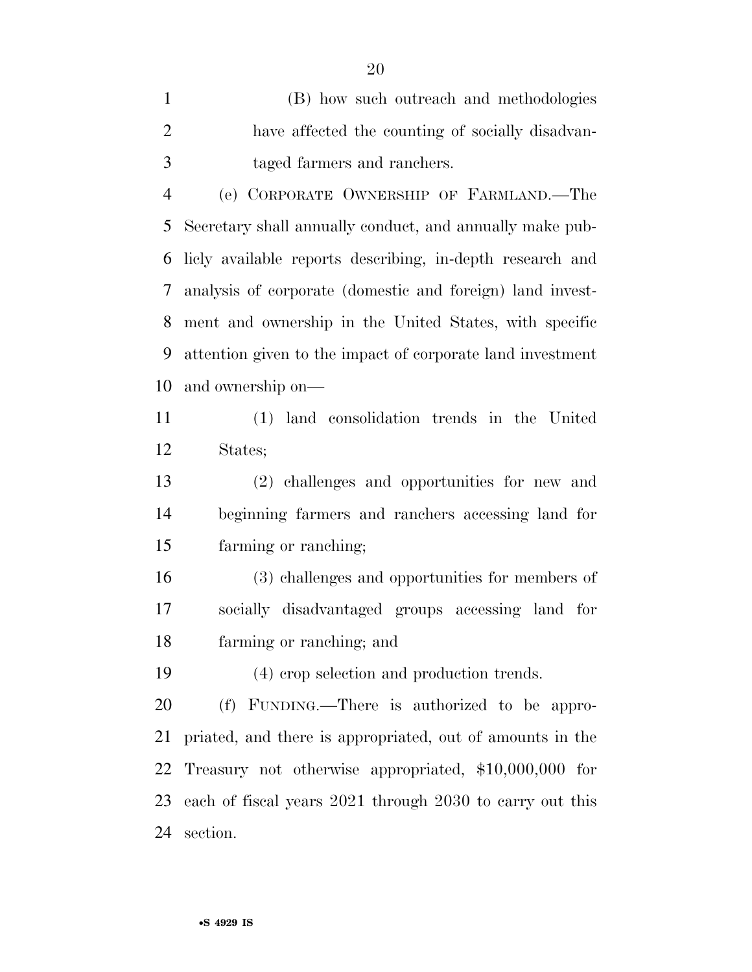(B) how such outreach and methodologies have affected the counting of socially disadvan-taged farmers and ranchers.

 (e) CORPORATE OWNERSHIP OF FARMLAND.—The Secretary shall annually conduct, and annually make pub- licly available reports describing, in-depth research and analysis of corporate (domestic and foreign) land invest- ment and ownership in the United States, with specific attention given to the impact of corporate land investment and ownership on—

 (1) land consolidation trends in the United States;

 (2) challenges and opportunities for new and beginning farmers and ranchers accessing land for farming or ranching;

 (3) challenges and opportunities for members of socially disadvantaged groups accessing land for farming or ranching; and

(4) crop selection and production trends.

 (f) FUNDING.—There is authorized to be appro- priated, and there is appropriated, out of amounts in the Treasury not otherwise appropriated, \$10,000,000 for each of fiscal years 2021 through 2030 to carry out this section.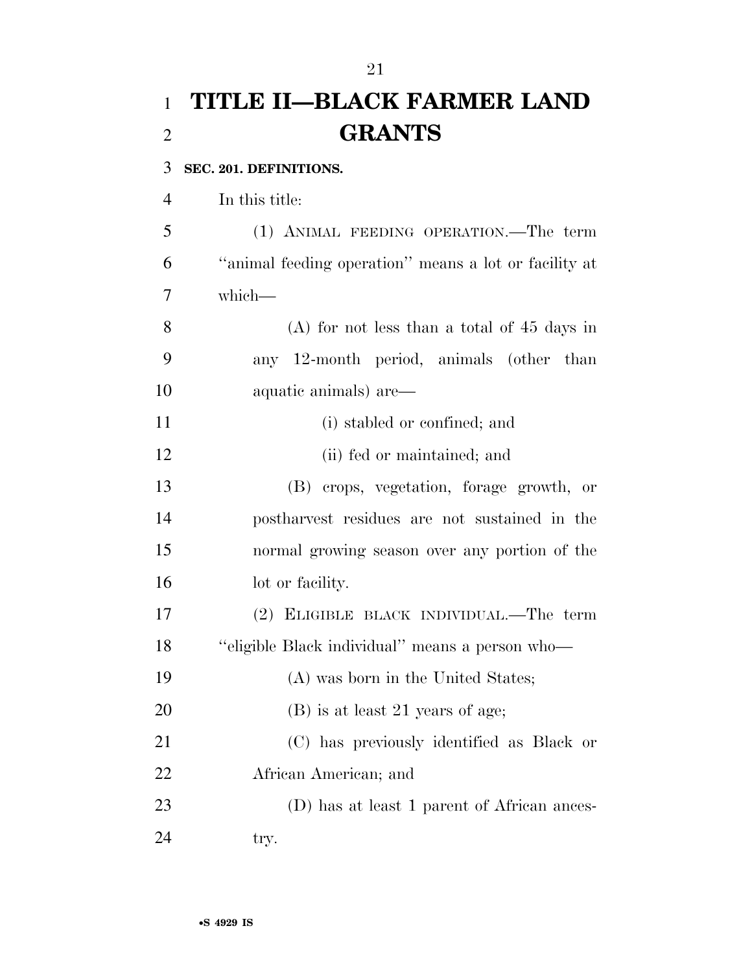# **TITLE II—BLACK FARMER LAND GRANTS**

### **SEC. 201. DEFINITIONS.**

In this title:

 (1) ANIMAL FEEDING OPERATION.—The term ''animal feeding operation'' means a lot or facility at which—

 (A) for not less than a total of 45 days in any 12-month period, animals (other than aquatic animals) are—

- (i) stabled or confined; and
- (ii) fed or maintained; and

 (B) crops, vegetation, forage growth, or postharvest residues are not sustained in the normal growing season over any portion of the 16 lot or facility.

 (2) ELIGIBLE BLACK INDIVIDUAL.—The term ''eligible Black individual'' means a person who—

 (A) was born in the United States; 20 (B) is at least 21 years of age; (C) has previously identified as Black or African American; and (D) has at least 1 parent of African ances-

24 try.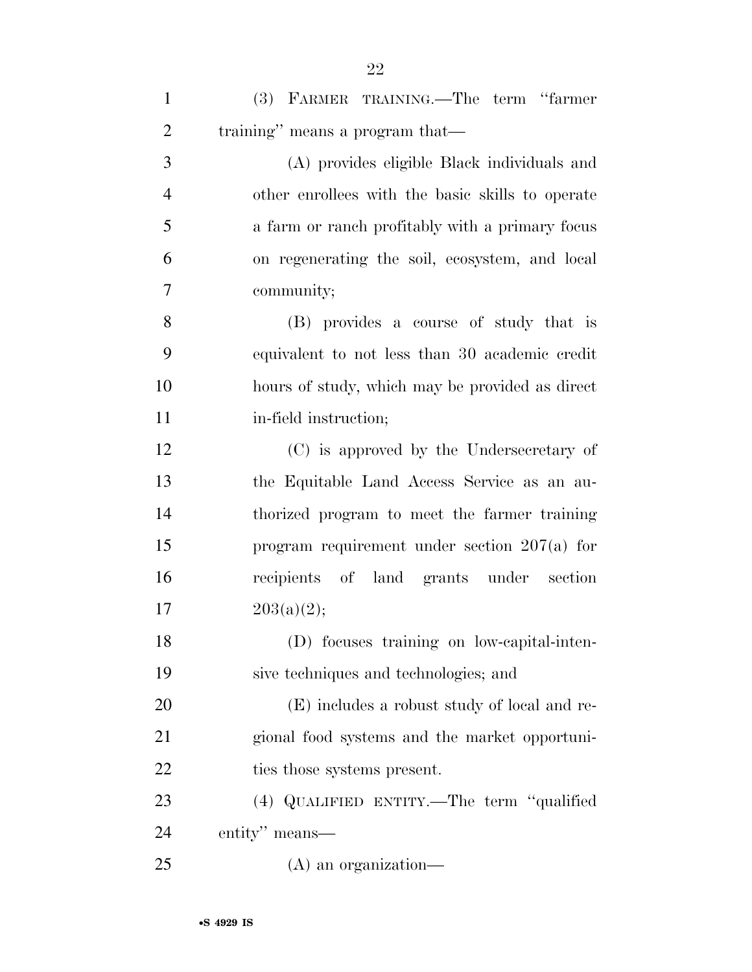| $\mathbf{1}$   | (3) FARMER TRAINING.—The term "farmer"           |
|----------------|--------------------------------------------------|
| $\overline{2}$ | training" means a program that—                  |
| 3              | (A) provides eligible Black individuals and      |
| $\overline{4}$ | other enrollees with the basic skills to operate |
| 5              | a farm or ranch profitably with a primary focus  |
| 6              | on regenerating the soil, ecosystem, and local   |
| 7              | community;                                       |
| 8              | (B) provides a course of study that is           |
| 9              | equivalent to not less than 30 academic credit   |
| 10             | hours of study, which may be provided as direct  |
| 11             | in-field instruction;                            |
| 12             | (C) is approved by the Undersecretary of         |
| 13             | the Equitable Land Access Service as an au-      |
| 14             | thorized program to meet the farmer training     |
| 15             | program requirement under section $207(a)$ for   |
| 16             | recipients of land grants under section          |
| 17             | 203(a)(2);                                       |
| 18             | (D) focuses training on low-capital-inten-       |
| 19             | sive techniques and technologies; and            |
| 20             | (E) includes a robust study of local and re-     |
| 21             | gional food systems and the market opportuni-    |
| <u>22</u>      | ties those systems present.                      |
| 23             | (4) QUALIFIED ENTITY.—The term "qualified        |
| 24             | entity" means—                                   |
| 25             | $(A)$ an organization—                           |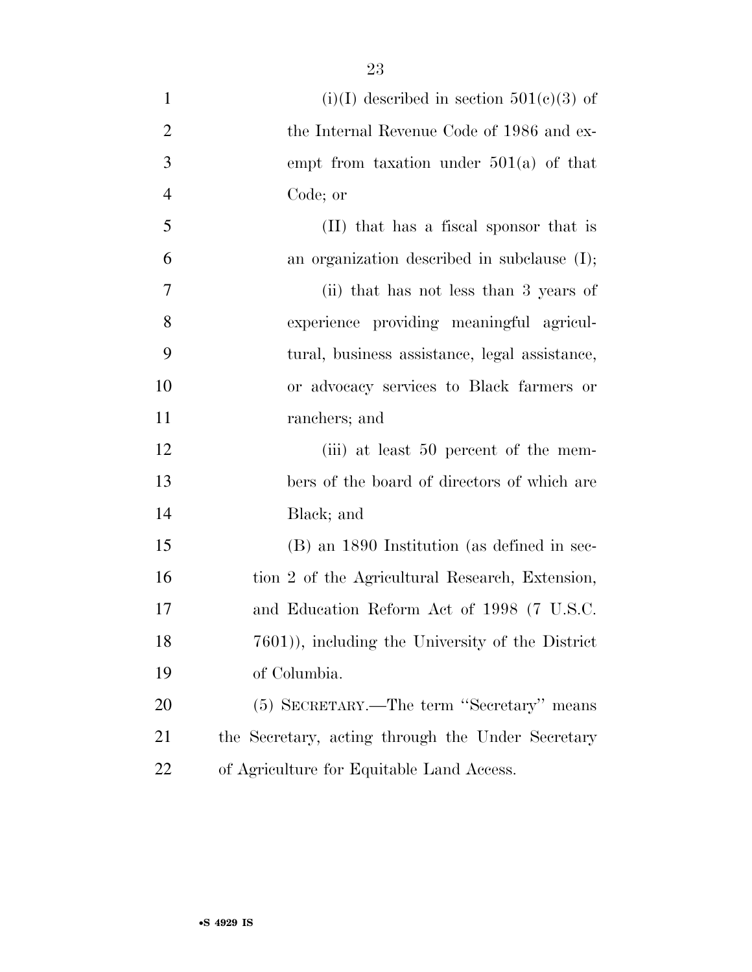1 (i)(I) described in section  $501(c)(3)$  of 2 the Internal Revenue Code of 1986 and ex- empt from taxation under 501(a) of that Code; or (II) that has a fiscal sponsor that is an organization described in subclause (I); (ii) that has not less than 3 years of experience providing meaningful agricul- tural, business assistance, legal assistance, or advocacy services to Black farmers or ranchers; and 12 (iii) at least 50 percent of the mem- bers of the board of directors of which are Black; and (B) an 1890 Institution (as defined in sec-16 tion 2 of the Agricultural Research, Extension, and Education Reform Act of 1998 (7 U.S.C. 7601)), including the University of the District of Columbia. (5) SECRETARY.—The term ''Secretary'' means the Secretary, acting through the Under Secretary of Agriculture for Equitable Land Access.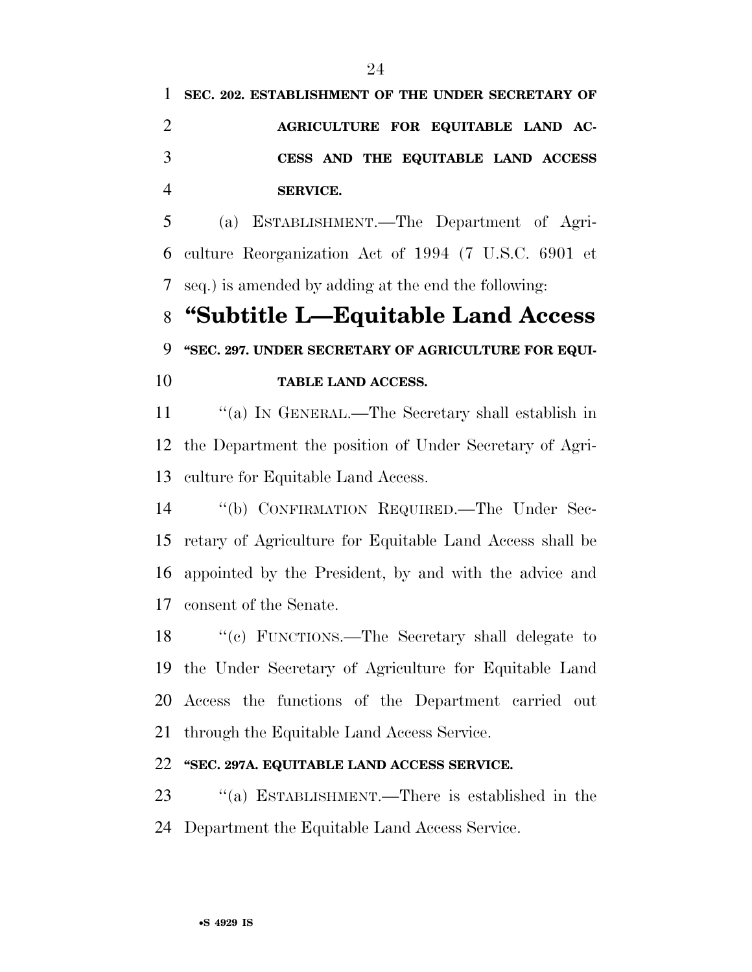**SEC. 202. ESTABLISHMENT OF THE UNDER SECRETARY OF AGRICULTURE FOR EQUITABLE LAND AC- CESS AND THE EQUITABLE LAND ACCESS SERVICE.** 

 (a) ESTABLISHMENT.—The Department of Agri- culture Reorganization Act of 1994 (7 U.S.C. 6901 et seq.) is amended by adding at the end the following:

# **''Subtitle L—Equitable Land Access ''SEC. 297. UNDER SECRETARY OF AGRICULTURE FOR EQUI-TABLE LAND ACCESS.**

11 "(a) IN GENERAL.—The Secretary shall establish in the Department the position of Under Secretary of Agri-

culture for Equitable Land Access.

 ''(b) CONFIRMATION REQUIRED.—The Under Sec- retary of Agriculture for Equitable Land Access shall be appointed by the President, by and with the advice and consent of the Senate.

 ''(c) FUNCTIONS.—The Secretary shall delegate to the Under Secretary of Agriculture for Equitable Land Access the functions of the Department carried out through the Equitable Land Access Service.

## **''SEC. 297A. EQUITABLE LAND ACCESS SERVICE.**

 ''(a) ESTABLISHMENT.—There is established in the Department the Equitable Land Access Service.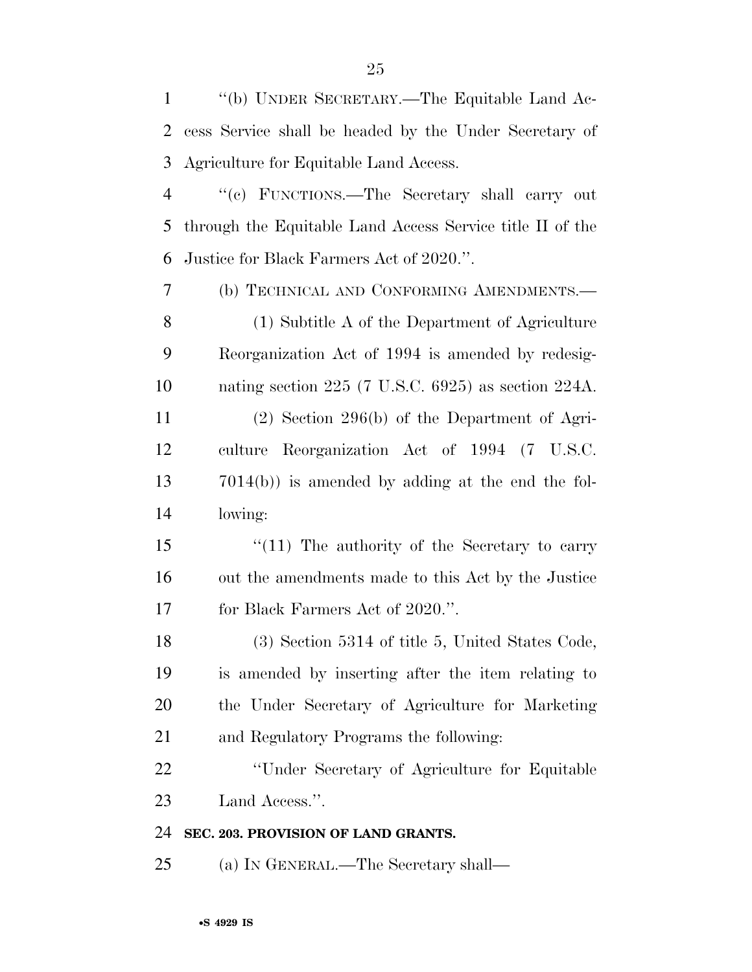''(b) UNDER SECRETARY.—The Equitable Land Ac- cess Service shall be headed by the Under Secretary of Agriculture for Equitable Land Access.

 ''(c) FUNCTIONS.—The Secretary shall carry out through the Equitable Land Access Service title II of the Justice for Black Farmers Act of 2020.''.

 (b) TECHNICAL AND CONFORMING AMENDMENTS.— (1) Subtitle A of the Department of Agriculture Reorganization Act of 1994 is amended by redesig- nating section 225 (7 U.S.C. 6925) as section 224A. (2) Section 296(b) of the Department of Agri- culture Reorganization Act of 1994 (7 U.S.C. 7014(b)) is amended by adding at the end the fol-lowing:

15 ''(11) The authority of the Secretary to carry out the amendments made to this Act by the Justice 17 for Black Farmers Act of 2020.".

 (3) Section 5314 of title 5, United States Code, is amended by inserting after the item relating to the Under Secretary of Agriculture for Marketing and Regulatory Programs the following:

 ''Under Secretary of Agriculture for Equitable Land Access.''.

## **SEC. 203. PROVISION OF LAND GRANTS.**

(a) IN GENERAL.—The Secretary shall—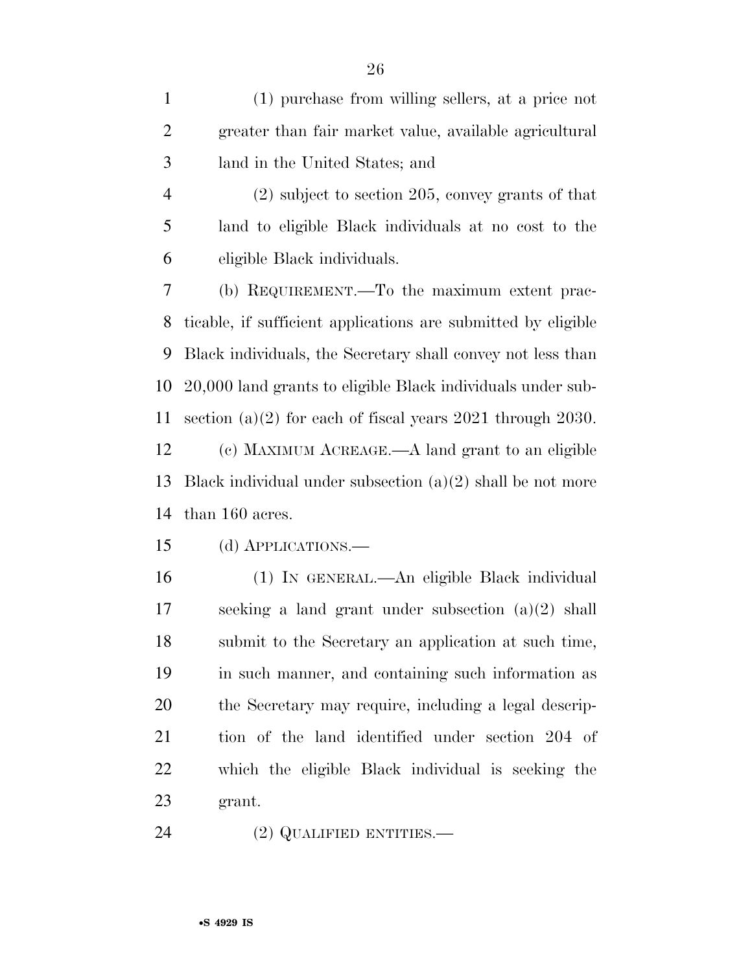(1) purchase from willing sellers, at a price not greater than fair market value, available agricultural land in the United States; and

 (2) subject to section 205, convey grants of that land to eligible Black individuals at no cost to the eligible Black individuals.

 (b) REQUIREMENT.—To the maximum extent prac- ticable, if sufficient applications are submitted by eligible Black individuals, the Secretary shall convey not less than 20,000 land grants to eligible Black individuals under sub- section (a)(2) for each of fiscal years 2021 through 2030. (c) MAXIMUM ACREAGE.—A land grant to an eligible Black individual under subsection (a)(2) shall be not more than 160 acres.

(d) APPLICATIONS.—

 (1) IN GENERAL.—An eligible Black individual seeking a land grant under subsection (a)(2) shall submit to the Secretary an application at such time, in such manner, and containing such information as the Secretary may require, including a legal descrip- tion of the land identified under section 204 of which the eligible Black individual is seeking the grant.

24 (2) QUALIFIED ENTITIES.—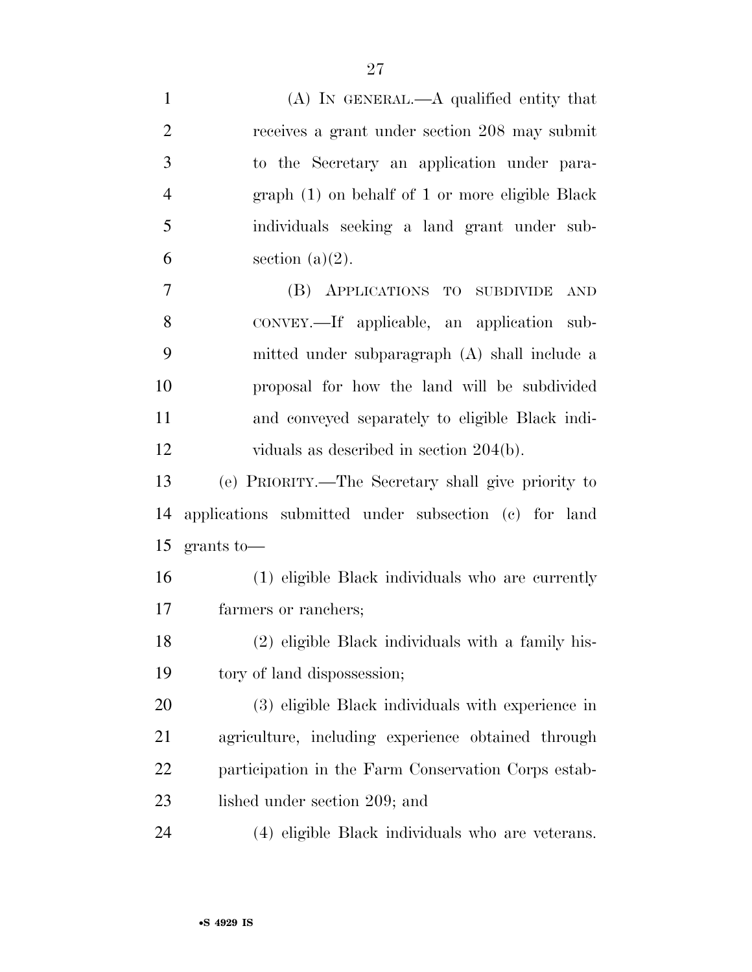| $\mathbf{1}$   | $(A)$ In GENERAL.— $A$ qualified entity that         |
|----------------|------------------------------------------------------|
| $\overline{2}$ | receives a grant under section 208 may submit        |
| 3              | to the Secretary an application under para-          |
| $\overline{4}$ | graph (1) on behalf of 1 or more eligible Black      |
| 5              | individuals seeking a land grant under sub-          |
| 6              | section $(a)(2)$ .                                   |
| 7              | (B) APPLICATIONS TO SUBDIVIDE<br>AND                 |
| 8              | CONVEY.—If applicable, an application sub-           |
| 9              | mitted under subparagraph (A) shall include a        |
| 10             | proposal for how the land will be subdivided         |
| 11             | and conveyed separately to eligible Black indi-      |
| 12             | viduals as described in section $204(b)$ .           |
| 13             | (e) PRIORITY.—The Secretary shall give priority to   |
| 14             | applications submitted under subsection (c) for land |
| 15             | $grants$ to —                                        |
| 16             | (1) eligible Black individuals who are currently     |
| 17             | farmers or ranchers;                                 |
| 18             | (2) eligible Black individuals with a family his-    |
| 19             | tory of land dispossession;                          |
| 20             | (3) eligible Black individuals with experience in    |
| 21             | agriculture, including experience obtained through   |
| 22             | participation in the Farm Conservation Corps estab-  |
| 23             | lished under section 209; and                        |
|                |                                                      |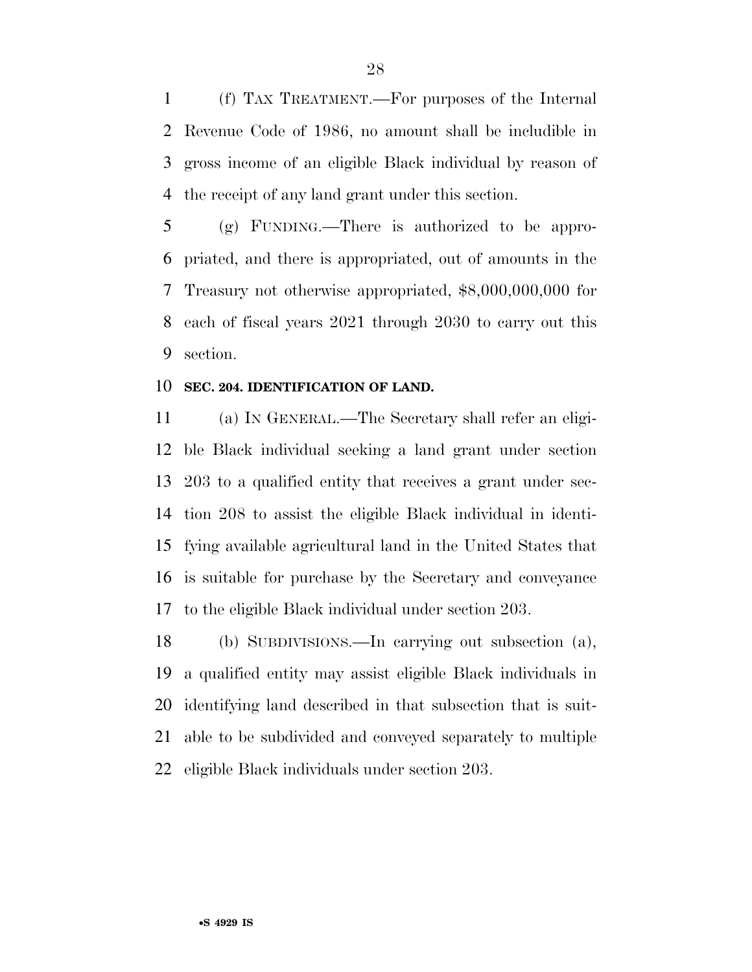(f) TAX TREATMENT.—For purposes of the Internal Revenue Code of 1986, no amount shall be includible in gross income of an eligible Black individual by reason of the receipt of any land grant under this section.

 (g) FUNDING.—There is authorized to be appro- priated, and there is appropriated, out of amounts in the Treasury not otherwise appropriated, \$8,000,000,000 for each of fiscal years 2021 through 2030 to carry out this section.

#### **SEC. 204. IDENTIFICATION OF LAND.**

 (a) IN GENERAL.—The Secretary shall refer an eligi- ble Black individual seeking a land grant under section 203 to a qualified entity that receives a grant under sec- tion 208 to assist the eligible Black individual in identi- fying available agricultural land in the United States that is suitable for purchase by the Secretary and conveyance to the eligible Black individual under section 203.

 (b) SUBDIVISIONS.—In carrying out subsection (a), a qualified entity may assist eligible Black individuals in identifying land described in that subsection that is suit- able to be subdivided and conveyed separately to multiple eligible Black individuals under section 203.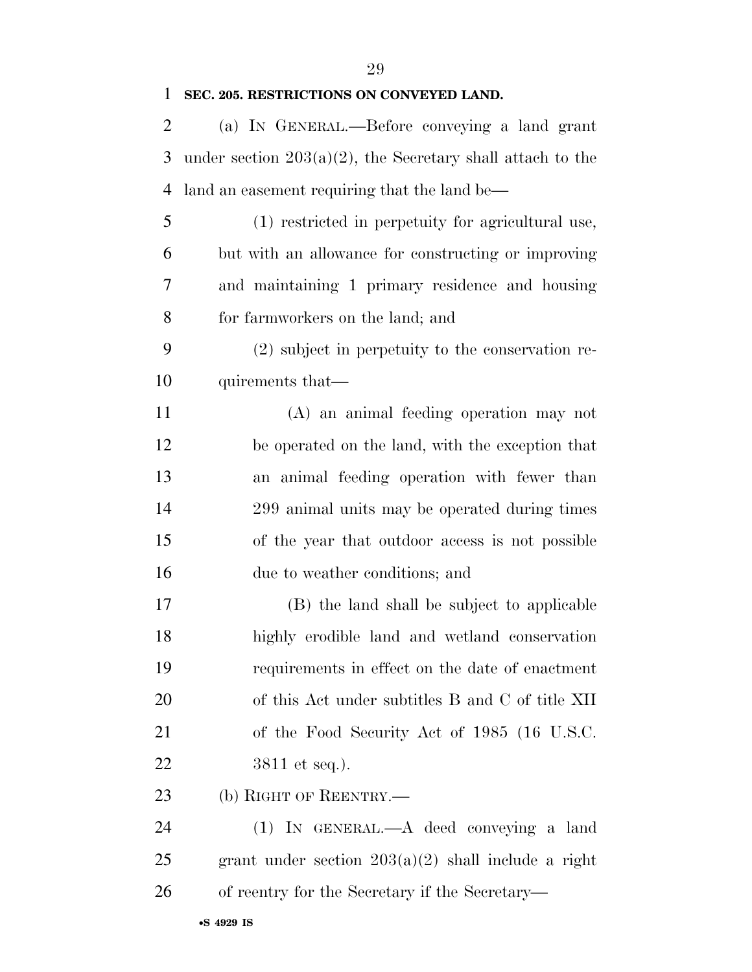| $\mathbf{1}$   | SEC. 205. RESTRICTIONS ON CONVEYED LAND.                      |
|----------------|---------------------------------------------------------------|
| $\overline{2}$ | (a) IN GENERAL.—Before conveying a land grant                 |
| 3              | under section $203(a)(2)$ , the Secretary shall attach to the |
| 4              | land an easement requiring that the land be—                  |
| 5              | (1) restricted in perpetuity for agricultural use,            |
| 6              | but with an allowance for constructing or improving           |
| 7              | and maintaining 1 primary residence and housing               |
| 8              | for farmworkers on the land; and                              |
| 9              | (2) subject in perpetuity to the conservation re-             |
| 10             | quirements that—                                              |
| 11             | (A) an animal feeding operation may not                       |
| 12             | be operated on the land, with the exception that              |
| 13             | an animal feeding operation with fewer than                   |
| 14             | 299 animal units may be operated during times                 |
| 15             | of the year that outdoor access is not possible               |
| 16             | due to weather conditions; and                                |
| 17             | (B) the land shall be subject to applicable                   |
| 18             | highly erodible land and wetland conservation                 |
| 19             | requirements in effect on the date of enactment               |
| 20             | of this Act under subtitles B and C of title XII              |
| 21             | of the Food Security Act of 1985 (16 U.S.C.                   |
| 22             | $3811$ et seq.).                                              |
| 23             | (b) RIGHT OF REENTRY.—                                        |
| 24             | $(1)$ IN GENERAL.— $A$ deed conveying a land                  |

 grant under section 203(a)(2) shall include a right of reentry for the Secretary if the Secretary—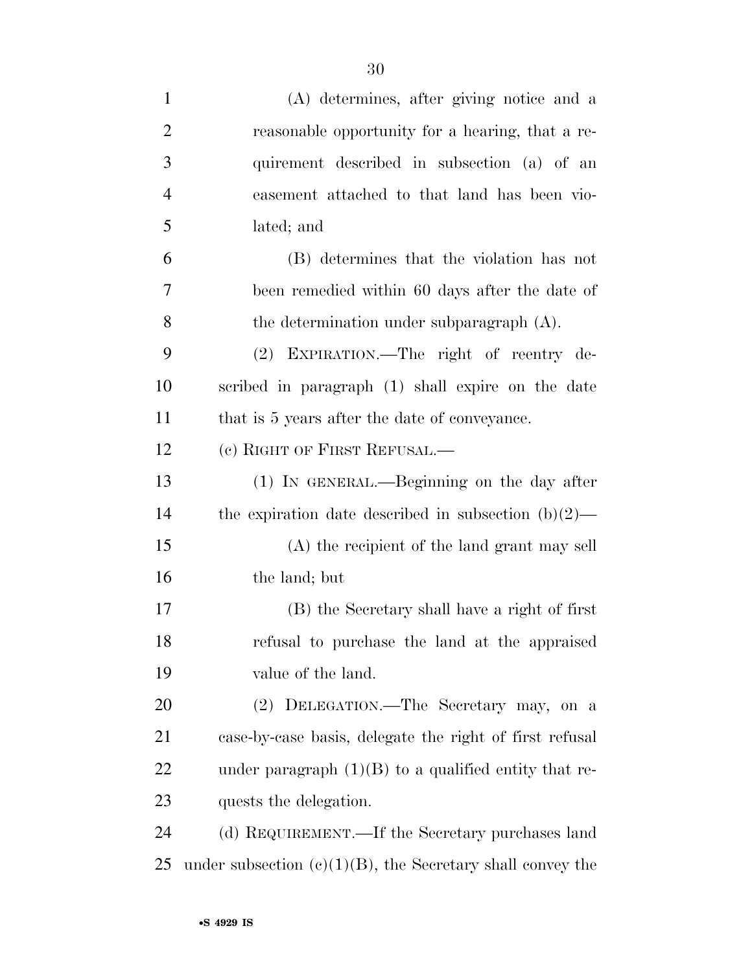| $\mathbf{1}$   | (A) determines, after giving notice and a                     |
|----------------|---------------------------------------------------------------|
| $\overline{2}$ | reasonable opportunity for a hearing, that a re-              |
| 3              | quirement described in subsection (a) of an                   |
| $\overline{4}$ | easement attached to that land has been vio-                  |
| 5              | lated; and                                                    |
| 6              | (B) determines that the violation has not                     |
| 7              | been remedied within 60 days after the date of                |
| 8              | the determination under subparagraph $(A)$ .                  |
| 9              | (2) EXPIRATION.—The right of reentry de-                      |
| 10             | scribed in paragraph (1) shall expire on the date             |
| 11             | that is 5 years after the date of conveyance.                 |
| 12             | (c) RIGHT OF FIRST REFUSAL.—                                  |
| 13             | (1) IN GENERAL.—Beginning on the day after                    |
| 14             | the expiration date described in subsection $(b)(2)$ —        |
| 15             | (A) the recipient of the land grant may sell                  |
| 16             | the land; but                                                 |
| 17             | (B) the Secretary shall have a right of first                 |
| 18             | refusal to purchase the land at the appraised                 |
| 19             | value of the land.                                            |
| 20             | (2) DELEGATION.—The Secretary may, on a                       |
| 21             | case-by-case basis, delegate the right of first refusal       |
| 22             | under paragraph $(1)(B)$ to a qualified entity that re-       |
| 23             | quests the delegation.                                        |
| 24             | (d) REQUIREMENT.—If the Secretary purchases land              |
| 25             | under subsection $(e)(1)(B)$ , the Secretary shall convey the |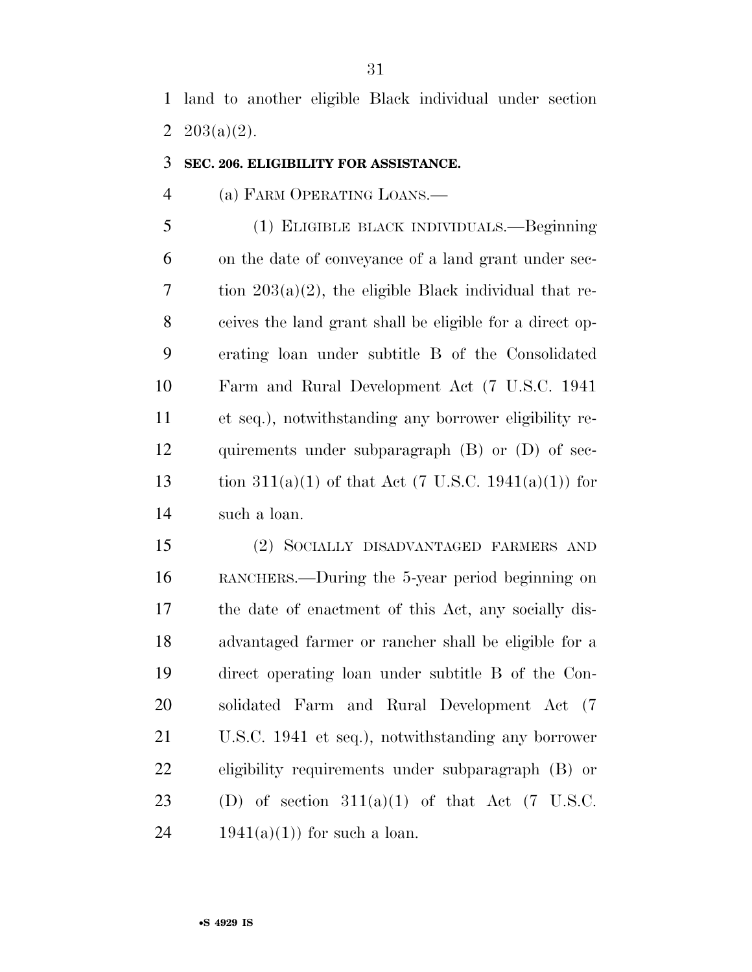land to another eligible Black individual under section 2  $203(a)(2)$ .

#### **SEC. 206. ELIGIBILITY FOR ASSISTANCE.**

### (a) FARM OPERATING LOANS.—

 (1) ELIGIBLE BLACK INDIVIDUALS.—Beginning on the date of conveyance of a land grant under sec-7 tion  $203(a)(2)$ , the eligible Black individual that re- ceives the land grant shall be eligible for a direct op- erating loan under subtitle B of the Consolidated Farm and Rural Development Act (7 U.S.C. 1941 et seq.), notwithstanding any borrower eligibility re- quirements under subparagraph (B) or (D) of sec-13 tion  $311(a)(1)$  of that Act (7 U.S.C. 1941(a)(1)) for such a loan.

 (2) SOCIALLY DISADVANTAGED FARMERS AND RANCHERS.—During the 5-year period beginning on the date of enactment of this Act, any socially dis- advantaged farmer or rancher shall be eligible for a direct operating loan under subtitle B of the Con- solidated Farm and Rural Development Act (7 U.S.C. 1941 et seq.), notwithstanding any borrower eligibility requirements under subparagraph (B) or 23 (D) of section  $311(a)(1)$  of that Act (7 U.S.C. 24 1941(a)(1)) for such a loan.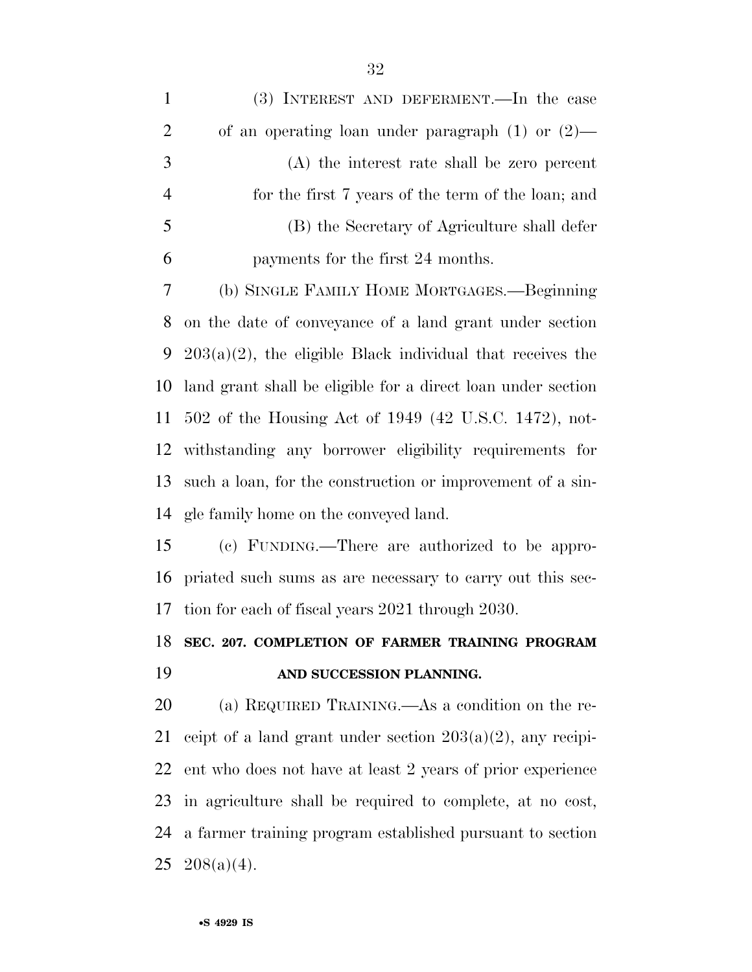| $\mathbf{1}$   | (3) INTEREST AND DEFERMENT.—In the case                       |
|----------------|---------------------------------------------------------------|
| $\overline{2}$ | of an operating loan under paragraph $(1)$ or $(2)$ —         |
| 3              | $(A)$ the interest rate shall be zero percent                 |
| $\overline{4}$ | for the first 7 years of the term of the loan; and            |
| 5              | (B) the Secretary of Agriculture shall defer                  |
| 6              | payments for the first 24 months.                             |
| $\tau$         | (b) SINGLE FAMILY HOME MORTGAGES.—Beginning                   |
| 8              | on the date of conveyance of a land grant under section       |
| 9              | $203(a)(2)$ , the eligible Black individual that receives the |
| 10             | land grant shall be eligible for a direct loan under section  |
| 11             | 502 of the Housing Act of 1949 (42 U.S.C. 1472), not-         |
| 12             | withstanding any borrower eligibility requirements for        |
| 13             | such a loan, for the construction or improvement of a sin-    |
| 14             | gle family home on the conveyed land.                         |
| 15             | (c) FUNDING.—There are authorized to be appro-                |
| 16             | priated such sums as are necessary to carry out this sec-     |
| 17             | tion for each of fiscal years 2021 through 2030.              |
| 18             | SEC. 207. COMPLETION OF FARMER TRAINING PROGRAM               |
| 19             | AND SUCCESSION PLANNING.                                      |
| 20             | (a) REQUIRED TRAINING.—As a condition on the re-              |
| 21             | ceipt of a land grant under section $203(a)(2)$ , any recipi- |
| 22             | ent who does not have at least 2 years of prior experience    |
| 23             | in agriculture shall be required to complete, at no cost,     |
| 24             | a farmer training program established pursuant to section     |
|                | $25 \quad 208(a)(4)$ .                                        |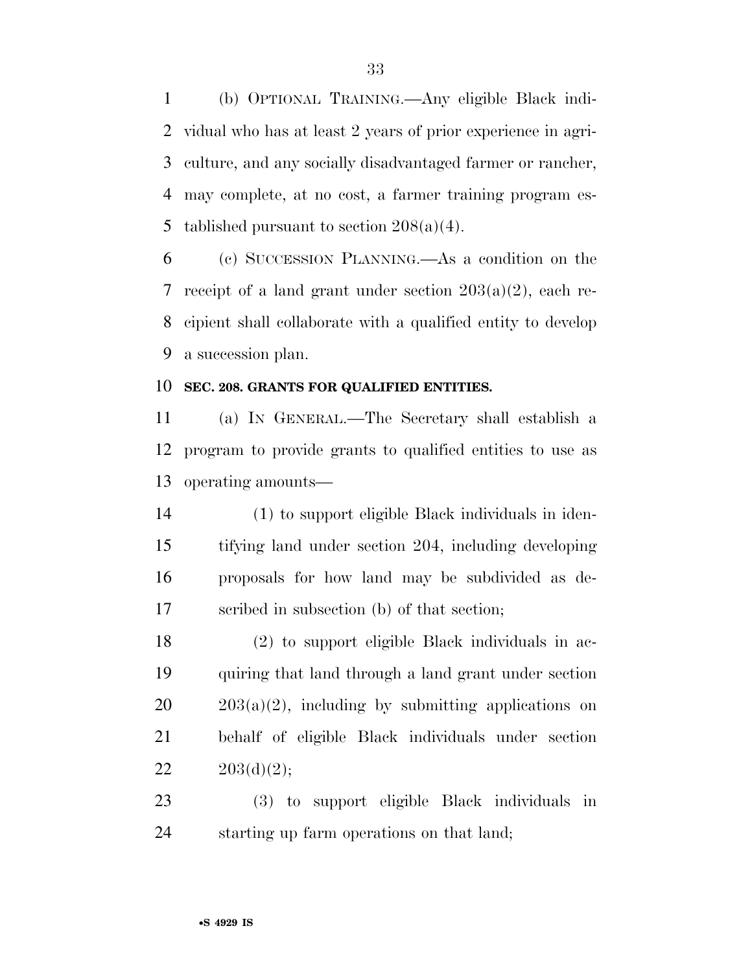(b) OPTIONAL TRAINING.—Any eligible Black indi- vidual who has at least 2 years of prior experience in agri- culture, and any socially disadvantaged farmer or rancher, may complete, at no cost, a farmer training program es-5 tablished pursuant to section  $208(a)(4)$ .

 (c) SUCCESSION PLANNING.—As a condition on the receipt of a land grant under section 203(a)(2), each re- cipient shall collaborate with a qualified entity to develop a succession plan.

#### **SEC. 208. GRANTS FOR QUALIFIED ENTITIES.**

 (a) IN GENERAL.—The Secretary shall establish a program to provide grants to qualified entities to use as operating amounts—

 (1) to support eligible Black individuals in iden- tifying land under section 204, including developing proposals for how land may be subdivided as de-scribed in subsection (b) of that section;

 (2) to support eligible Black individuals in ac- quiring that land through a land grant under section  $20 \qquad 203(a)(2)$ , including by submitting applications on behalf of eligible Black individuals under section  $203(d)(2);$ 

 (3) to support eligible Black individuals in starting up farm operations on that land;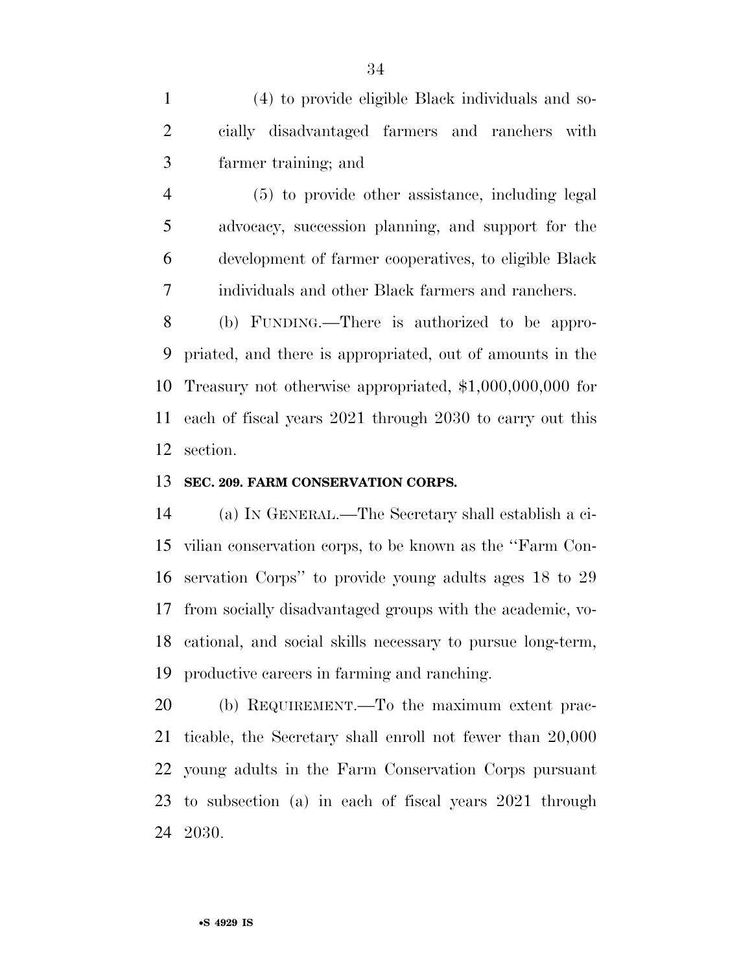(4) to provide eligible Black individuals and so- cially disadvantaged farmers and ranchers with farmer training; and

 (5) to provide other assistance, including legal advocacy, succession planning, and support for the development of farmer cooperatives, to eligible Black individuals and other Black farmers and ranchers.

 (b) FUNDING.—There is authorized to be appro- priated, and there is appropriated, out of amounts in the Treasury not otherwise appropriated, \$1,000,000,000 for each of fiscal years 2021 through 2030 to carry out this section.

#### **SEC. 209. FARM CONSERVATION CORPS.**

 (a) IN GENERAL.—The Secretary shall establish a ci- vilian conservation corps, to be known as the ''Farm Con- servation Corps'' to provide young adults ages 18 to 29 from socially disadvantaged groups with the academic, vo- cational, and social skills necessary to pursue long-term, productive careers in farming and ranching.

 (b) REQUIREMENT.—To the maximum extent prac- ticable, the Secretary shall enroll not fewer than 20,000 young adults in the Farm Conservation Corps pursuant to subsection (a) in each of fiscal years 2021 through 2030.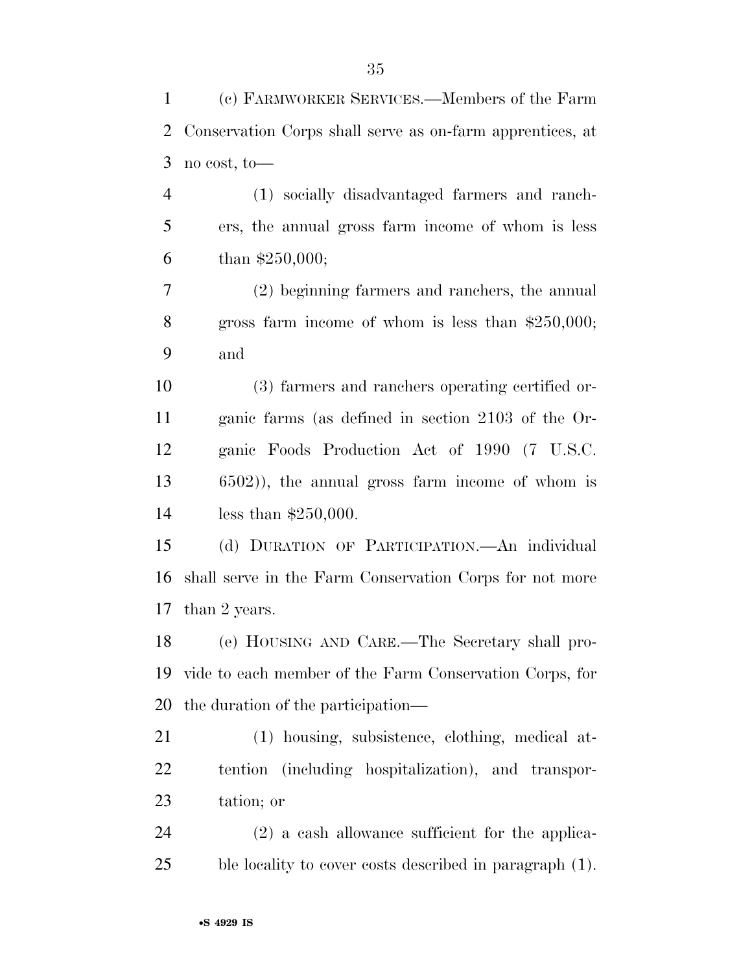| 1      | (c) FARMWORKER SERVICES.—Members of the Farm              |
|--------|-----------------------------------------------------------|
| 2      | Conservation Corps shall serve as on-farm apprentices, at |
| 3      | no cost, to-                                              |
| 4      | (1) socially disadvantaged farmers and ranch-             |
| 5      | ers, the annual gross farm income of whom is less         |
| 6      | than $$250,000;$                                          |
| $\tau$ | (2) beginning farmers and ranchers, the annual            |
| 8      | gross farm income of whom is less than $$250,000;$        |
| 9      | and                                                       |
| 10     | (3) farmers and ranchers operating certified or-          |
| 11     | ganic farms (as defined in section 2103 of the Or-        |
| 12     | ganic Foods Production Act of 1990 (7 U.S.C.              |
| 13     | $(6502)$ , the annual gross farm income of whom is        |
| 14     | less than $$250,000$ .                                    |
| 15     | (d) DURATION OF PARTICIPATION. An individual              |
| 16     | shall serve in the Farm Conservation Corps for not more   |
| 17     | than 2 years.                                             |
| 18     | (e) HOUSING AND CARE.—The Secretary shall pro-            |
| 19     | vide to each member of the Farm Conservation Corps, for   |
| 20     | the duration of the participation—                        |
| 21     | (1) housing, subsistence, clothing, medical at-           |
| 22     | tention (including hospitalization), and transpor-        |
| 23     | tation; or                                                |
| 24     | $(2)$ a cash allowance sufficient for the applica-        |
| 25     | ble locality to cover costs described in paragraph (1).   |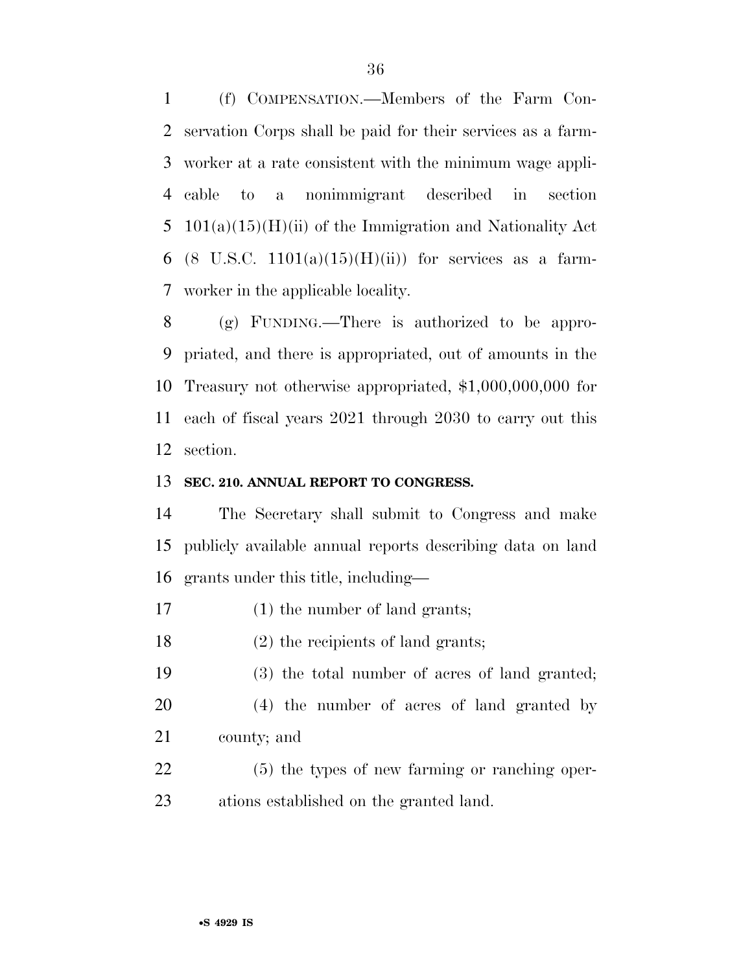(f) COMPENSATION.—Members of the Farm Con- servation Corps shall be paid for their services as a farm- worker at a rate consistent with the minimum wage appli- cable to a nonimmigrant described in section 101(a)(15)(H)(ii) of the Immigration and Nationality Act 6 (8 U.S.C.  $1101(a)(15)(H)(ii)$ ) for services as a farm-worker in the applicable locality.

 (g) FUNDING.—There is authorized to be appro- priated, and there is appropriated, out of amounts in the Treasury not otherwise appropriated, \$1,000,000,000 for each of fiscal years 2021 through 2030 to carry out this section.

#### **SEC. 210. ANNUAL REPORT TO CONGRESS.**

 The Secretary shall submit to Congress and make publicly available annual reports describing data on land grants under this title, including—

- (1) the number of land grants;
- (2) the recipients of land grants;

(3) the total number of acres of land granted;

- (4) the number of acres of land granted by
- county; and
- (5) the types of new farming or ranching oper-ations established on the granted land.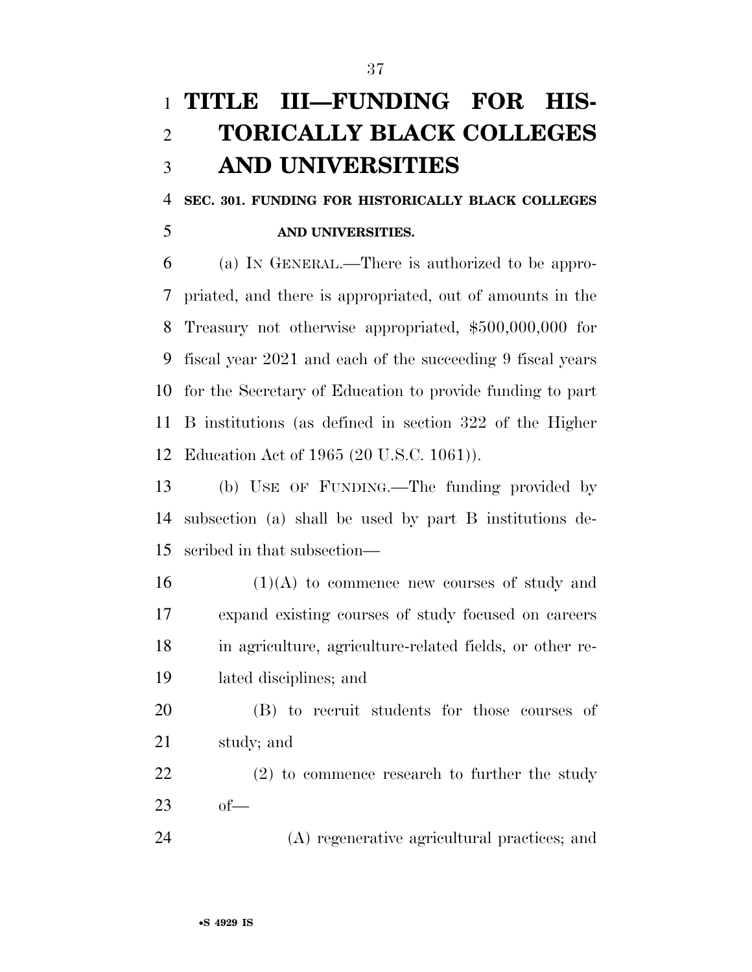## **TITLE III—FUNDING FOR HIS- TORICALLY BLACK COLLEGES AND UNIVERSITIES**

 **SEC. 301. FUNDING FOR HISTORICALLY BLACK COLLEGES AND UNIVERSITIES.** 

 (a) IN GENERAL.—There is authorized to be appro- priated, and there is appropriated, out of amounts in the Treasury not otherwise appropriated, \$500,000,000 for fiscal year 2021 and each of the succeeding 9 fiscal years for the Secretary of Education to provide funding to part B institutions (as defined in section 322 of the Higher Education Act of 1965 (20 U.S.C. 1061)).

 (b) USE OF FUNDING.—The funding provided by subsection (a) shall be used by part B institutions de-scribed in that subsection—

 (1)(A) to commence new courses of study and expand existing courses of study focused on careers in agriculture, agriculture-related fields, or other re-lated disciplines; and

 (B) to recruit students for those courses of study; and

 (2) to commence research to further the study of—

(A) regenerative agricultural practices; and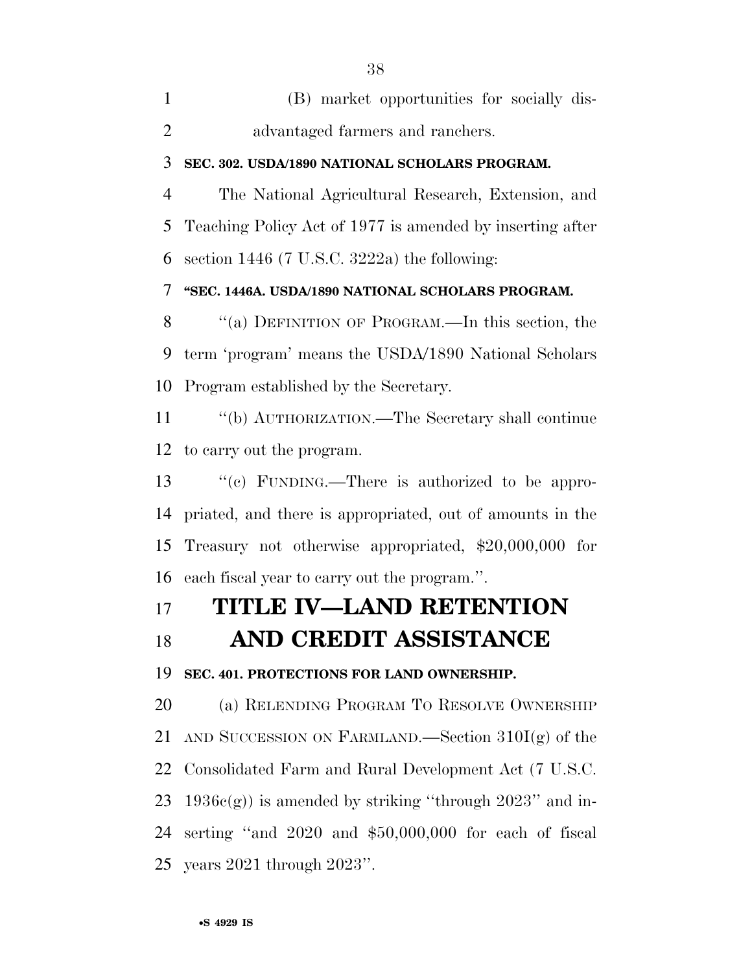| (B) market opportunities for socially dis- |
|--------------------------------------------|
| advantaged farmers and ranchers.           |

### **SEC. 302. USDA/1890 NATIONAL SCHOLARS PROGRAM.**

 The National Agricultural Research, Extension, and Teaching Policy Act of 1977 is amended by inserting after 6 section (7 U.S.C. 3222a) the following:

**''SEC. 1446A. USDA/1890 NATIONAL SCHOLARS PROGRAM.** 

8 "(a) DEFINITION OF PROGRAM.—In this section, the term 'program' means the USDA/1890 National Scholars Program established by the Secretary.

 ''(b) AUTHORIZATION.—The Secretary shall continue to carry out the program.

 ''(c) FUNDING.—There is authorized to be appro- priated, and there is appropriated, out of amounts in the Treasury not otherwise appropriated, \$20,000,000 for each fiscal year to carry out the program.''.

## **TITLE IV—LAND RETENTION**

### **AND CREDIT ASSISTANCE**

**SEC. 401. PROTECTIONS FOR LAND OWNERSHIP.** 

 (a) RELENDING PROGRAM TO RESOLVE OWNERSHIP 21 AND SUCCESSION ON FARMLAND.—Section  $310I(g)$  of the Consolidated Farm and Rural Development Act (7 U.S.C. 23 1936c(g)) is amended by striking "through " and in- serting ''and 2020 and \$50,000,000 for each of fiscal years 2021 through 2023''.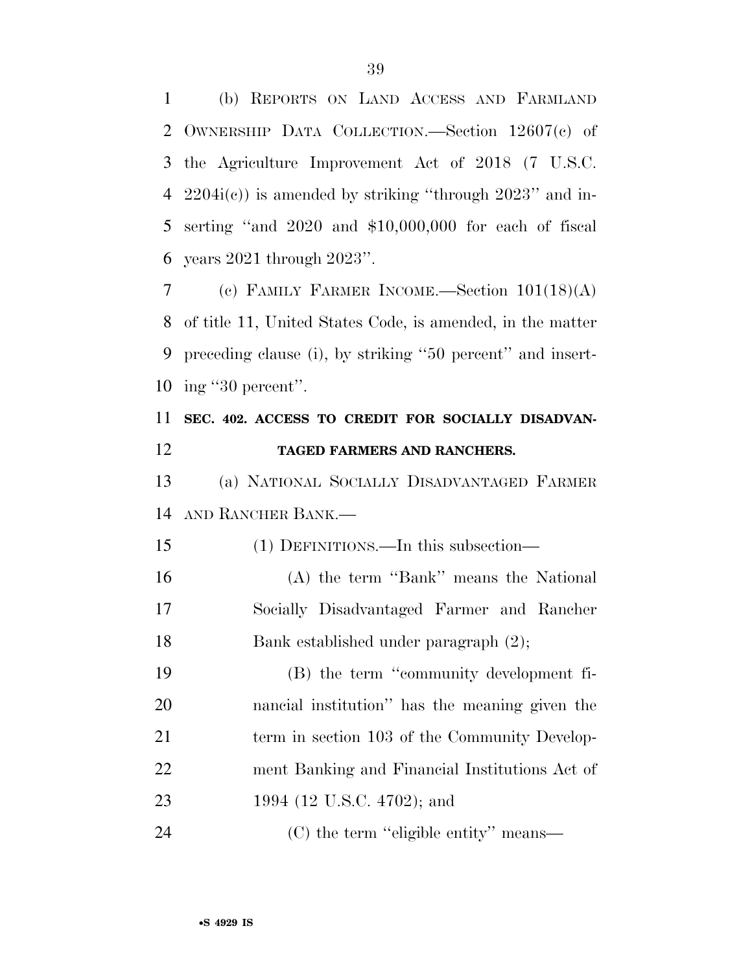(b) REPORTS ON LAND ACCESS AND FARMLAND OWNERSHIP DATA COLLECTION.—Section 12607(c) of the Agriculture Improvement Act of 2018 (7 U.S.C. 2204i(c)) is amended by striking ''through 2023'' and in- serting ''and 2020 and \$10,000,000 for each of fiscal years 2021 through 2023''.

 (c) FAMILY FARMER INCOME.—Section 101(18)(A) of title 11, United States Code, is amended, in the matter preceding clause (i), by striking ''50 percent'' and insert-ing ''30 percent''.

## **SEC. 402. ACCESS TO CREDIT FOR SOCIALLY DISADVAN-TAGED FARMERS AND RANCHERS.**

 (a) NATIONAL SOCIALLY DISADVANTAGED FARMER AND RANCHER BANK.—

(1) DEFINITIONS.—In this subsection—

 (A) the term ''Bank'' means the National Socially Disadvantaged Farmer and Rancher Bank established under paragraph (2);

 (B) the term ''community development fi- nancial institution'' has the meaning given the 21 term in section 103 of the Community Develop- ment Banking and Financial Institutions Act of 1994 (12 U.S.C. 4702); and

24 (C) the term "eligible entity" means—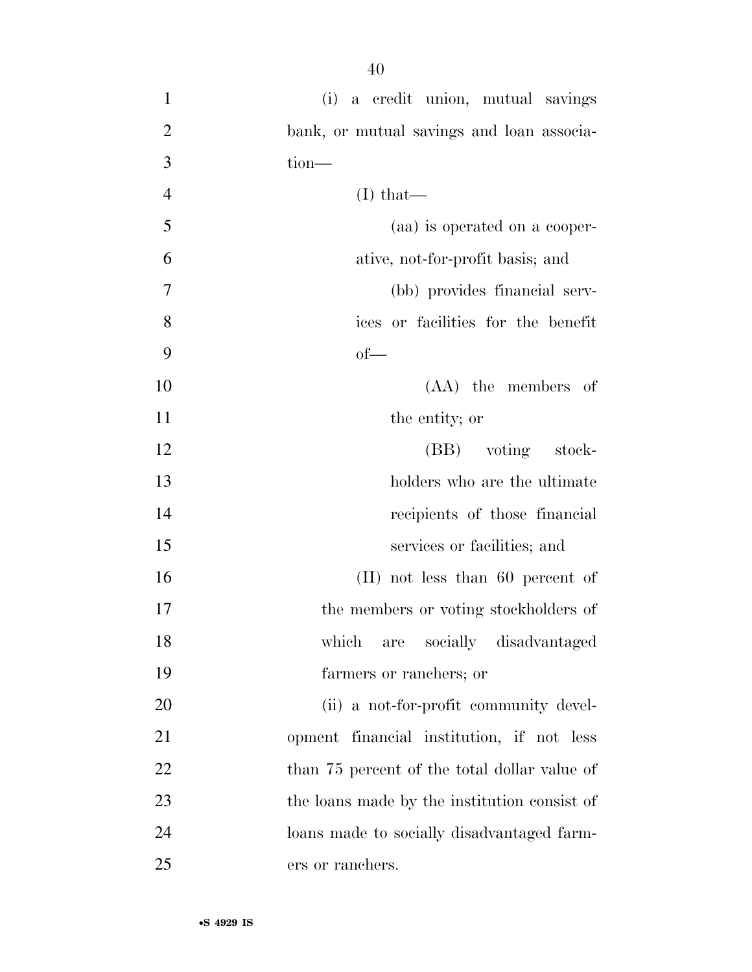- (i) a credit union, mutual savings bank, or mutual savings and loan associa- tion— (I) that— (aa) is operated on a cooper- ative, not-for-profit basis; and (bb) provides financial serv- ices or facilities for the benefit  $9 \t\t of$  (AA) the members of 11 the entity; or 12 (BB) voting stock- holders who are the ultimate recipients of those financial services or facilities; and (II) not less than 60 percent of 17 the members or voting stockholders of which are socially disadvantaged farmers or ranchers; or 20 (ii) a not-for-profit community devel- opment financial institution, if not less 22 than 75 percent of the total dollar value of the loans made by the institution consist of loans made to socially disadvantaged farm-
- ers or ranchers.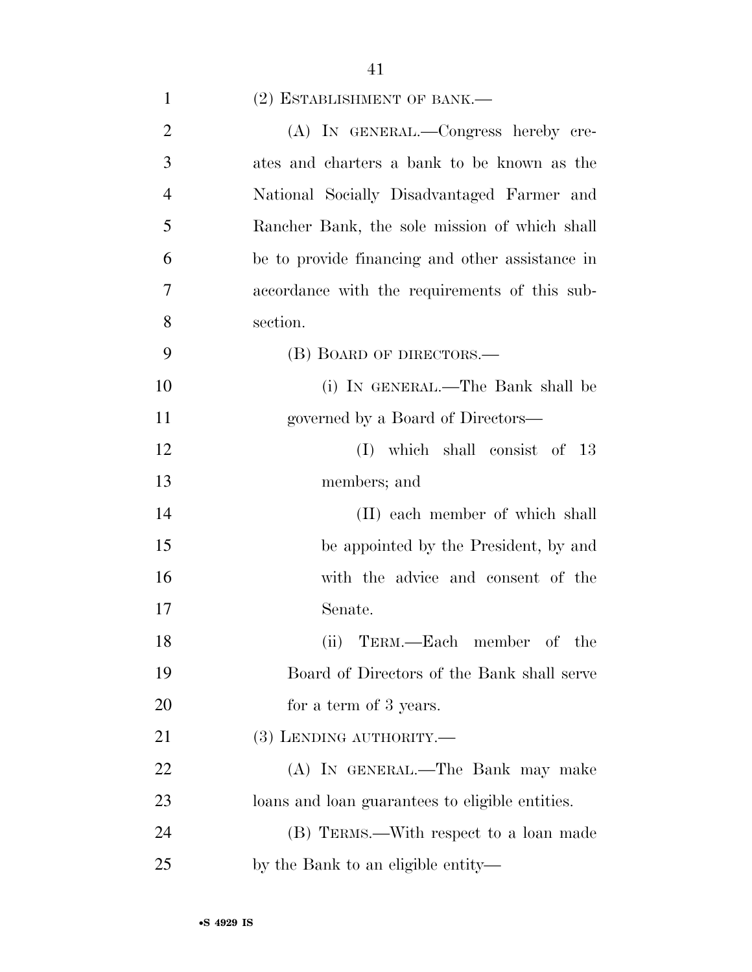| $(2)$ ESTABLISHMENT OF BANK.— |  |
|-------------------------------|--|
|-------------------------------|--|

| $\overline{2}$ | (A) IN GENERAL.—Congress hereby cre-            |
|----------------|-------------------------------------------------|
| 3              | ates and charters a bank to be known as the     |
| $\overline{4}$ | National Socially Disadvantaged Farmer and      |
| 5              | Rancher Bank, the sole mission of which shall   |
| 6              | be to provide financing and other assistance in |
| 7              | accordance with the requirements of this sub-   |
| 8              | section.                                        |
| 9              | (B) BOARD OF DIRECTORS.—                        |
| 10             | (i) IN GENERAL.—The Bank shall be               |
| 11             | governed by a Board of Directors—               |
| 12             | $(I)$ which shall consist of 13                 |
| 13             | members; and                                    |
| 14             | (II) each member of which shall                 |
| 15             | be appointed by the President, by and           |
| 16             | with the advice and consent of the              |
| 17             | Senate.                                         |
| 18             | (ii) TERM.—Each member of the                   |
| 19             | Board of Directors of the Bank shall serve      |
| 20             | for a term of 3 years.                          |
| 21             | $(3)$ LENDING AUTHORITY.—                       |
| 22             | (A) IN GENERAL.—The Bank may make               |
| 23             | loans and loan guarantees to eligible entities. |
| 24             | (B) TERMS.—With respect to a loan made          |
| 25             | by the Bank to an eligible entity—              |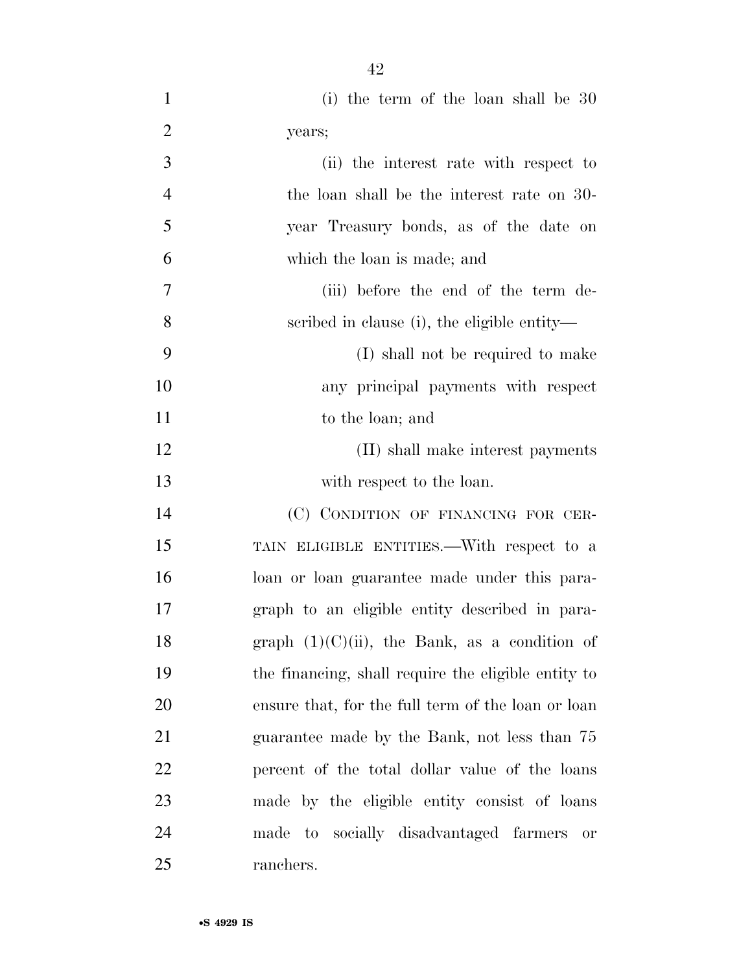- (i) the term of the loan shall be 30 years;
- (ii) the interest rate with respect to the loan shall be the interest rate on 30- year Treasury bonds, as of the date on which the loan is made; and (iii) before the end of the term de-scribed in clause (i), the eligible entity—
- (I) shall not be required to make any principal payments with respect 11 to the loan; and
- 12 (II) shall make interest payments with respect to the loan.

 (C) CONDITION OF FINANCING FOR CER- TAIN ELIGIBLE ENTITIES.—With respect to a loan or loan guarantee made under this para- graph to an eligible entity described in para-18 graph  $(1)(C)(ii)$ , the Bank, as a condition of the financing, shall require the eligible entity to ensure that, for the full term of the loan or loan guarantee made by the Bank, not less than 75 percent of the total dollar value of the loans made by the eligible entity consist of loans made to socially disadvantaged farmers or ranchers.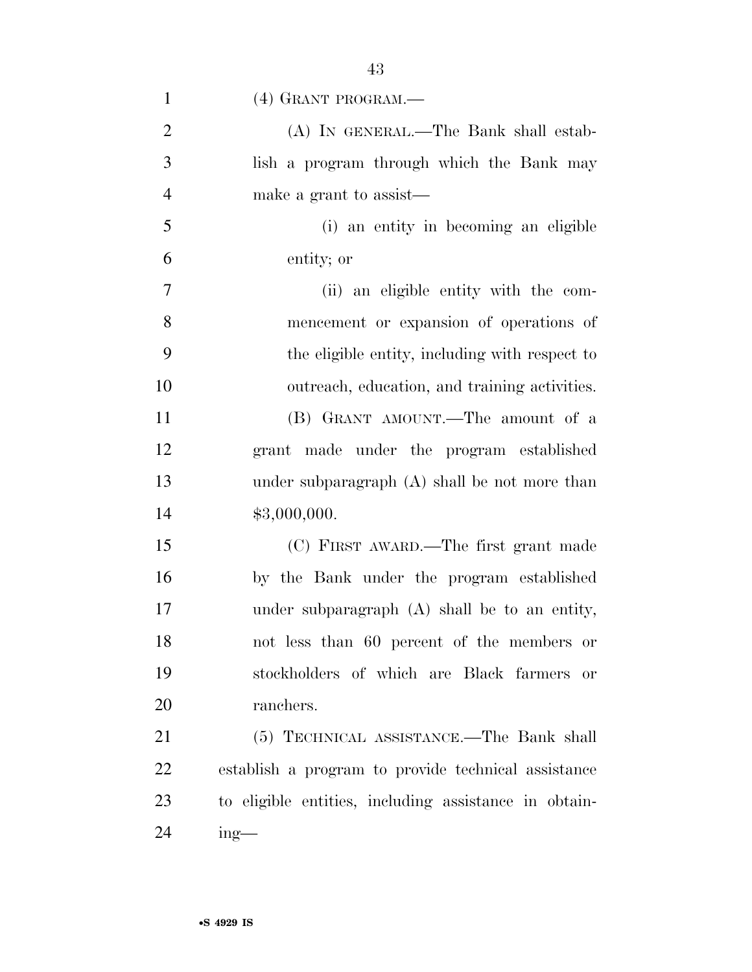| $\mathbf{1}$   | (4) GRANT PROGRAM.—                                   |
|----------------|-------------------------------------------------------|
| $\overline{2}$ | (A) IN GENERAL.—The Bank shall estab-                 |
| $\mathfrak{Z}$ | lish a program through which the Bank may             |
| $\overline{4}$ | make a grant to assist—                               |
| 5              | (i) an entity in becoming an eligible                 |
| 6              | entity; or                                            |
| $\overline{7}$ | (ii) an eligible entity with the com-                 |
| 8              | mencement or expansion of operations of               |
| 9              | the eligible entity, including with respect to        |
| 10             | outreach, education, and training activities.         |
| 11             | (B) GRANT AMOUNT.—The amount of a                     |
| 12             | grant made under the program established              |
| 13             | under subparagraph $(A)$ shall be not more than       |
| 14             | \$3,000,000.                                          |
| 15             | (C) FIRST AWARD.—The first grant made                 |
| 16             | by the Bank under the program established             |
| 17             | under subparagraph (A) shall be to an entity,         |
| 18             | not less than 60 percent of the members or            |
| 19             | stockholders of which are Black farmers or            |
| 20             | ranchers.                                             |
| 21             | (5) TECHNICAL ASSISTANCE.—The Bank shall              |
| 22             | establish a program to provide technical assistance   |
| 23             | to eligible entities, including assistance in obtain- |

ing—

•**S 4929 IS**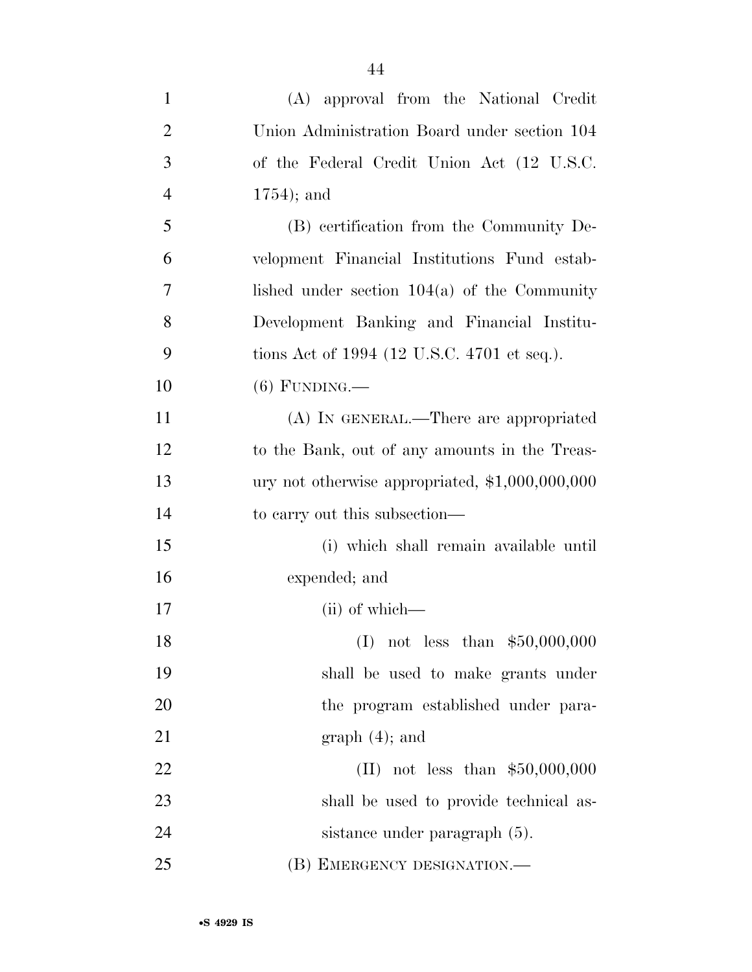| $\mathbf{1}$   | (A) approval from the National Credit           |
|----------------|-------------------------------------------------|
| $\overline{2}$ | Union Administration Board under section 104    |
| 3              | of the Federal Credit Union Act (12 U.S.C.      |
| $\overline{4}$ | $1754$ ; and                                    |
| 5              | (B) certification from the Community De-        |
| 6              | velopment Financial Institutions Fund estab-    |
| 7              | lished under section $104(a)$ of the Community  |
| 8              | Development Banking and Financial Institu-      |
| 9              | tions Act of 1994 (12 U.S.C. 4701 et seq.).     |
| 10             | $(6)$ FUNDING.—                                 |
| 11             | (A) IN GENERAL.—There are appropriated          |
| 12             | to the Bank, out of any amounts in the Treas-   |
| 13             | ury not otherwise appropriated, \$1,000,000,000 |
| 14             | to carry out this subsection—                   |
| 15             | (i) which shall remain available until          |
| 16             | expended; and                                   |
| 17             | $(ii)$ of which—                                |
| 18             | (I) not less than $$50,000,000$                 |
| 19             | shall be used to make grants under              |
| 20             | the program established under para-             |
| 21             | $graph(4)$ ; and                                |
| 22             | (II) not less than $$50,000,000$                |
| 23             | shall be used to provide technical as-          |
| 24             | sistance under paragraph (5).                   |
| 25             | (B) EMERGENCY DESIGNATION.—                     |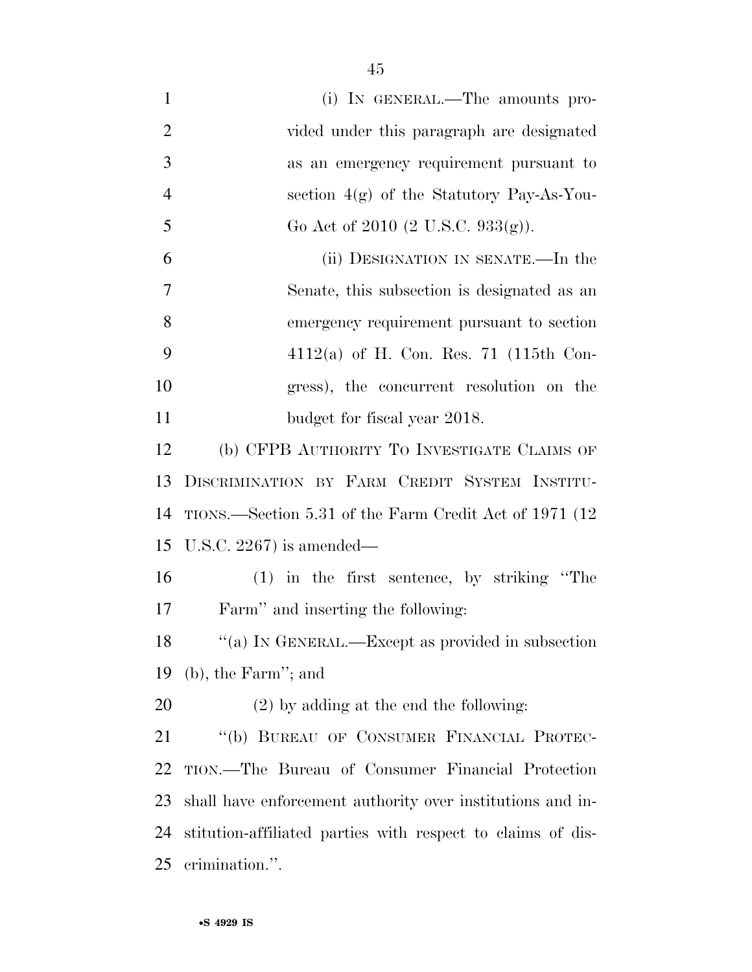| $\mathbf{1}$   | (i) IN GENERAL.—The amounts pro-                            |
|----------------|-------------------------------------------------------------|
| $\overline{2}$ | vided under this paragraph are designated                   |
| 3              | as an emergency requirement pursuant to                     |
| $\overline{4}$ | section $4(g)$ of the Statutory Pay-As-You-                 |
| 5              | Go Act of 2010 (2 U.S.C. 933(g)).                           |
| 6              | (ii) DESIGNATION IN SENATE.—In the                          |
| 7              | Senate, this subsection is designated as an                 |
| 8              | emergency requirement pursuant to section                   |
| 9              | 4112(a) of H. Con. Res. 71 (115th Con-                      |
| 10             | gress), the concurrent resolution on the                    |
| 11             | budget for fiscal year 2018.                                |
| 12             | (b) CFPB AUTHORITY TO INVESTIGATE CLAIMS OF                 |
| 13             | DISCRIMINATION BY FARM CREDIT SYSTEM INSTITU-               |
| 14             | TIONS.—Section 5.31 of the Farm Credit Act of 1971 (12      |
| 15             | U.S.C. 2267) is amended—                                    |
| 16             | $(1)$ in the first sentence, by striking "The               |
| 17             | Farm" and inserting the following:                          |
| 18             | "(a) IN GENERAL.—Except as provided in subsection           |
| 19             | $(b)$ , the Farm"; and                                      |
| 20             | $(2)$ by adding at the end the following:                   |
| 21             | "(b) BUREAU OF CONSUMER FINANCIAL PROTEC-                   |
| 22             | TION.—The Bureau of Consumer Financial Protection           |
| 23             | shall have enforcement authority over institutions and in-  |
| 24             | stitution-affiliated parties with respect to claims of dis- |
| 25             | crimination.".                                              |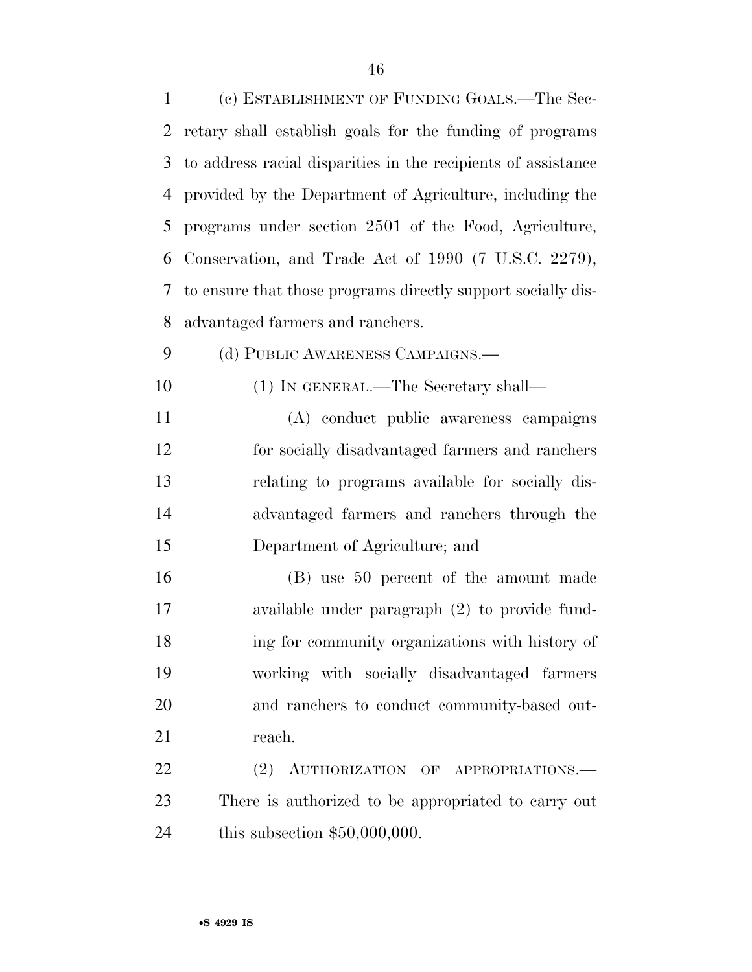(c) ESTABLISHMENT OF FUNDING GOALS.—The Sec- retary shall establish goals for the funding of programs to address racial disparities in the recipients of assistance provided by the Department of Agriculture, including the programs under section 2501 of the Food, Agriculture, Conservation, and Trade Act of 1990 (7 U.S.C. 2279), to ensure that those programs directly support socially dis- advantaged farmers and ranchers. 9 (d) PUBLIC AWARENESS CAMPAIGNS.— (1) IN GENERAL.—The Secretary shall— (A) conduct public awareness campaigns for socially disadvantaged farmers and ranchers relating to programs available for socially dis- advantaged farmers and ranchers through the Department of Agriculture; and (B) use 50 percent of the amount made available under paragraph (2) to provide fund- ing for community organizations with history of working with socially disadvantaged farmers and ranchers to conduct community-based out-21 reach. 22 (2) AUTHORIZATION OF APPROPRIATIONS.— There is authorized to be appropriated to carry out

this subsection \$50,000,000.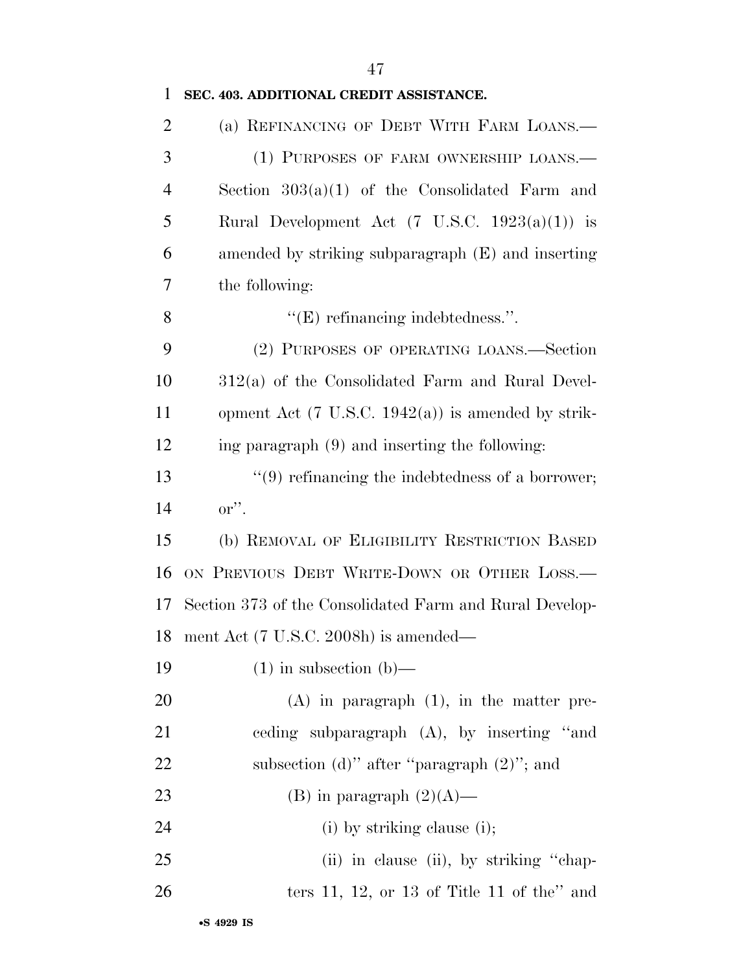| $\mathbf{1}$   | SEC. 403. ADDITIONAL CREDIT ASSISTANCE.                       |
|----------------|---------------------------------------------------------------|
| $\overline{2}$ | (a) REFINANCING OF DEBT WITH FARM LOANS.—                     |
| 3              | (1) PURPOSES OF FARM OWNERSHIP LOANS.-                        |
| 4              | Section $303(a)(1)$ of the Consolidated Farm and              |
| 5              | Rural Development Act $(7 \text{ U.S.C. } 1923(a)(1))$ is     |
| 6              | amended by striking subparagraph (E) and inserting            |
| 7              | the following:                                                |
| 8              | $"E$ ) refinancing indebtedness.".                            |
| 9              | (2) PURPOSES OF OPERATING LOANS.—Section                      |
| 10             | $312(a)$ of the Consolidated Farm and Rural Devel-            |
| 11             | opment Act $(7 \text{ U.S.C. } 1942(a))$ is amended by strik- |
| 12             | ing paragraph (9) and inserting the following:                |
| 13             | $\lq(9)$ refinancing the indebtedness of a borrower;          |
| 14             | $\mathrm{or}''$ .                                             |
| 15             | (b) REMOVAL OF ELIGIBILITY RESTRICTION BASED                  |
| 16             | ON PREVIOUS DEBT WRITE-DOWN OR OTHER LOSS.-                   |
| 17             | Section 373 of the Consolidated Farm and Rural Develop-       |
|                | 18 ment Act (7 U.S.C. 2008h) is amended—                      |
| 19             | $(1)$ in subsection $(b)$ —                                   |
| 20             | $(A)$ in paragraph $(1)$ , in the matter pre-                 |
| 21             | ceding subparagraph $(A)$ , by inserting "and                 |
| 22             | subsection (d)" after "paragraph $(2)$ "; and                 |
| 23             | (B) in paragraph $(2)(A)$ —                                   |
| 24             | $(i)$ by striking clause $(i)$ ;                              |
| 25             | (ii) in clause (ii), by striking "chap-                       |
| 26             | ters 11, 12, or 13 of Title 11 of the" and                    |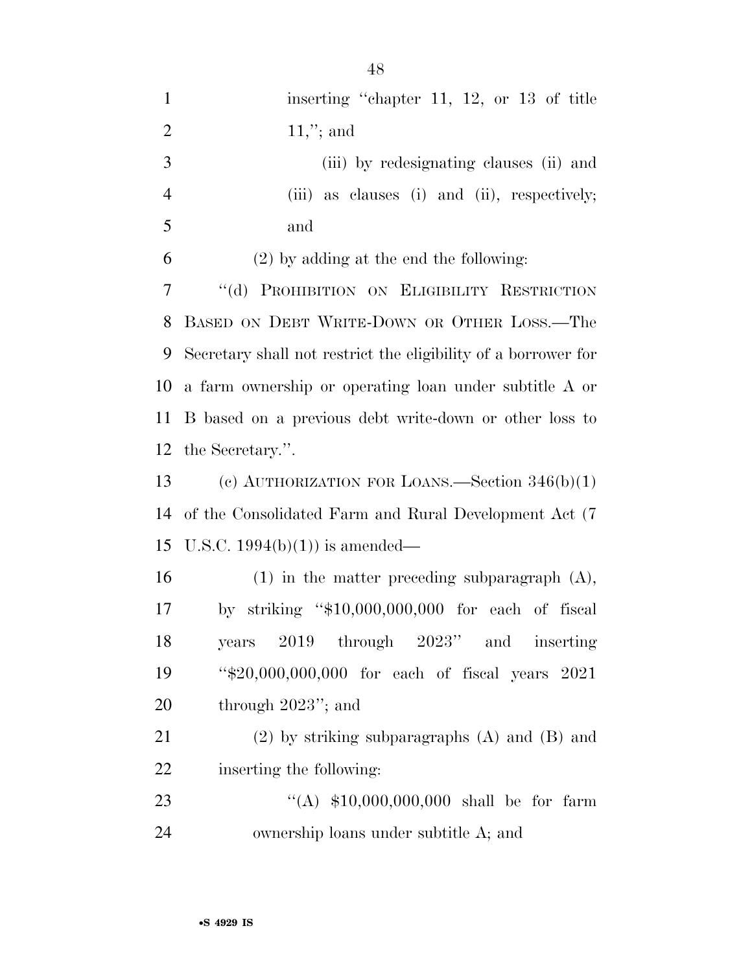| $\mathbf{1}$   | inserting "chapter 11, 12, or 13 of title                      |
|----------------|----------------------------------------------------------------|
| $\overline{2}$ | $11,$ "; and                                                   |
| 3              | (iii) by redesignating clauses (ii) and                        |
| $\overline{4}$ | (iii) as clauses (i) and (ii), respectively;                   |
| 5              | and                                                            |
| 6              | $(2)$ by adding at the end the following:                      |
| 7              | "(d) PROHIBITION ON ELIGIBILITY RESTRICTION                    |
| 8              | BASED ON DEBT WRITE-DOWN OR OTHER LOSS.-The                    |
| 9              | Secretary shall not restrict the eligibility of a borrower for |
| 10             | a farm ownership or operating loan under subtitle A or         |
| 11             | B based on a previous debt write-down or other loss to         |
| 12             | the Secretary.".                                               |
| 13             | (c) AUTHORIZATION FOR LOANS.—Section $346(b)(1)$               |
| 14             | of the Consolidated Farm and Rural Development Act (7)         |
| 15             | U.S.C. $1994(b)(1)$ is amended—                                |
| 16             | $(1)$ in the matter preceding subparagraph $(A)$ ,             |
| 17             | striking " $$10,000,000,000$ for each of fiscal<br>$\rm{bv}$   |
| 18             | $2019$ through $2023"$ and<br>years<br><i>inserting</i>        |
| 19             | "\$20,000,000,000 for each of fiscal years 2021                |
| 20             | through $2023$ "; and                                          |
| 21             | $(2)$ by striking subparagraphs $(A)$ and $(B)$ and            |
| 22             | inserting the following:                                       |
| 23             | "(A) $$10,000,000,000$ shall be for farm                       |
| 24             | ownership loans under subtitle A; and                          |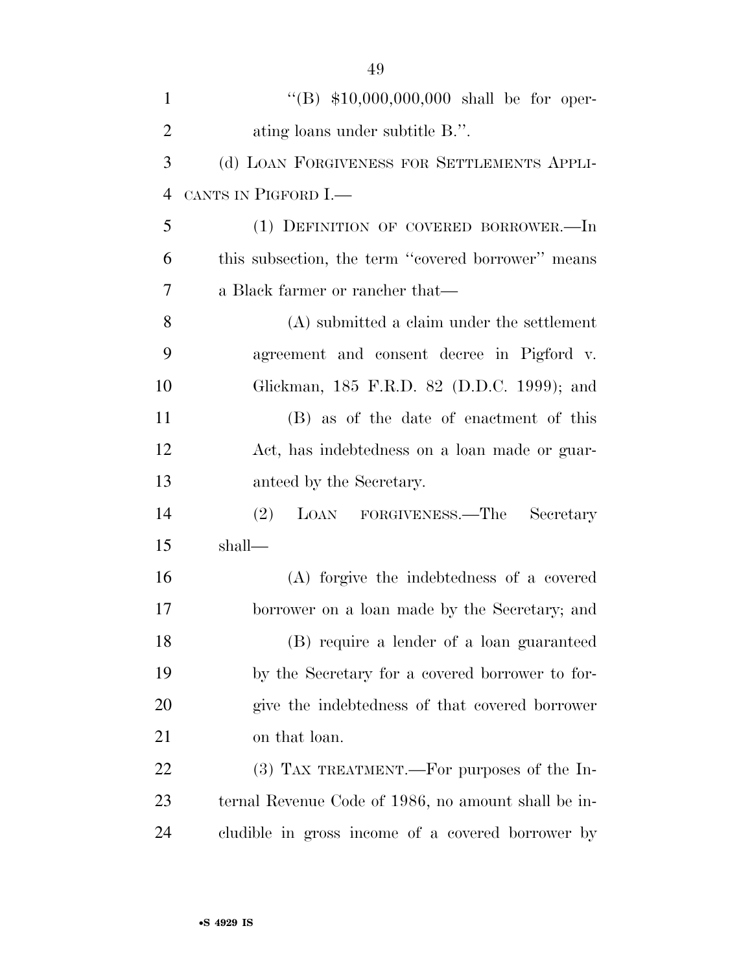| $\mathbf{1}$   | "(B) $$10,000,000,000$ shall be for oper-           |
|----------------|-----------------------------------------------------|
| $\overline{2}$ | ating loans under subtitle B.".                     |
| 3              | (d) LOAN FORGIVENESS FOR SETTLEMENTS APPLI-         |
| $\overline{4}$ | CANTS IN PIGFORD I.—                                |
| 5              | (1) DEFINITION OF COVERED BORROWER.-In              |
| 6              | this subsection, the term "covered borrower" means  |
| 7              | a Black farmer or rancher that—                     |
| 8              | (A) submitted a claim under the settlement          |
| 9              | agreement and consent decree in Pigford v.          |
| 10             | Glickman, 185 F.R.D. 82 (D.D.C. 1999); and          |
| 11             | (B) as of the date of enactment of this             |
| 12             | Act, has indebtedness on a loan made or guar-       |
| 13             | anteed by the Secretary.                            |
| 14             | LOAN FORGIVENESS.—The<br>(2)<br>Secretary           |
| 15             | shall—                                              |
| 16             | (A) forgive the indebtedness of a covered           |
| 17             | borrower on a loan made by the Secretary; and       |
| 18             | (B) require a lender of a loan guaranteed           |
| 19             | by the Secretary for a covered borrower to for-     |
| 20             | give the indebtedness of that covered borrower      |
| 21             | on that loan.                                       |
| 22             | $(3)$ TAX TREATMENT.—For purposes of the In-        |
| 23             | ternal Revenue Code of 1986, no amount shall be in- |
| 24             | cludible in gross income of a covered borrower by   |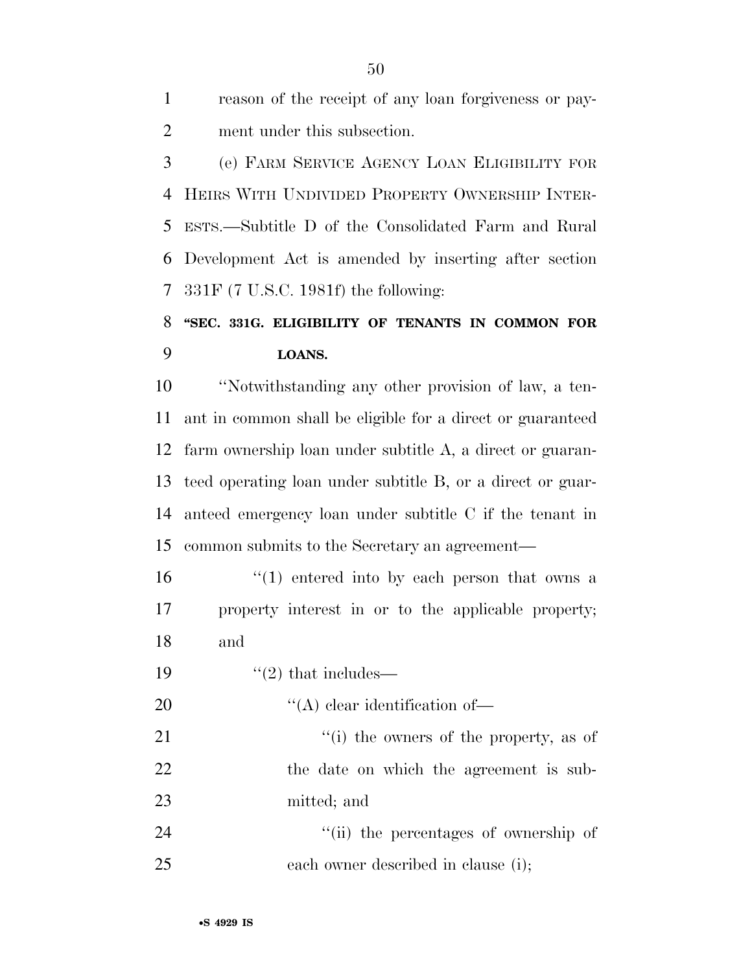reason of the receipt of any loan forgiveness or pay-ment under this subsection.

 (e) FARM SERVICE AGENCY LOAN ELIGIBILITY FOR HEIRS WITH UNDIVIDED PROPERTY OWNERSHIP INTER- ESTS.—Subtitle D of the Consolidated Farm and Rural Development Act is amended by inserting after section 331F (7 U.S.C. 1981f) the following:

### **''SEC. 331G. ELIGIBILITY OF TENANTS IN COMMON FOR LOANS.**

 ''Notwithstanding any other provision of law, a ten- ant in common shall be eligible for a direct or guaranteed farm ownership loan under subtitle A, a direct or guaran- teed operating loan under subtitle B, or a direct or guar- anteed emergency loan under subtitle C if the tenant in common submits to the Secretary an agreement—

 $\frac{16}{10}$  <sup>''</sup>(1) entered into by each person that owns a property interest in or to the applicable property; and

19  $\frac{1}{2}$  that includes—

20  $\langle (A)$  clear identification of

21 ''(i) the owners of the property, as of 22 the date on which the agreement is sub-mitted; and

24 ''(ii) the percentages of ownership of each owner described in clause (i);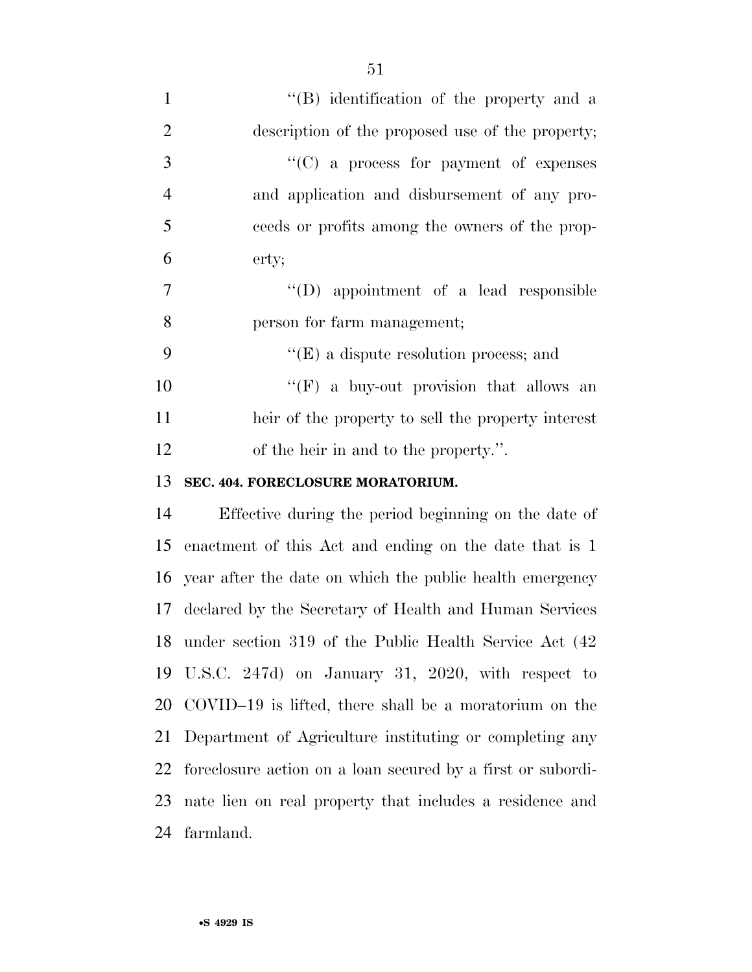| $\mathbf{1}$   | "(B) identification of the property and a                   |
|----------------|-------------------------------------------------------------|
| $\overline{2}$ | description of the proposed use of the property;            |
| 3              | "(C) a process for payment of expenses                      |
| $\overline{4}$ | and application and disbursement of any pro-                |
| 5              | ceeds or profits among the owners of the prop-              |
| 6              | erty;                                                       |
| 7              | "(D) appointment of a lead responsible                      |
| 8              | person for farm management;                                 |
| 9              | $\lq\lq(E)$ a dispute resolution process; and               |
| 10             | "(F) a buy-out provision that allows an                     |
| 11             | heir of the property to sell the property interest          |
| 12             | of the heir in and to the property.".                       |
| 13             | SEC. 404. FORECLOSURE MORATORIUM.                           |
| 14             | Effective during the period beginning on the date of        |
| 15             | enactment of this Act and ending on the date that is 1      |
| 16             | year after the date on which the public health emergency    |
| 17             | declared by the Secretary of Health and Human Services      |
| 18             | under section 319 of the Public Health Service Act (42      |
| 19             | U.S.C. 247d) on January 31, 2020, with respect to           |
| 20             | COVID-19 is lifted, there shall be a moratorium on the      |
| 21             | Department of Agriculture instituting or completing any     |
| 22             | foreclosure action on a loan secured by a first or subordi- |
| 23             | nate lien on real property that includes a residence and    |

farmland.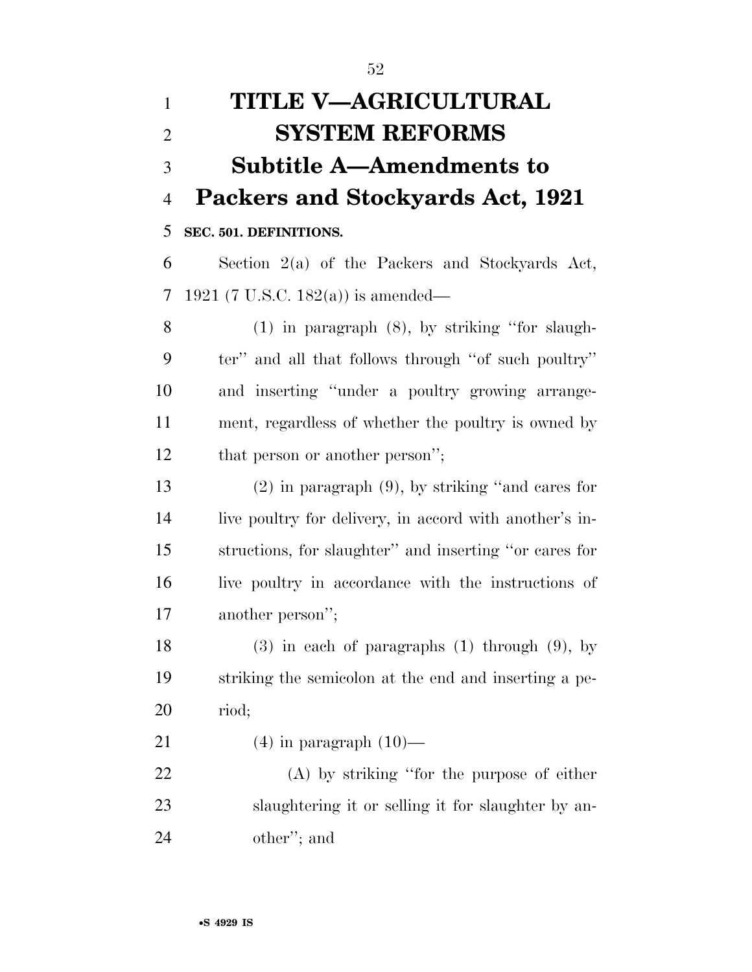# **TITLE V—AGRICULTURAL SYSTEM REFORMS Subtitle A—Amendments to Packers and Stockyards Act, 1921**

**SEC. 501. DEFINITIONS.** 

 Section 2(a) of the Packers and Stockyards Act, 1921 (7 U.S.C. 182(a)) is amended—

 (1) in paragraph (8), by striking ''for slaugh- ter'' and all that follows through ''of such poultry'' and inserting ''under a poultry growing arrange- ment, regardless of whether the poultry is owned by 12 that person or another person";

 (2) in paragraph (9), by striking ''and cares for live poultry for delivery, in accord with another's in- structions, for slaughter'' and inserting ''or cares for live poultry in accordance with the instructions of another person'';

 (3) in each of paragraphs (1) through (9), by striking the semicolon at the end and inserting a pe-riod;

21  $(4)$  in paragraph  $(10)$ —

 (A) by striking ''for the purpose of either slaughtering it or selling it for slaughter by an-other''; and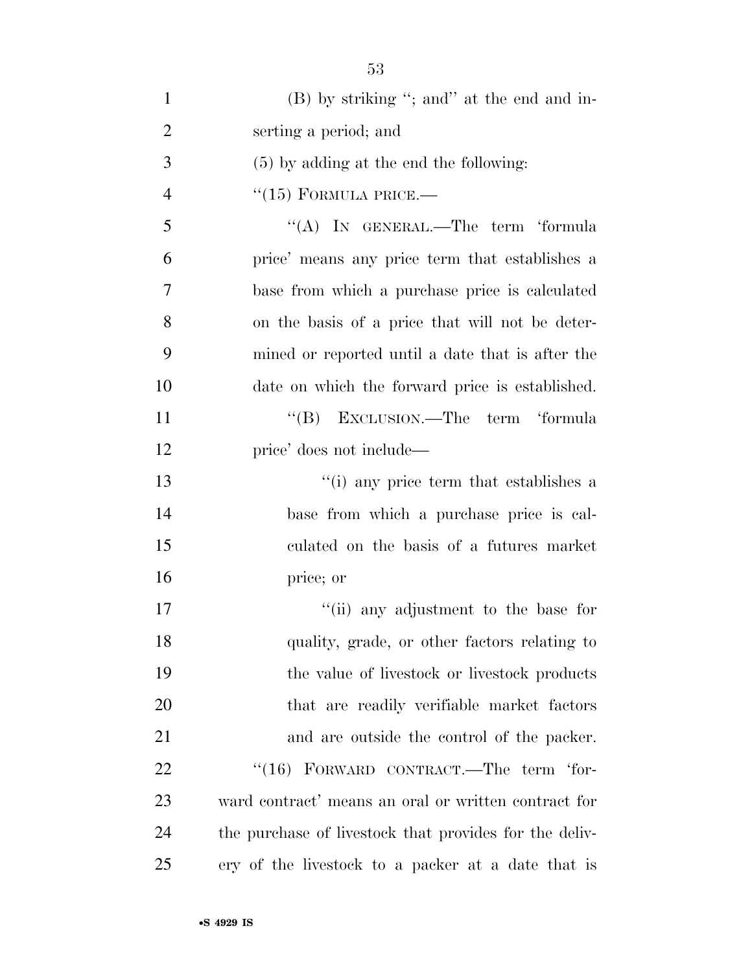| $\mathbf{1}$   | (B) by striking "; and" at the end and in-             |
|----------------|--------------------------------------------------------|
| $\overline{2}$ | serting a period; and                                  |
| 3              | $(5)$ by adding at the end the following:              |
| $\overline{4}$ | $``(15)$ FORMULA PRICE.—                               |
| 5              | "(A) IN GENERAL.—The term 'formula                     |
| 6              | price' means any price term that establishes a         |
| 7              | base from which a purchase price is calculated         |
| 8              | on the basis of a price that will not be deter-        |
| 9              | mined or reported until a date that is after the       |
| 10             | date on which the forward price is established.        |
| 11             | "(B) EXCLUSION.—The term 'formula                      |
| 12             | price' does not include—                               |
| 13             | "(i) any price term that establishes a                 |
| 14             | base from which a purchase price is cal-               |
| 15             | culated on the basis of a futures market               |
| 16             | price; or                                              |
| 17             | "(ii) any adjustment to the base for                   |
| 18             | quality, grade, or other factors relating to           |
| 19             | the value of livestock or livestock products           |
| 20             | that are readily verifiable market factors             |
| 21             | and are outside the control of the packer.             |
| 22             | $``(16)$ FORWARD CONTRACT.—The term 'for-              |
| 23             | ward contract' means an oral or written contract for   |
| 24             | the purchase of livestock that provides for the deliv- |
| 25             | ery of the livestock to a packer at a date that is     |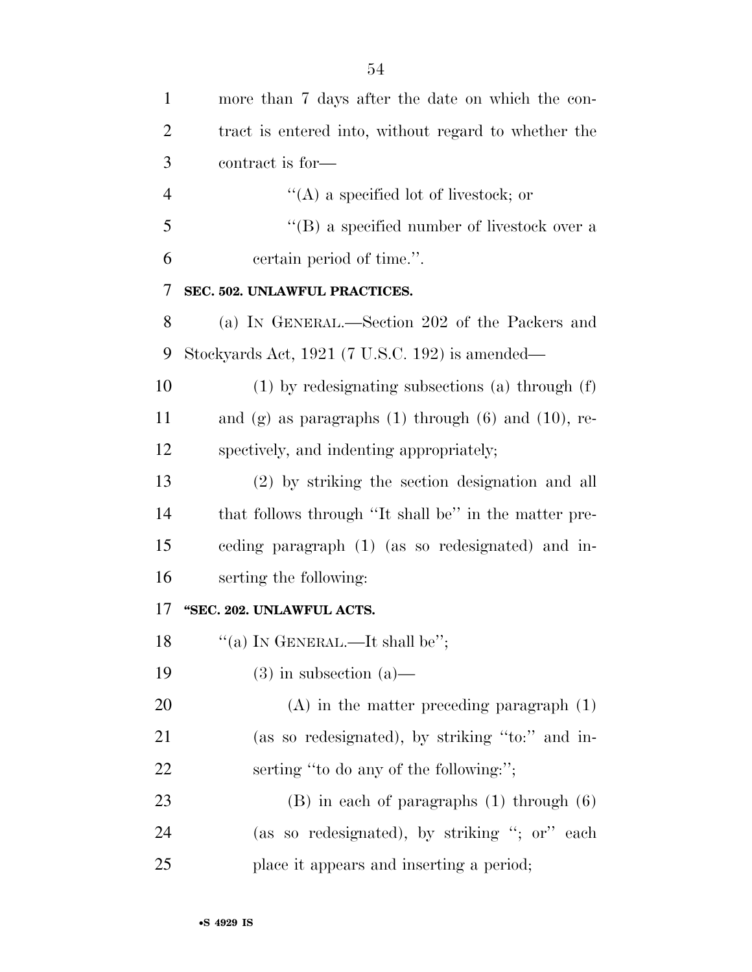| 1              | more than 7 days after the date on which the con-          |
|----------------|------------------------------------------------------------|
| $\overline{2}$ | tract is entered into, without regard to whether the       |
| 3              | contract is for-                                           |
| $\overline{4}$ | $\lq\lq$ a specified lot of livestock; or                  |
| 5              | $\lq\lq$ (B) a specified number of livestock over a        |
| 6              | certain period of time.".                                  |
| 7              | SEC. 502. UNLAWFUL PRACTICES.                              |
| 8              | (a) IN GENERAL.—Section 202 of the Packers and             |
| 9              | Stockyards Act, 1921 (7 U.S.C. 192) is amended—            |
| 10             | $(1)$ by redesignating subsections (a) through $(f)$       |
| 11             | and (g) as paragraphs $(1)$ through $(6)$ and $(10)$ , re- |
| 12             | spectively, and indenting appropriately;                   |
| 13             | (2) by striking the section designation and all            |
| 14             | that follows through "It shall be" in the matter pre-      |
| 15             | ceding paragraph (1) (as so redesignated) and in-          |
| 16             | serting the following:                                     |
| 17             | "SEC. 202. UNLAWFUL ACTS.                                  |
| 18             | "(a) IN GENERAL.—It shall be";                             |
| 19             | $(3)$ in subsection $(a)$ —                                |
| 20             | $(A)$ in the matter preceding paragraph $(1)$              |
| 21             | (as so redesignated), by striking "to:" and in-            |
| 22             | serting "to do any of the following:";                     |
| 23             | $(B)$ in each of paragraphs $(1)$ through $(6)$            |
| 24             | (as so redesignated), by striking "; or" each              |
| 25             | place it appears and inserting a period;                   |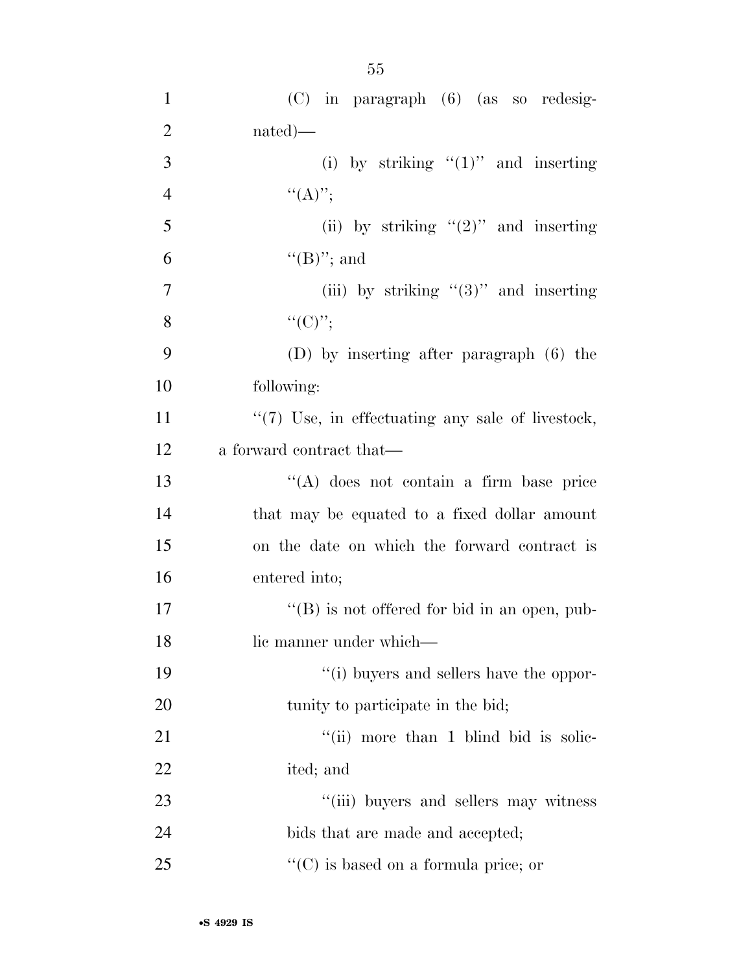| $\mathbf{1}$   | $(C)$ in paragraph $(6)$ (as so redesig-             |
|----------------|------------------------------------------------------|
| $\overline{2}$ | $nated)$ —                                           |
| 3              | (i) by striking " $(1)$ " and inserting              |
| $\overline{4}$ | $``(A)''$ ;                                          |
| 5              | (ii) by striking " $(2)$ " and inserting             |
| 6              | $\lq\lq(B)$ "; and                                   |
| 7              | (iii) by striking " $(3)$ " and inserting            |
| 8              | ``(C)''                                              |
| 9              | $(D)$ by inserting after paragraph $(6)$ the         |
| 10             | following:                                           |
| 11             | "(7) Use, in effectuating any sale of livestock,     |
| 12             | a forward contract that—                             |
| 13             | "(A) does not contain a firm base price              |
| 14             | that may be equated to a fixed dollar amount         |
| 15             | on the date on which the forward contract is         |
| 16             | entered into;                                        |
| 17             | $\lq\lq (B)$ is not offered for bid in an open, pub- |
| 18             | lic manner under which-                              |
| 19             | "(i) buyers and sellers have the oppor-              |
| 20             | tunity to participate in the bid;                    |
| 21             | "(ii) more than 1 blind bid is solic-                |
| 22             | ited; and                                            |
| 23             | "(iii) buyers and sellers may witness                |
| 24             | bids that are made and accepted;                     |
| 25             | $\lq\lq$ (C) is based on a formula price; or         |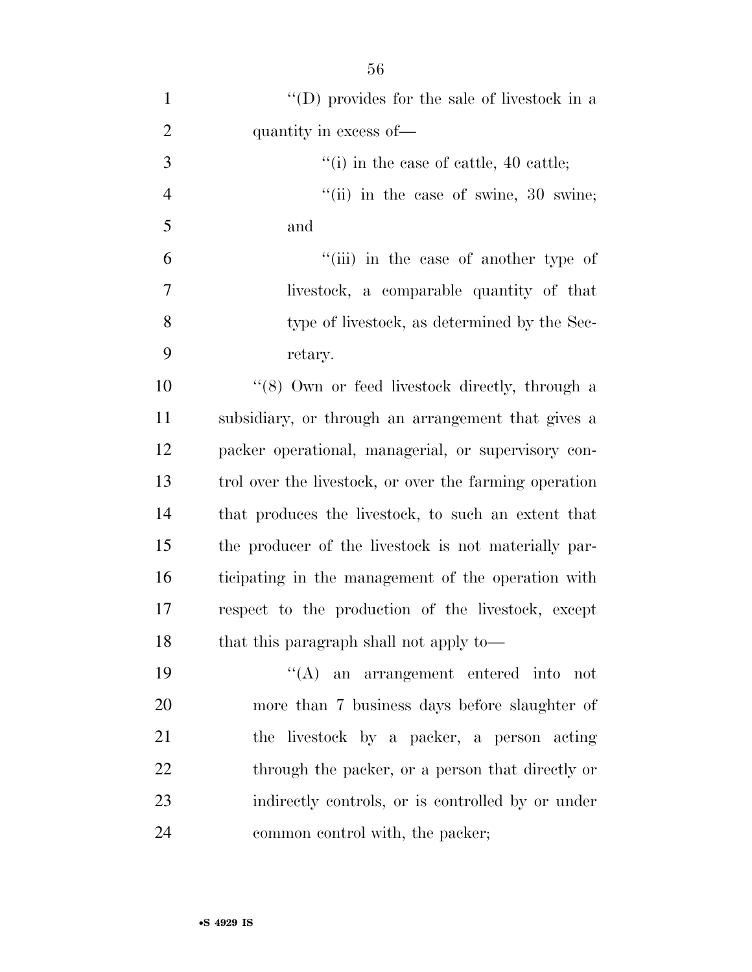| $\mathbf{1}$   | "(D) provides for the sale of livestock in a               |
|----------------|------------------------------------------------------------|
| $\overline{2}$ | quantity in excess of—                                     |
| 3              | $\cdot$ <sup>"</sup> (i) in the case of cattle, 40 cattle; |
| $\overline{4}$ | "(ii) in the case of swine, $30$ swine;                    |
| 5              | and                                                        |
| 6              | "(iii) in the case of another type of                      |
| $\overline{7}$ | livestock, a comparable quantity of that                   |
| 8              | type of livestock, as determined by the Sec-               |
| 9              | retary.                                                    |
| 10             | "(8) Own or feed livestock directly, through a             |
| 11             | subsidiary, or through an arrangement that gives a         |
| 12             | packer operational, managerial, or supervisory con-        |
| 13             | trol over the livestock, or over the farming operation     |
| 14             | that produces the livestock, to such an extent that        |
| 15             | the producer of the livestock is not materially par-       |
| 16             | ticipating in the management of the operation with         |
| 17             | respect to the production of the livestock, except         |
| 18             | that this paragraph shall not apply to-                    |
| 19             | $\lq\lq$ an arrangement entered into not                   |
| 20             | more than 7 business days before slaughter of              |
| 21             | the livestock by a packer, a person acting                 |
| 22             | through the packer, or a person that directly or           |
| 23             | indirectly controls, or is controlled by or under          |
| 24             | common control with, the packer;                           |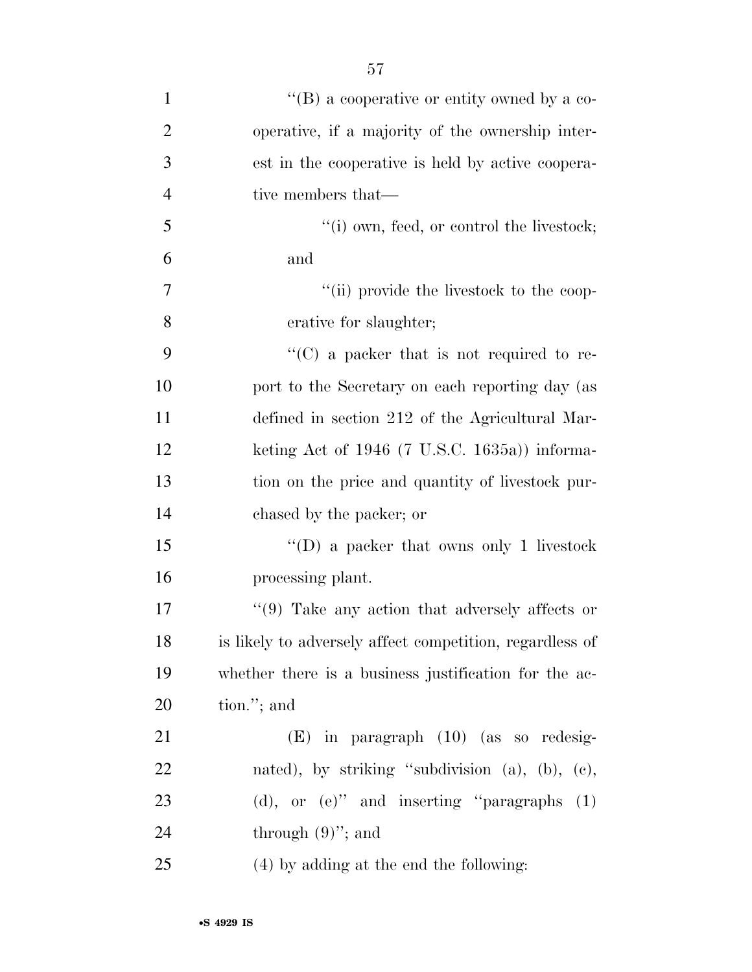| $\mathbf{1}$   | "(B) a cooperative or entity owned by a co-              |
|----------------|----------------------------------------------------------|
| $\overline{2}$ | operative, if a majority of the ownership inter-         |
| 3              | est in the cooperative is held by active coopera-        |
| $\overline{4}$ | tive members that—                                       |
| 5              | $"(i)$ own, feed, or control the livestock;              |
| 6              | and                                                      |
| 7              | "(ii) provide the livestock to the coop-                 |
| 8              | erative for slaughter;                                   |
| 9              | $\lq\lq$ (C) a packer that is not required to re-        |
| 10             | port to the Secretary on each reporting day (as          |
| 11             | defined in section 212 of the Agricultural Mar-          |
| 12             | keting Act of $1946$ (7 U.S.C. 1635a)) informa-          |
| 13             | tion on the price and quantity of livestock pur-         |
| 14             | chased by the packer; or                                 |
| 15             | "(D) a packer that owns only 1 livestock                 |
| 16             | processing plant.                                        |
| 17             | $\lq(9)$ Take any action that adversely affects or       |
| 18             | is likely to adversely affect competition, regardless of |
| 19             | whether there is a business justification for the ac-    |
| 20             | tion."; and                                              |
| 21             | $(E)$ in paragraph $(10)$ (as so redesig-                |
| 22             | nated), by striking "subdivision $(a)$ , $(b)$ , $(c)$ , |
| 23             | (d), or $(e)$ " and inserting "paragraphs $(1)$          |
| 24             | through $(9)$ "; and                                     |
| 25             | (4) by adding at the end the following:                  |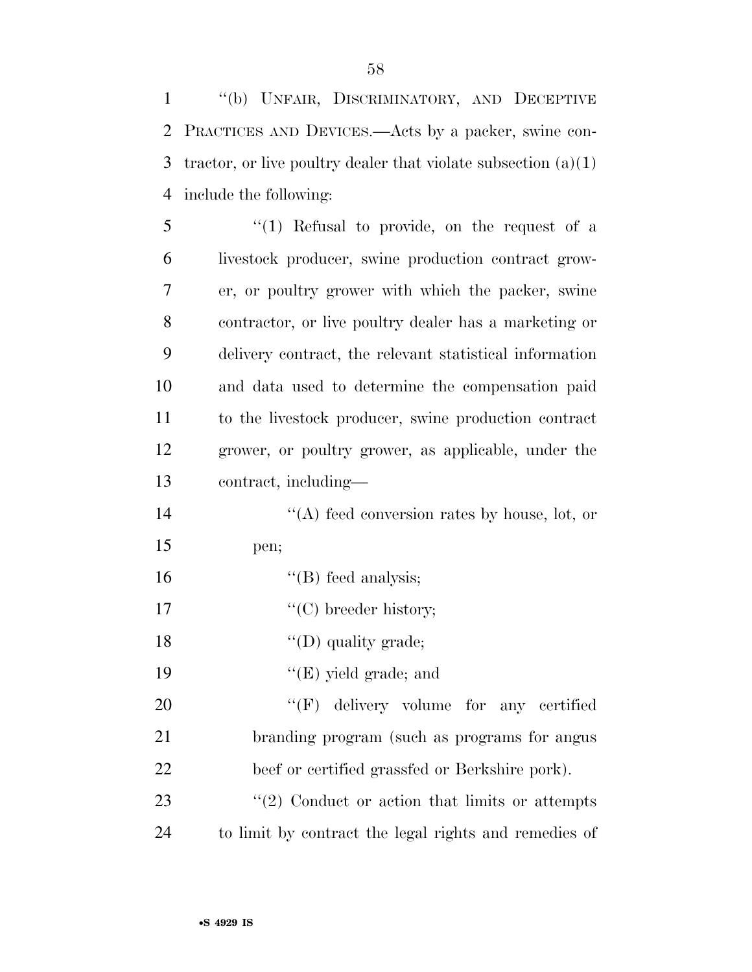''(b) UNFAIR, DISCRIMINATORY, AND DECEPTIVE PRACTICES AND DEVICES.—Acts by a packer, swine con-3 tractor, or live poultry dealer that violate subsection  $(a)(1)$ include the following:

5 "(1) Refusal to provide, on the request of a livestock producer, swine production contract grow- er, or poultry grower with which the packer, swine contractor, or live poultry dealer has a marketing or delivery contract, the relevant statistical information and data used to determine the compensation paid to the livestock producer, swine production contract grower, or poultry grower, as applicable, under the contract, including—

14  $\langle (A) \rangle$  feed conversion rates by house, lot, or pen;

''(B) feed analysis;

17  $\text{``(C) breeder history;}$ 

18  $\text{``(D) quality grade;}$ 

19  $"({\rm E})$  yield grade; and

20 "'(F) delivery volume for any certified branding program (such as programs for angus beef or certified grassfed or Berkshire pork).

23 ''(2) Conduct or action that limits or attempts to limit by contract the legal rights and remedies of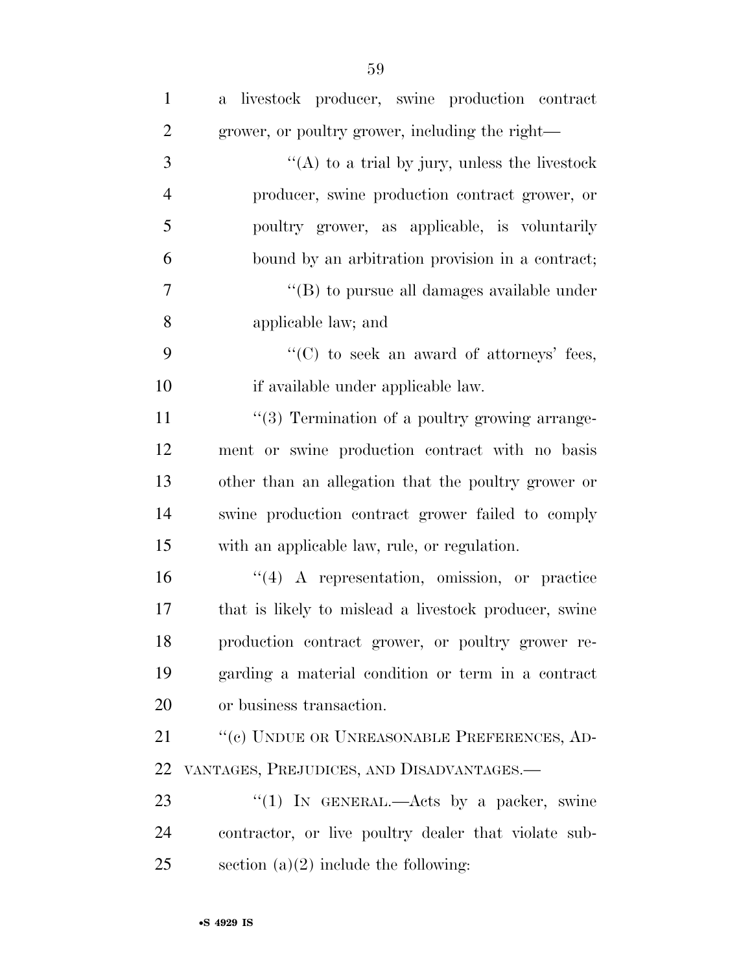| $\mathbf{1}$   | a livestock producer, swine production contract       |
|----------------|-------------------------------------------------------|
| $\overline{2}$ | grower, or poultry grower, including the right—       |
| 3              | " $(A)$ to a trial by jury, unless the livestock      |
| $\overline{4}$ | producer, swine production contract grower, or        |
| 5              | poultry grower, as applicable, is voluntarily         |
| 6              | bound by an arbitration provision in a contract;      |
| $\overline{7}$ | $\lq\lq$ (B) to pursue all damages available under    |
| 8              | applicable law; and                                   |
| 9              | "(C) to seek an award of attorneys' fees,             |
| 10             | if available under applicable law.                    |
| 11             | "(3) Termination of a poultry growing arrange-        |
| 12             | ment or swine production contract with no basis       |
| 13             | other than an allegation that the poultry grower or   |
| 14             | swine production contract grower failed to comply     |
| 15             | with an applicable law, rule, or regulation.          |
| 16             | $\lq(4)$ A representation, omission, or practice      |
| 17             | that is likely to mislead a livestock producer, swine |
| 18             | production contract grower, or poultry grower re-     |
| 19             | garding a material condition or term in a contract    |
| 20             | or business transaction.                              |
| 21             | "(c) UNDUE OR UNREASONABLE PREFERENCES, AD-           |
| 22             | VANTAGES, PREJUDICES, AND DISADVANTAGES.-             |
| 23             | "(1) IN GENERAL.—Acts by a packer, swine              |
| 24             | contractor, or live poultry dealer that violate sub-  |
| 25             | section $(a)(2)$ include the following:               |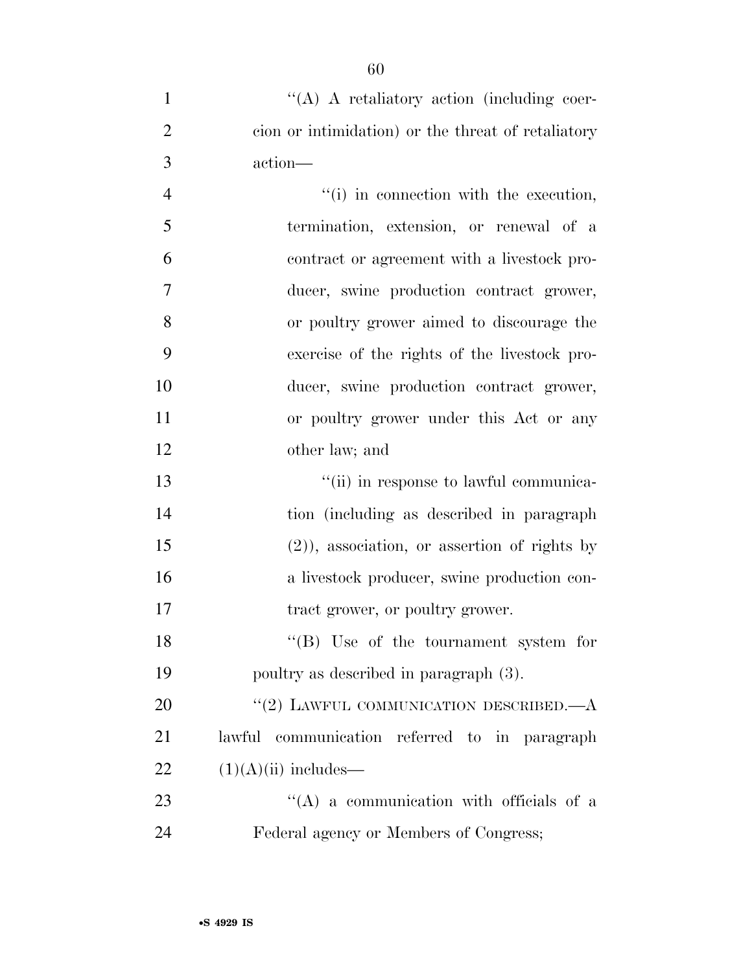| $\mathbf{1}$   | $\lq\lq$ A retaliatory action (including coer-     |
|----------------|----------------------------------------------------|
| $\overline{2}$ | cion or intimidation) or the threat of retaliatory |
| 3              | action—                                            |
| $\overline{4}$ | "(i) in connection with the execution,             |
| 5              | termination, extension, or renewal of a            |
| 6              | contract or agreement with a livestock pro-        |
| $\overline{7}$ | ducer, swine production contract grower,           |
| 8              | or poultry grower aimed to discourage the          |
| 9              | exercise of the rights of the livestock pro-       |
| 10             | ducer, swine production contract grower,           |
| 11             | or poultry grower under this Act or any            |
| 12             | other law; and                                     |
| 13             | "(ii) in response to lawful communica-             |
| 14             | tion (including as described in paragraph)         |
| 15             | $(2)$ ), association, or assertion of rights by    |
| 16             | a livestock producer, swine production con-        |
| 17             | tract grower, or poultry grower.                   |
| 18             | "(B) Use of the tournament system for              |
| 19             | poultry as described in paragraph (3).             |
| 20             | "(2) LAWFUL COMMUNICATION DESCRIBED. $-A$          |
| 21             | lawful communication referred to in paragraph      |
| 22             | $(1)(A)(ii)$ includes—                             |
| 23             | $\lq\lq$ (A) a communication with officials of a   |
| 24             | Federal agency or Members of Congress;             |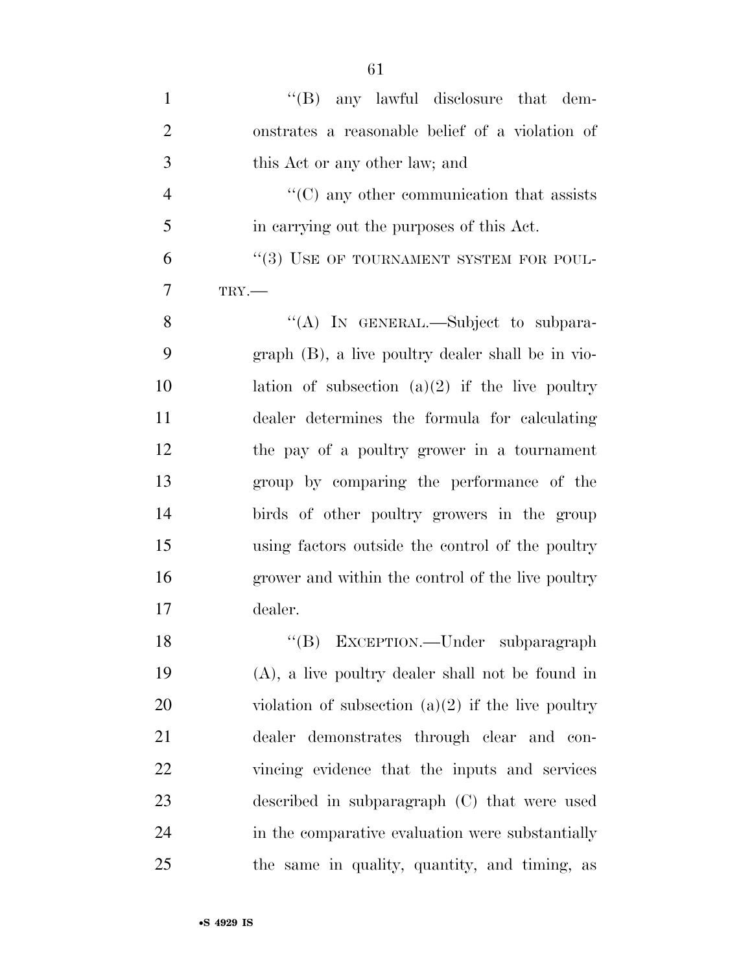| $\mathbf{1}$   | $\lq\lq(B)$ any lawful disclosure that dem-          |
|----------------|------------------------------------------------------|
| $\overline{2}$ | onstrates a reasonable belief of a violation of      |
| 3              | this Act or any other law; and                       |
| $\overline{4}$ | $\lq\lq$ (C) any other communication that assists    |
| 5              | in carrying out the purposes of this Act.            |
| 6              | "(3) USE OF TOURNAMENT SYSTEM FOR POUL-              |
| $\overline{7}$ | $TRY$ .                                              |
| 8              | "(A) IN GENERAL.—Subject to subpara-                 |
| 9              | $graph$ (B), a live poultry dealer shall be in vio-  |
| 10             | lation of subsection $(a)(2)$ if the live poultry    |
| 11             | dealer determines the formula for calculating        |
| 12             | the pay of a poultry grower in a tournament          |
| 13             | group by comparing the performance of the            |
| 14             | birds of other poultry growers in the group          |
| 15             | using factors outside the control of the poultry     |
| 16             | grower and within the control of the live poultry    |
| 17             | dealer.                                              |
| 18             | "(B) EXCEPTION.—Under subparagraph                   |
| 19             | $(A)$ , a live poultry dealer shall not be found in  |
| 20             | violation of subsection $(a)(2)$ if the live poultry |
| 21             | dealer demonstrates through clear and con-           |
| 22             | vincing evidence that the inputs and services        |
| 23             | described in subparagraph (C) that were used         |
| 24             | in the comparative evaluation were substantially     |
| 25             | the same in quality, quantity, and timing, as        |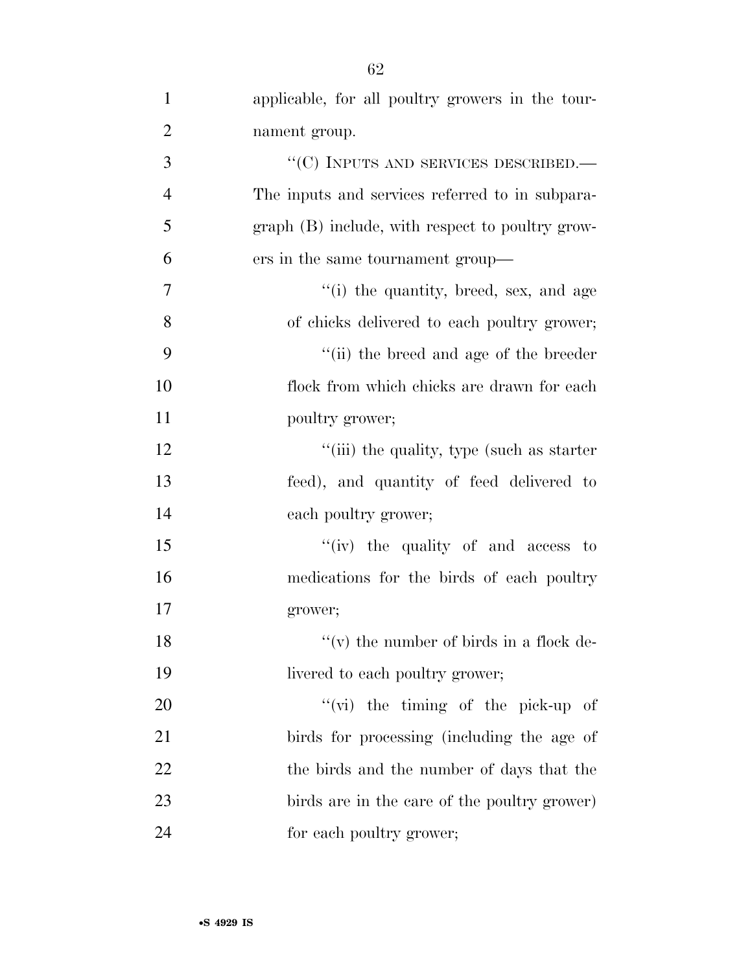| $\mathbf{1}$   | applicable, for all poultry growers in the tour- |
|----------------|--------------------------------------------------|
| $\overline{2}$ | nament group.                                    |
| 3              | $\lq\lq(C)$ INPUTS AND SERVICES DESCRIBED.—      |
| $\overline{4}$ | The inputs and services referred to in subpara-  |
| 5              | graph (B) include, with respect to poultry grow- |
| 6              | ers in the same tournament group—                |
| 7              | "(i) the quantity, breed, sex, and age           |
| 8              | of chicks delivered to each poultry grower;      |
| 9              | "(ii) the breed and age of the breeder           |
| 10             | flock from which chicks are drawn for each       |
| 11             | poultry grower;                                  |
| 12             | "(iii) the quality, type (such as starter)       |
| 13             | feed), and quantity of feed delivered to         |
| 14             | each poultry grower;                             |
| 15             | "(iv) the quality of and access to               |
| 16             | medications for the birds of each poultry        |
| 17             | grower;                                          |
| 18             | $f'(v)$ the number of birds in a flock de-       |
| 19             | livered to each poultry grower;                  |
| 20             | $\lq\lq$ (vi) the timing of the pick-up of       |
| 21             | birds for processing (including the age of       |
| 22             | the birds and the number of days that the        |
| 23             | birds are in the care of the poultry grower)     |
| 24             | for each poultry grower;                         |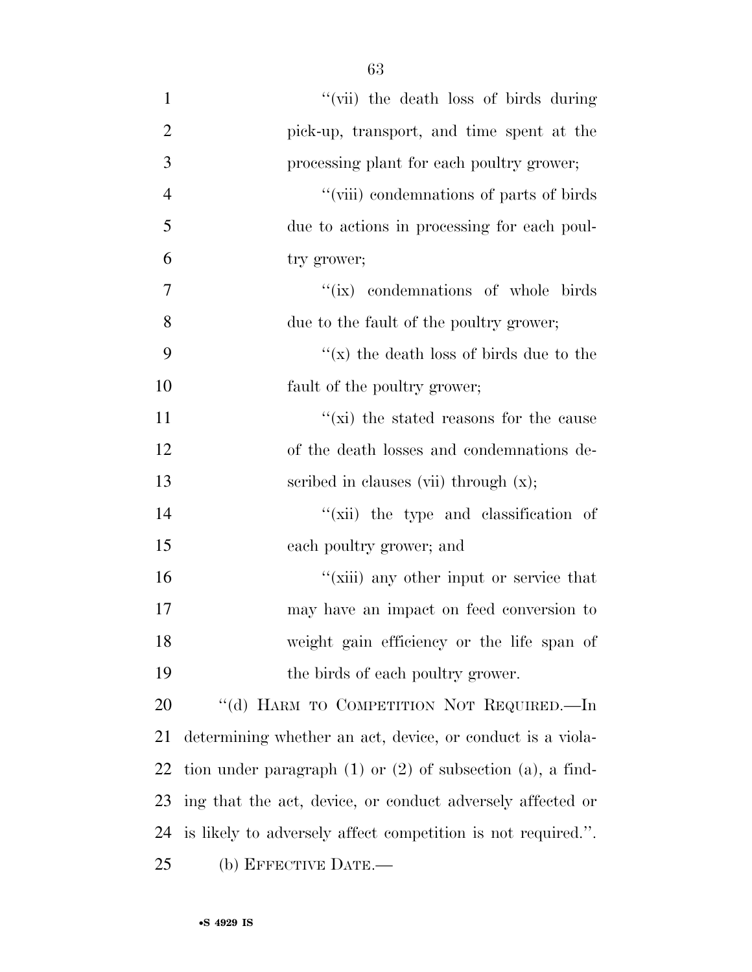63

| $\mathbf{1}$   | "(vii) the death loss of birds during                             |
|----------------|-------------------------------------------------------------------|
| $\overline{2}$ | pick-up, transport, and time spent at the                         |
| 3              | processing plant for each poultry grower;                         |
| $\overline{4}$ | "(viii) condemnations of parts of birds                           |
| 5              | due to actions in processing for each poul-                       |
| 6              | try grower;                                                       |
| $\overline{7}$ | "(ix) condemnations of whole birds                                |
| 8              | due to the fault of the poultry grower;                           |
| 9              | "(x) the death loss of birds due to the                           |
| 10             | fault of the poultry grower;                                      |
| 11             | " $(xi)$ the stated reasons for the cause                         |
| 12             | of the death losses and condemnations de-                         |
| 13             | scribed in clauses (vii) through $(x)$ ;                          |
| 14             | "(xii) the type and classification of                             |
| 15             | each poultry grower; and                                          |
| 16             | "(xiii) any other input or service that                           |
| 17             | may have an impact on feed conversion to                          |
| 18             | weight gain efficiency or the life span of                        |
| 19             | the birds of each poultry grower.                                 |
| 20             | "(d) HARM TO COMPETITION NOT REQUIRED.—In                         |
| 21             | determining whether an act, device, or conduct is a viola-        |
| 22             | tion under paragraph $(1)$ or $(2)$ of subsection $(a)$ , a find- |
| 23             | ing that the act, device, or conduct adversely affected or        |
| 24             | is likely to adversely affect competition is not required.".      |
| 25             | (b) EFFECTIVE DATE.-                                              |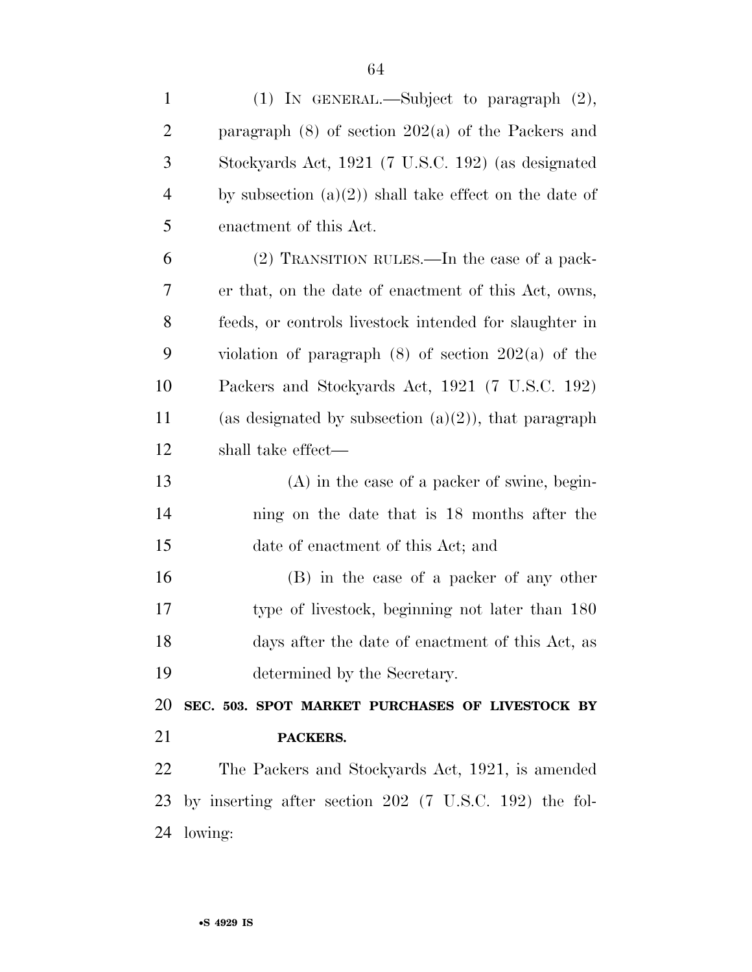| $\mathbf{1}$   | (1) IN GENERAL.—Subject to paragraph $(2)$ ,             |
|----------------|----------------------------------------------------------|
| $\overline{2}$ | paragraph $(8)$ of section $202(a)$ of the Packers and   |
| 3              | Stockyards Act, 1921 (7 U.S.C. 192) (as designated       |
| $\overline{4}$ | by subsection $(a)(2)$ shall take effect on the date of  |
| 5              | enactment of this Act.                                   |
| 6              | (2) TRANSITION RULES.—In the case of a pack-             |
| 7              | er that, on the date of enactment of this Act, owns,     |
| 8              | feeds, or controls livestock intended for slaughter in   |
| 9              | violation of paragraph $(8)$ of section $202(a)$ of the  |
| 10             | Packers and Stockyards Act, 1921 (7 U.S.C. 192)          |
| 11             | (as designated by subsection $(a)(2)$ ), that paragraph  |
| 12             | shall take effect—                                       |
| 13             | $(A)$ in the case of a packer of swine, begin-           |
| 14             | ning on the date that is 18 months after the             |
| 15             | date of enactment of this Act; and                       |
| 16             | (B) in the case of a packer of any other                 |
| 17             | type of livestock, beginning not later than 180          |
| 18             | days after the date of enactment of this Act, as         |
| 19             | determined by the Secretary.                             |
| 20             | SEC. 503. SPOT MARKET PURCHASES OF LIVESTOCK BY          |
| 21             | PACKERS.                                                 |
| 22             |                                                          |
|                | The Packers and Stockyards Act, 1921, is amended         |
| 23             | by inserting after section $202$ (7 U.S.C. 192) the fol- |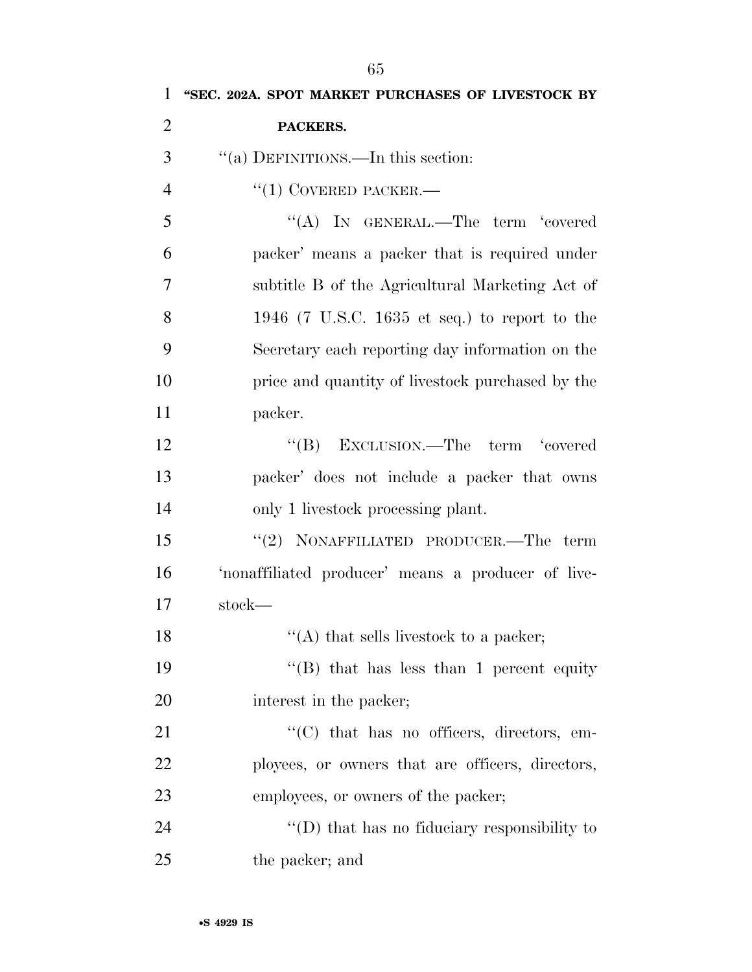| $\mathbf{1}$   | "SEC. 202A. SPOT MARKET PURCHASES OF LIVESTOCK BY              |
|----------------|----------------------------------------------------------------|
| $\overline{2}$ | PACKERS.                                                       |
| 3              | "(a) DEFINITIONS.—In this section:                             |
| $\overline{4}$ | $``(1)$ COVERED PACKER.—                                       |
| 5              | "(A) IN GENERAL.—The term 'covered                             |
| 6              | packer' means a packer that is required under                  |
| 7              | subtitle B of the Agricultural Marketing Act of                |
| 8              | 1946 (7 U.S.C. 1635 et seq.) to report to the                  |
| 9              | Secretary each reporting day information on the                |
| 10             | price and quantity of livestock purchased by the               |
| 11             | packer.                                                        |
| 12             | "(B) EXCLUSION.—The term 'covered                              |
| 13             | packer' does not include a packer that owns                    |
| 14             | only 1 livestock processing plant.                             |
| 15             | "(2) NONAFFILIATED PRODUCER.—The term                          |
| 16             | 'nonaffiliated producer' means a producer of live-             |
| 17             | stock—                                                         |
| 18             | "(A) that sells livestock to a packer;                         |
| 19             | "(B) that has less than 1 percent equity                       |
| 20             | interest in the packer;                                        |
| 21             | $\lq\lq$ <sup>"</sup> (C) that has no officers, directors, em- |
| 22             | ployees, or owners that are officers, directors,               |
| 23             | employees, or owners of the packer;                            |
| 24             | $\lq\lq$ that has no fiduciary responsibility to               |
| 25             | the packer; and                                                |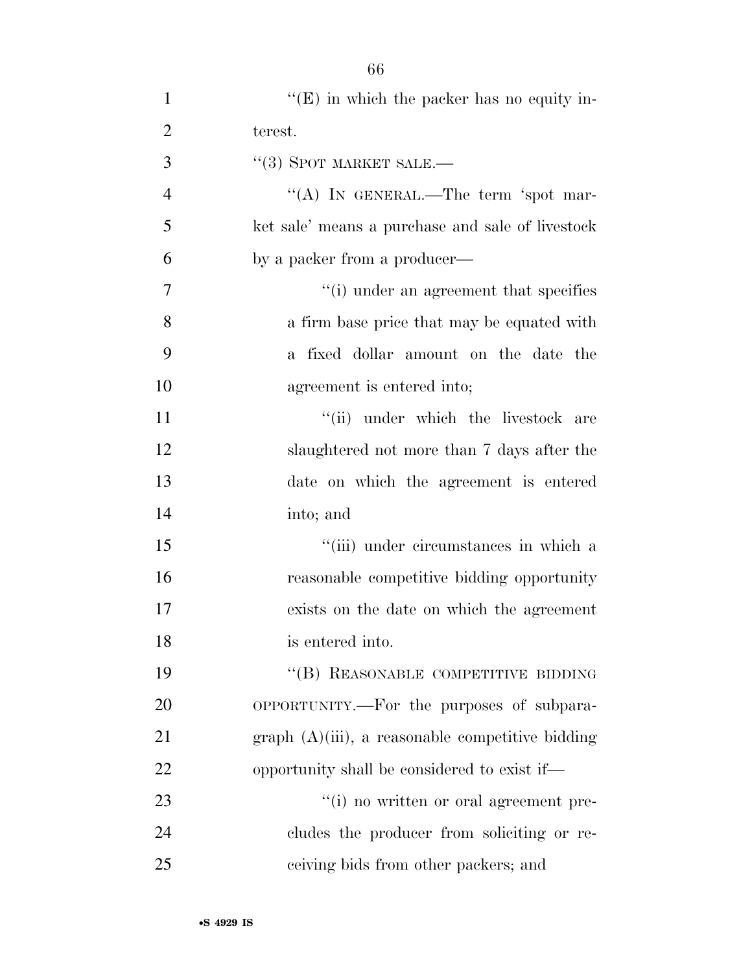| $\mathbf{1}$   | $\lq\lq(E)$ in which the packer has no equity in-   |
|----------------|-----------------------------------------------------|
| $\overline{2}$ | terest.                                             |
| 3              | $\cdot$ (3) SPOT MARKET SALE.—                      |
| $\overline{4}$ | "(A) IN GENERAL.—The term 'spot mar-                |
| 5              | ket sale' means a purchase and sale of livestock    |
| 6              | by a packer from a producer—                        |
| 7              | "(i) under an agreement that specifies              |
| 8              | a firm base price that may be equated with          |
| 9              | a fixed dollar amount on the date the               |
| 10             | agreement is entered into;                          |
| 11             | "(ii) under which the livestock are                 |
| 12             | slaughtered not more than 7 days after the          |
| 13             | date on which the agreement is entered              |
| 14             | into; and                                           |
| 15             | "(iii) under circumstances in which a               |
| 16             | reasonable competitive bidding opportunity          |
| 17             | exists on the date on which the agreement           |
| 18             | is entered into.                                    |
| 19             | "(B) REASONABLE COMPETITIVE BIDDING                 |
| 20             | OPPORTUNITY.—For the purposes of subpara-           |
| 21             | $graph (A)(iii)$ , a reasonable competitive bidding |
| 22             | opportunity shall be considered to exist if—        |
| 23             | "(i) no written or oral agreement pre-              |
| 24             | cludes the producer from soliciting or re-          |
| 25             | ceiving bids from other packers; and                |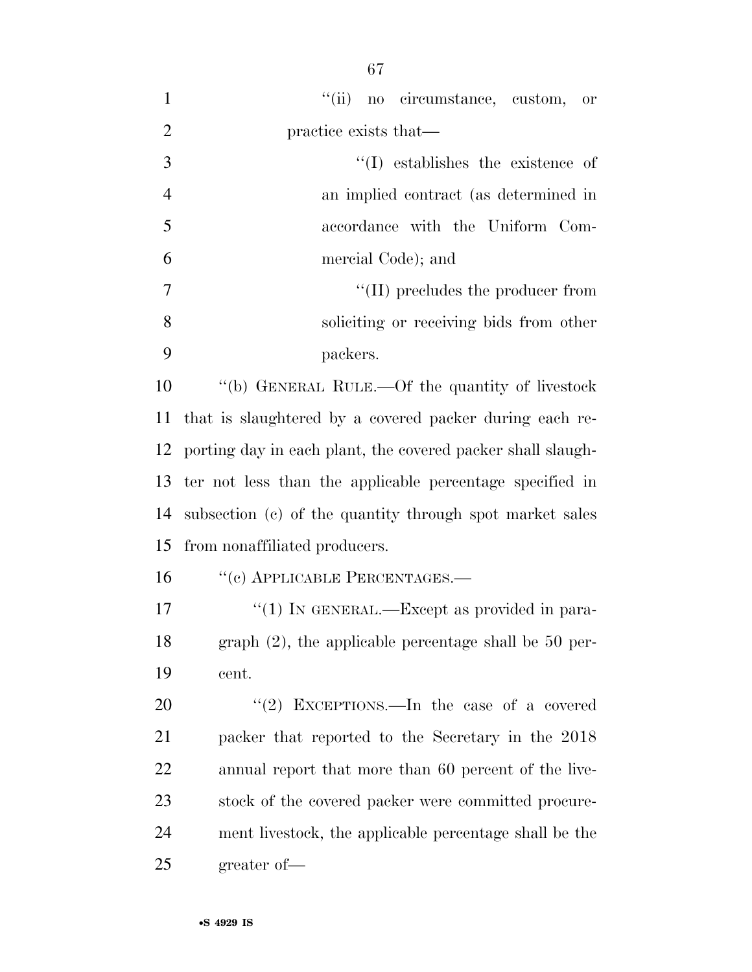| $\mathbf{1}$   | "(ii) no circumstance, custom, or                           |
|----------------|-------------------------------------------------------------|
| $\overline{2}$ | practice exists that—                                       |
| 3              | $\lq\lq$ establishes the existence of                       |
| $\overline{4}$ | an implied contract (as determined in                       |
| 5              | accordance with the Uniform Com-                            |
| 6              | mercial Code); and                                          |
| 7              | $\lq\lq$ (II) precludes the producer from                   |
| 8              | soliciting or receiving bids from other                     |
| 9              | packers.                                                    |
| 10             | "(b) GENERAL RULE.—Of the quantity of livestock             |
| 11             | that is slaughtered by a covered packer during each re-     |
| 12             | porting day in each plant, the covered packer shall slaugh- |
| 13             | ter not less than the applicable percentage specified in    |
| 14             | subsection (c) of the quantity through spot market sales    |
| 15             | from nonaffiliated producers.                               |
| 16             | "(c) APPLICABLE PERCENTAGES.—                               |
| 17             | "(1) IN GENERAL.—Except as provided in para-                |
| 18             | graph $(2)$ , the applicable percentage shall be 50 per-    |
| 19             | cent.                                                       |
| 20             | "(2) EXCEPTIONS.—In the case of a covered                   |
| 21             | packer that reported to the Secretary in the 2018           |
| 22             | annual report that more than 60 percent of the live-        |
| 23             | stock of the covered packer were committed procure-         |
| 24             | ment livestock, the applicable percentage shall be the      |
| 25             | greater of-                                                 |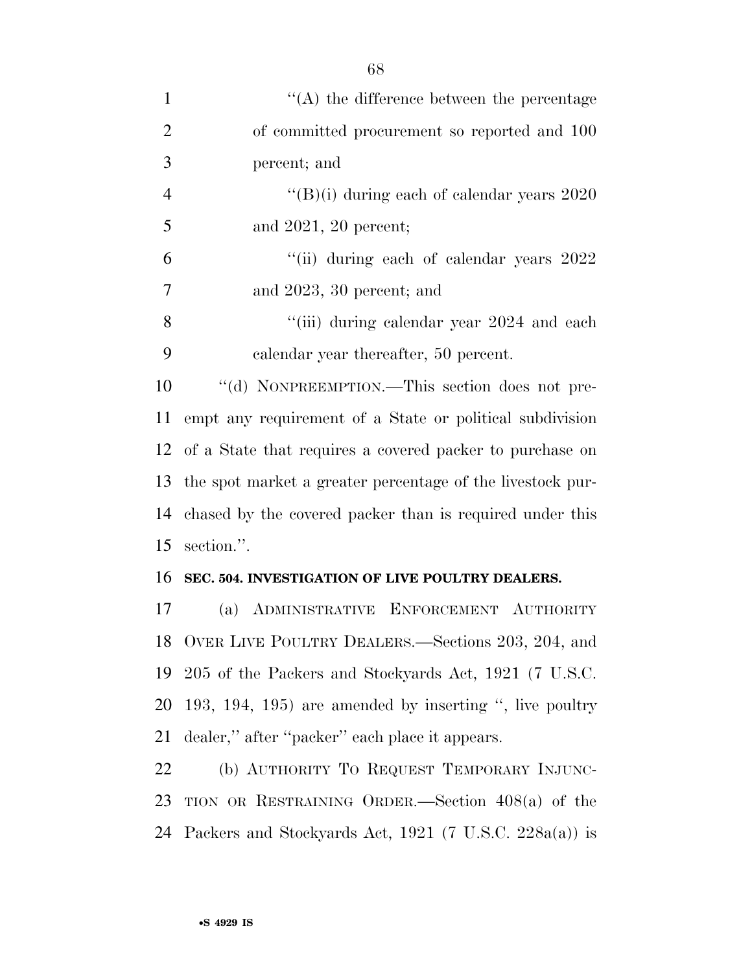| $\mathbf{1}$   | $\lq\lq$ the difference between the percentage                 |
|----------------|----------------------------------------------------------------|
| $\overline{2}$ | of committed procurement so reported and 100                   |
| 3              | percent; and                                                   |
| $\overline{4}$ | $\rm ^{\prime\prime}(B)(i)$ during each of calendar years 2020 |
| 5              | and $2021$ , $20$ percent;                                     |
| 6              | "(ii) during each of calendar years $2022$                     |
| $\overline{7}$ | and $2023$ , $30$ percent; and                                 |
| 8              | "(iii) during calendar year 2024 and each                      |
| 9              | calendar year thereafter, 50 percent.                          |
| 10             | "(d) NONPREEMPTION.—This section does not pre-                 |
| 11             | empt any requirement of a State or political subdivision       |
|                | 12 of a State that requires a covered packer to purchase on    |
| 13             | the spot market a greater percentage of the livestock pur-     |
| 14             | chased by the covered packer than is required under this       |
| 15             | section.".                                                     |
| 16             | SEC. 504. INVESTIGATION OF LIVE POULTRY DEALERS.               |
| 17             | (a) ADMINISTRATIVE ENFORCEMENT AUTHORITY                       |
| 18             | OVER LIVE POULTRY DEALERS.—Sections 203, 204, and              |
| 19             | 205 of the Packers and Stockyards Act, 1921 (7 U.S.C.          |
| 20             | 193, 194, 195) are amended by inserting ", live poultry        |
| 21             | dealer," after "packer" each place it appears.                 |
| $\mathbf{A}$   | $(1)$ A very optimy $\pi$ . Drover $\pi$ Drug $\pi$            |

 (b) AUTHORITY TO REQUEST TEMPORARY INJUNC- TION OR RESTRAINING ORDER.—Section 408(a) of the Packers and Stockyards Act, 1921 (7 U.S.C. 228a(a)) is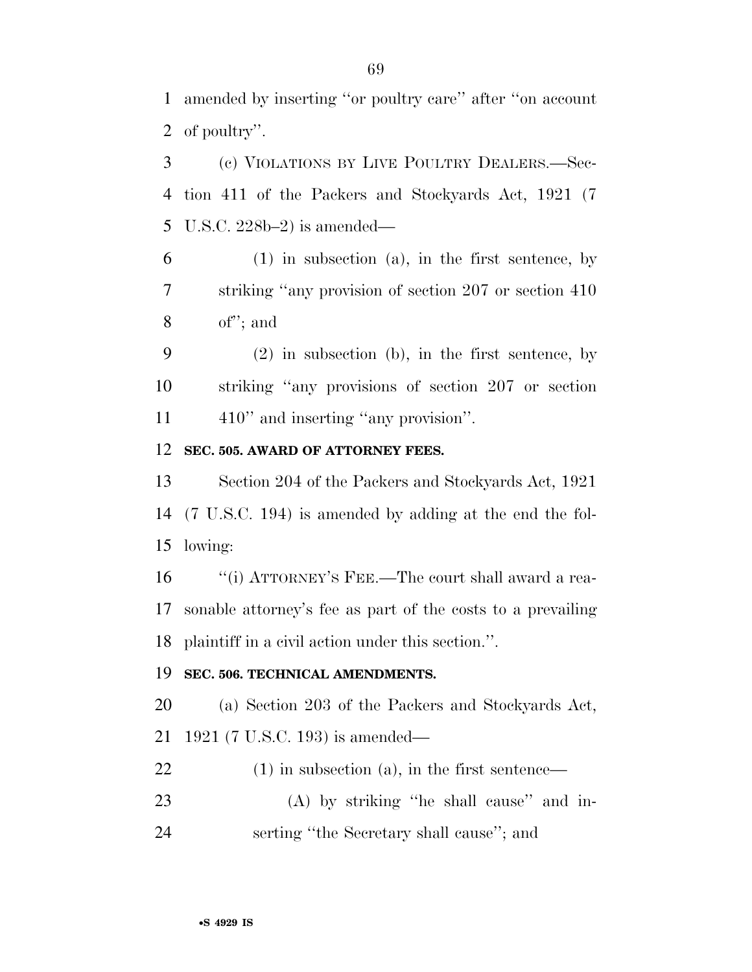amended by inserting ''or poultry care'' after ''on account of poultry''.

 (c) VIOLATIONS BY LIVE POULTRY DEALERS.—Sec- tion 411 of the Packers and Stockyards Act, 1921 (7 U.S.C. 228b–2) is amended—

 (1) in subsection (a), in the first sentence, by striking ''any provision of section 207 or section 410 of''; and

 (2) in subsection (b), in the first sentence, by striking ''any provisions of section 207 or section 11 410" and inserting "any provision".

### **SEC. 505. AWARD OF ATTORNEY FEES.**

 Section 204 of the Packers and Stockyards Act, 1921 (7 U.S.C. 194) is amended by adding at the end the fol-lowing:

 ''(i) ATTORNEY'S FEE.—The court shall award a rea- sonable attorney's fee as part of the costs to a prevailing plaintiff in a civil action under this section.''.

#### **SEC. 506. TECHNICAL AMENDMENTS.**

 (a) Section 203 of the Packers and Stockyards Act, 1921 (7 U.S.C. 193) is amended—

(1) in subsection (a), in the first sentence—

 (A) by striking ''he shall cause'' and in-serting ''the Secretary shall cause''; and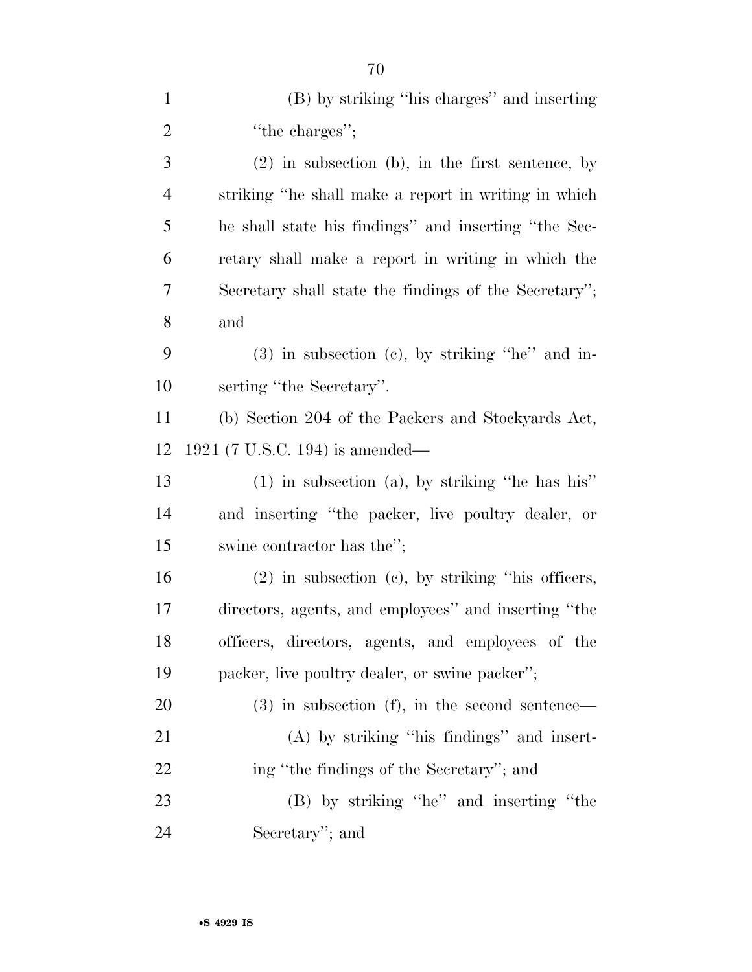| $\mathbf{1}$   | (B) by striking "his charges" and inserting            |
|----------------|--------------------------------------------------------|
| $\overline{2}$ | "the charges";                                         |
| 3              | $(2)$ in subsection $(b)$ , in the first sentence, by  |
| $\overline{4}$ | striking "he shall make a report in writing in which   |
| 5              | he shall state his findings" and inserting "the Sec-   |
| 6              | retary shall make a report in writing in which the     |
| 7              | Secretary shall state the findings of the Secretary";  |
| 8              | and                                                    |
| 9              | $(3)$ in subsection (c), by striking "he" and in-      |
| 10             | serting "the Secretary".                               |
| 11             | (b) Section 204 of the Packers and Stockyards Act,     |
| 12             | $1921$ (7 U.S.C. 194) is amended—                      |
| 13             | $(1)$ in subsection (a), by striking "he has his"      |
| 14             | and inserting "the packer, live poultry dealer, or     |
| 15             | swine contractor has the";                             |
| 16             | $(2)$ in subsection $(c)$ , by striking "his officers, |
| 17             | directors, agents, and employees" and inserting "the   |
| 18             | officers, directors, agents, and employees of the      |
| 19             | packer, live poultry dealer, or swine packer";         |
| 20             | $(3)$ in subsection $(f)$ , in the second sentence—    |
| 21             | $(A)$ by striking "his findings" and insert-           |
| 22             | ing "the findings of the Secretary"; and               |
| 23             | (B) by striking "he" and inserting "the                |
| 24             | Secretary"; and                                        |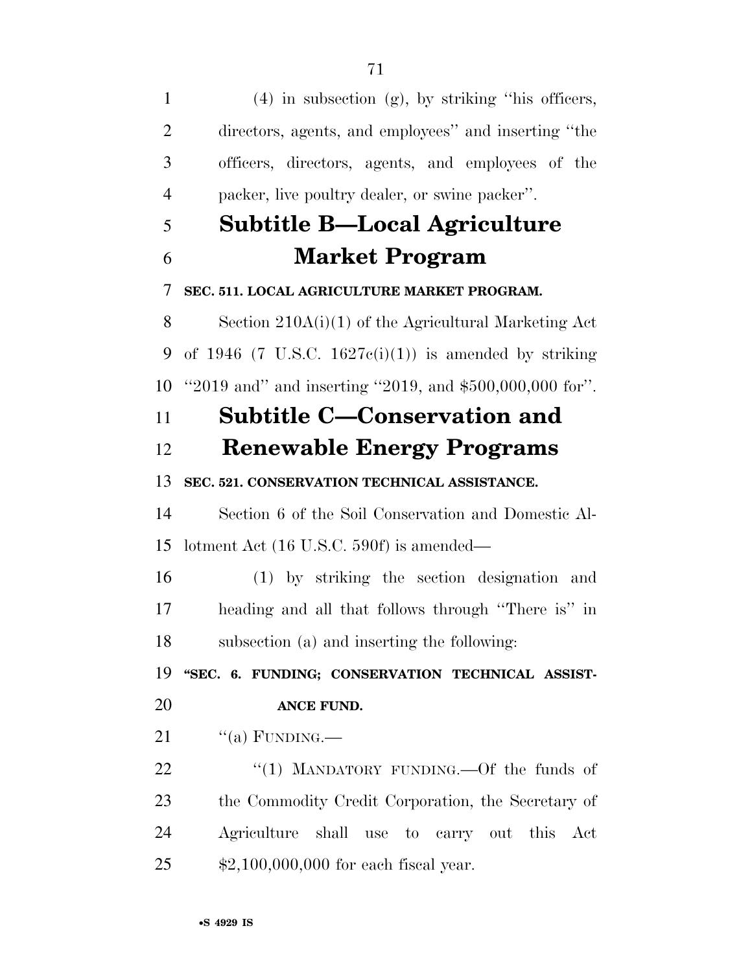(4) in subsection (g), by striking ''his officers, directors, agents, and employees'' and inserting ''the officers, directors, agents, and employees of the packer, live poultry dealer, or swine packer''. **Subtitle B—Local Agriculture Market Program SEC. 511. LOCAL AGRICULTURE MARKET PROGRAM.**  Section 210A(i)(1) of the Agricultural Marketing Act 9 of 1946 (7 U.S.C. 1627 $c(i)(1)$ ) is amended by striking ''2019 and'' and inserting ''2019, and \$500,000,000 for''. **Subtitle C—Conservation and Renewable Energy Programs SEC. 521. CONSERVATION TECHNICAL ASSISTANCE.**  Section 6 of the Soil Conservation and Domestic Al- lotment Act (16 U.S.C. 590f) is amended— (1) by striking the section designation and heading and all that follows through ''There is'' in subsection (a) and inserting the following: **''SEC. 6. FUNDING; CONSERVATION TECHNICAL ASSIST- ANCE FUND.**   $\frac{u}{a}$  FUNDING. 22 "(1) MANDATORY FUNDING.—Of the funds of the Commodity Credit Corporation, the Secretary of Agriculture shall use to carry out this Act \$2,100,000,000 for each fiscal year.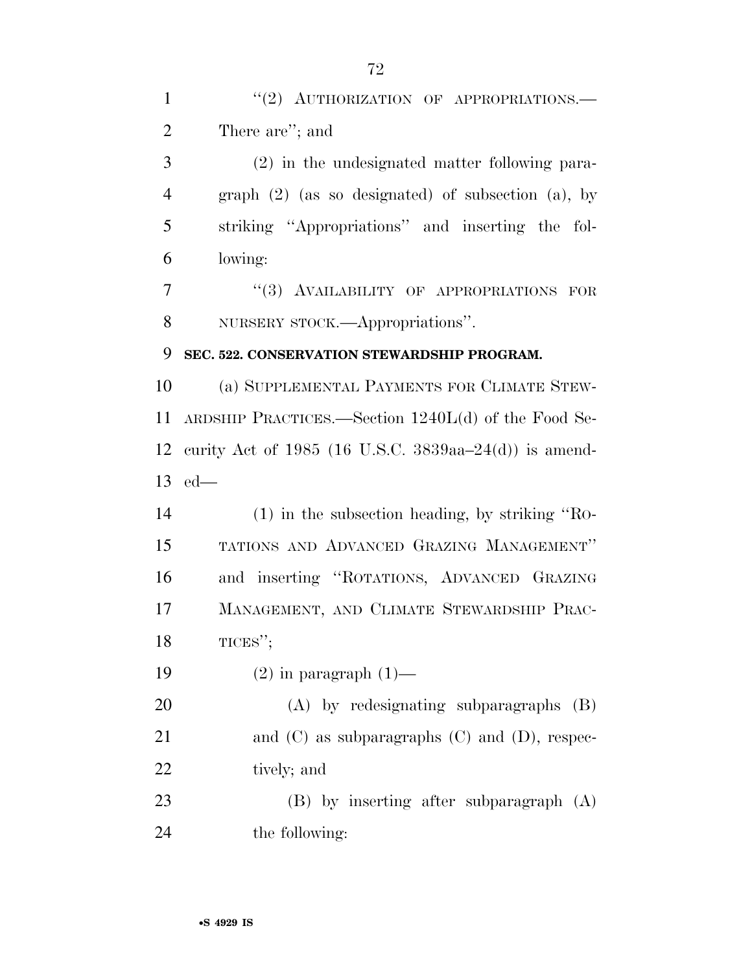(2) in the undesignated matter following para- graph (2) (as so designated) of subsection (a), by striking ''Appropriations'' and inserting the fol-lowing:

7 "(3) AVAILABILITY OF APPROPRIATIONS FOR NURSERY STOCK.—Appropriations''.

### **SEC. 522. CONSERVATION STEWARDSHIP PROGRAM.**

 (a) SUPPLEMENTAL PAYMENTS FOR CLIMATE STEW- ARDSHIP PRACTICES.—Section 1240L(d) of the Food Se- curity Act of 1985 (16 U.S.C. 3839aa–24(d)) is amend-ed—

 (1) in the subsection heading, by striking ''RO- TATIONS AND ADVANCED GRAZING MANAGEMENT'' and inserting ''ROTATIONS, ADVANCED GRAZING MANAGEMENT, AND CLIMATE STEWARDSHIP PRAC-18 TICES";

19  $(2)$  in paragraph  $(1)$ —

 (A) by redesignating subparagraphs (B) 21 and (C) as subparagraphs (C) and (D), respec-tively; and

 (B) by inserting after subparagraph (A) the following: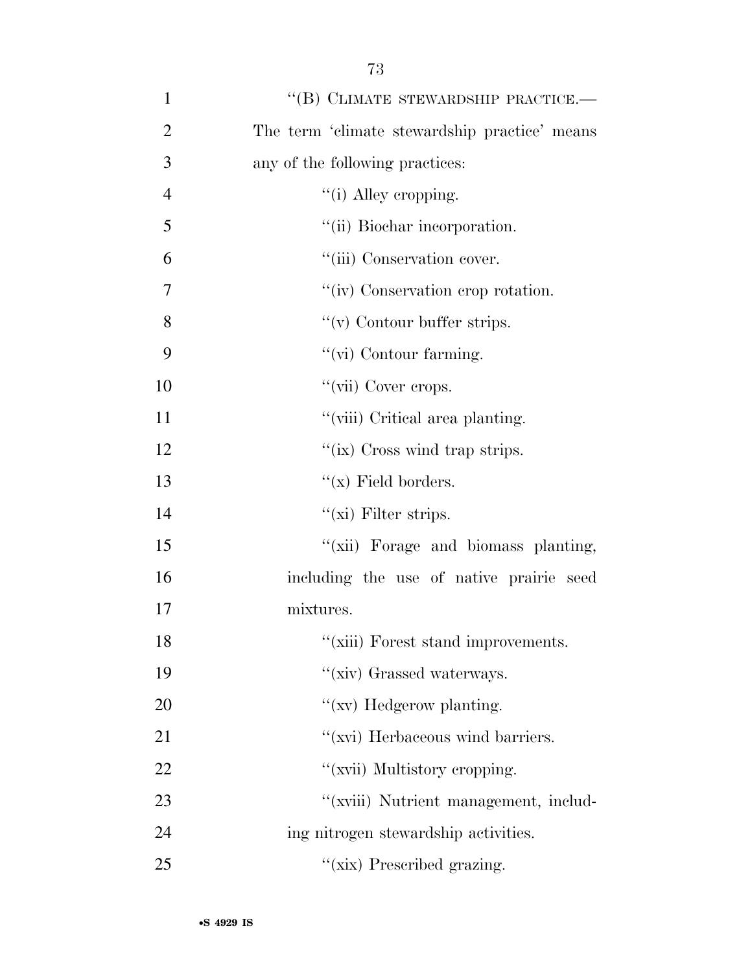| $\mathbf{1}$   | $``$ (B) CLIMATE STEWARDSHIP PRACTICE.—       |
|----------------|-----------------------------------------------|
| $\overline{2}$ | The term 'climate stewardship practice' means |
| 3              | any of the following practices:               |
| $\overline{4}$ | $\lq\lq$ (i) Alley cropping.                  |
| 5              | "(ii) Biochar incorporation.                  |
| 6              | "(iii) Conservation cover.                    |
| 7              | "(iv) Conservation crop rotation.             |
| 8              | $f'(v)$ Contour buffer strips.                |
| 9              | $\lq\lq$ (vi) Contour farming.                |
| 10             | "(vii) Cover crops.                           |
| 11             | "(viii) Critical area planting.               |
| 12             | "(ix) Cross wind trap strips.                 |
| 13             | $``(x)$ Field borders.                        |
| 14             | $\lq\lq$ (xi) Filter strips.                  |
| 15             | "(xii) Forage and biomass planting,           |
| 16             | including the use of native prairie seed      |
| 17             | mixtures.                                     |
| 18             | "(xiii) Forest stand improvements.            |
| 19             | "(xiv) Grassed waterways.                     |
| 20             | $\lq\lq$ (xv) Hedgerow planting.              |
| 21             | "(xvi) Herbaceous wind barriers.              |
| 22             | "(xvii) Multistory cropping.                  |
| 23             | "(xviii) Nutrient management, includ-         |
| 24             | ing nitrogen stewardship activities.          |
| 25             | "(xix) Prescribed grazing.                    |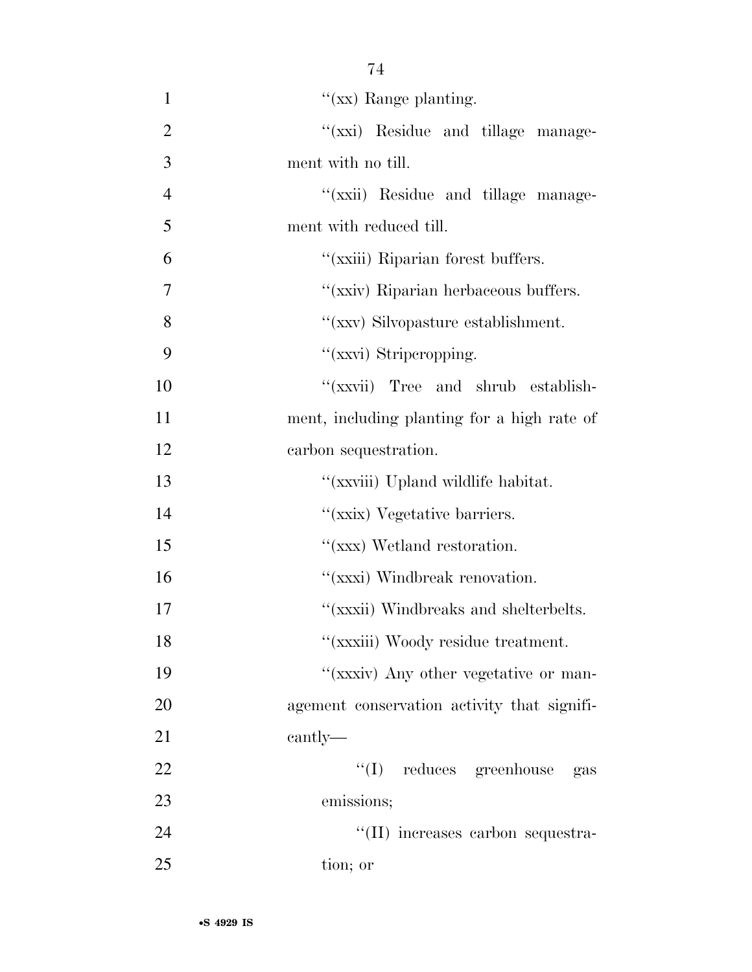| 1              | " $(xx)$ Range planting.                    |
|----------------|---------------------------------------------|
| $\overline{2}$ | "(xxi) Residue and tillage manage-          |
| 3              | ment with no till.                          |
| $\overline{4}$ | "(xxii) Residue and tillage manage-         |
| 5              | ment with reduced till.                     |
| 6              | "(xxiii) Riparian forest buffers.           |
| 7              | "(xxiv) Riparian herbaceous buffers.        |
| 8              | "(xxv) Silvopasture establishment.          |
| 9              | "(xxvi) Striperopping.                      |
| 10             | "(xxvii) Tree and shrub establish-          |
| 11             | ment, including planting for a high rate of |
| 12             | carbon sequestration.                       |
| 13             | "(xxviii) Upland wildlife habitat.          |
| 14             | "(xxix) Vegetative barriers.                |
| 15             | "(xxx) Wetland restoration.                 |
| 16             | "(xxxi) Windbreak renovation.               |
| 17             | "(xxxii) Windbreaks and shelterbelts.       |
| 18             | "(xxxiii) Woody residue treatment.          |
| 19             | "(xxxiv) Any other vegetative or man-       |
| 20             | agement conservation activity that signifi- |
| 21             | cantly—                                     |
| 22             | $\lq\lq$ reduces greenhouse<br>gas          |
| 23             | emissions;                                  |
| 24             | "(II) increases carbon sequestra-           |
| 25             | tion; or                                    |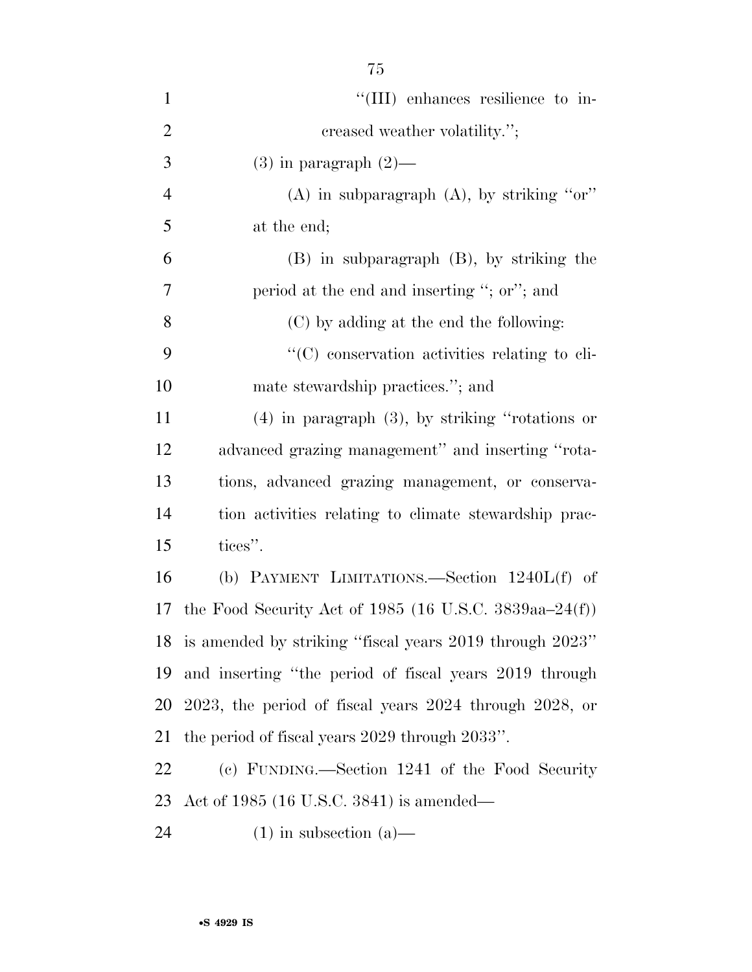| $\mathbf{1}$   | "(III) enhances resilience to in-                              |
|----------------|----------------------------------------------------------------|
| $\overline{2}$ | creased weather volatility.";                                  |
| 3              | $(3)$ in paragraph $(2)$ —                                     |
| $\overline{4}$ | $(A)$ in subparagraph $(A)$ , by striking "or"                 |
| 5              | at the end;                                                    |
| 6              | $(B)$ in subparagraph $(B)$ , by striking the                  |
| 7              | period at the end and inserting "; or"; and                    |
| 8              | (C) by adding at the end the following:                        |
| 9              | "(C) conservation activities relating to cli-                  |
| 10             | mate stewardship practices."; and                              |
| 11             | $(4)$ in paragraph $(3)$ , by striking "rotations or           |
| 12             | advanced grazing management" and inserting "rota-              |
| 13             | tions, advanced grazing management, or conserva-               |
| 14             | tion activities relating to climate stewardship prac-          |
| 15             | tices".                                                        |
| 16             | (b) PAYMENT LIMITATIONS.—Section 1240L(f) of                   |
| 17             | the Food Security Act of 1985 (16 U.S.C. 3839aa–24(f))         |
|                | 18 is amended by striking "fiscal years 2019 through 2023"     |
| 19             | and inserting "the period of fiscal years 2019 through         |
| 20             | $2023$ , the period of fiscal years $2024$ through $2028$ , or |
| 21             | the period of fiscal years 2029 through 2033".                 |
| 22             | (c) FUNDING.—Section 1241 of the Food Security                 |
| 23             | Act of $1985$ (16 U.S.C. 3841) is amended—                     |
| 24             | $(1)$ in subsection $(a)$ —                                    |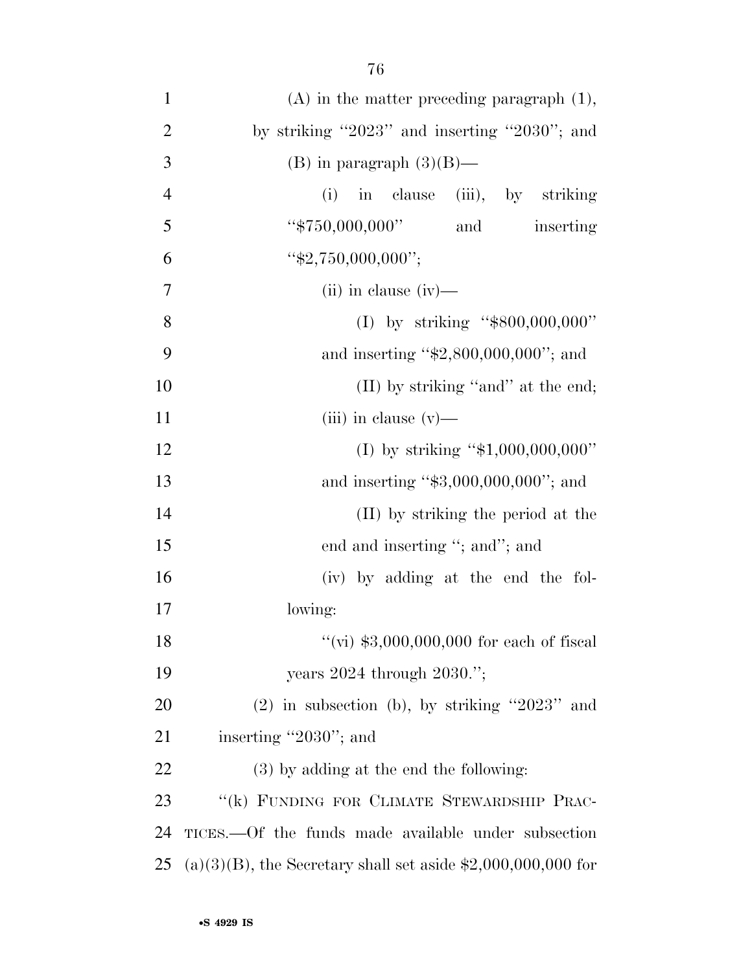| $\mathbf{1}$   | $(A)$ in the matter preceding paragraph $(1)$ ,                 |
|----------------|-----------------------------------------------------------------|
| $\overline{2}$ | by striking "2023" and inserting "2030"; and                    |
| 3              | (B) in paragraph $(3)(B)$ —                                     |
| $\overline{4}$ | (i) in clause (iii), by striking                                |
| 5              | "\$750,000,000"<br>and<br>inserting                             |
| 6              | " $$2,750,000,000$ ";                                           |
| $\tau$         | $(ii)$ in clause $(iv)$ —                                       |
| 8              | (I) by striking " $$800,000,000"$                               |
| 9              | and inserting " $$2,800,000,000$ "; and                         |
| 10             | (II) by striking "and" at the end;                              |
| 11             | (iii) in clause $(v)$ —                                         |
| 12             | (I) by striking " $$1,000,000,000$ "                            |
| 13             | and inserting " $$3,000,000,000$ "; and                         |
| 14             | (II) by striking the period at the                              |
| 15             | end and inserting "; and"; and                                  |
| 16             | (iv) by adding at the end the fol-                              |
| 17             | lowing:                                                         |
| 18             | "(vi) $$3,000,000,000$ for each of fiscal                       |
| 19             | years $2024$ through $2030$ .";                                 |
| 20             | $(2)$ in subsection (b), by striking "2023" and                 |
| 21             | inserting "2030"; and                                           |
| 22             | (3) by adding at the end the following:                         |
| 23             | "(k) FUNDING FOR CLIMATE STEWARDSHIP PRAC-                      |
| 24             | TICES.—Of the funds made available under subsection             |
| 25             | $(a)(3)(B)$ , the Secretary shall set aside \$2,000,000,000 for |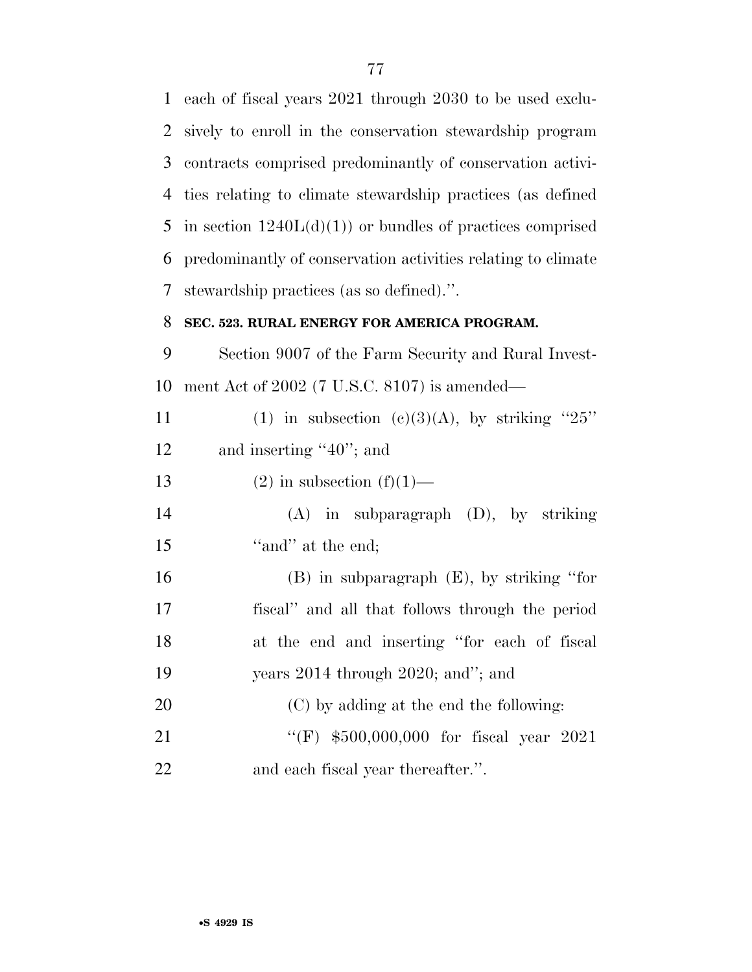each of fiscal years 2021 through 2030 to be used exclu- sively to enroll in the conservation stewardship program contracts comprised predominantly of conservation activi- ties relating to climate stewardship practices (as defined 5 in section  $1240L(d)(1)$  or bundles of practices comprised predominantly of conservation activities relating to climate stewardship practices (as so defined).''.

## **SEC. 523. RURAL ENERGY FOR AMERICA PROGRAM.**

 Section 9007 of the Farm Security and Rural Invest-ment Act of 2002 (7 U.S.C. 8107) is amended—

| 11 | (1) in subsection (c)(3)(A), by striking "25" |
|----|-----------------------------------------------|
| 12 | and inserting " $40$ "; and                   |
| 13 | $(2)$ in subsection $(f)(1)$ —                |
| 14 | $(A)$ in subparagraph $(D)$ , by striking     |
| 15 | "and" at the end;                             |

 (B) in subparagraph (E), by striking ''for fiscal'' and all that follows through the period at the end and inserting ''for each of fiscal years 2014 through 2020; and''; and (C) by adding at the end the following:

21 ''(F) \$500,000,000 for fiscal year 2021 and each fiscal year thereafter.''.